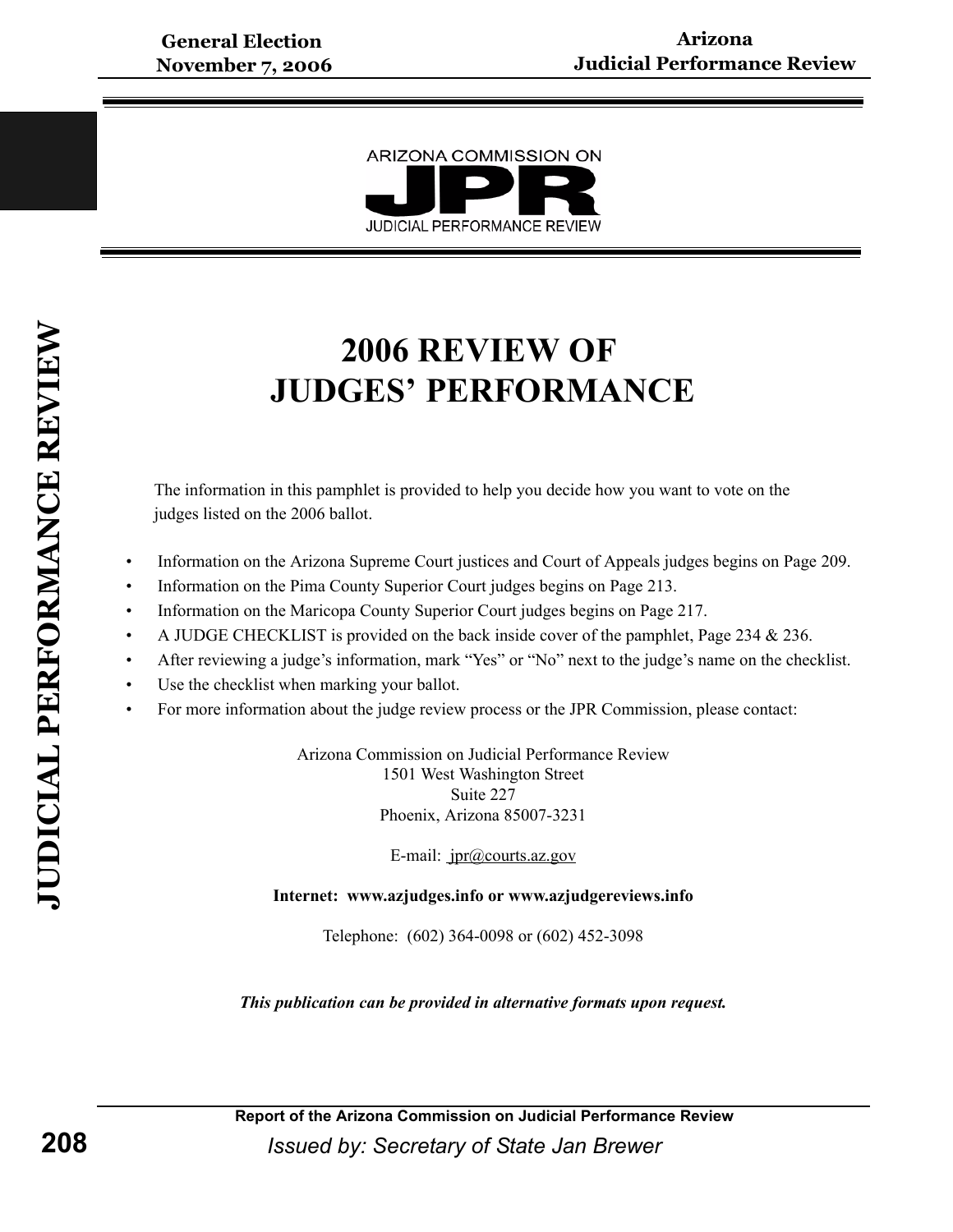

# **2006 REVIEW OF JUDGES' PERFORMANCE**

The information in this pamphlet is provided to help you decide how you want to vote on the judges listed on the 2006 ballot.

- Information on the Arizona Supreme Court justices and Court of Appeals judges begins on Page 209.
- Information on the Pima County Superior Court judges begins on Page 213.
- Information on the Maricopa County Superior Court judges begins on Page 217.
- A JUDGE CHECKLIST is provided on the back inside cover of the pamphlet, Page 234  $& 236$ .
- After reviewing a judge's information, mark "Yes" or "No" next to the judge's name on the checklist.
- Use the checklist when marking your ballot.
- For more information about the judge review process or the JPR Commission, please contact:

Arizona Commission on Judicial Performance Review 1501 West Washington Street Suite 227 Phoenix, Arizona 85007-3231

E-mail: *jpr@courts.az.gov* 

**Internet: www.azjudges.info or www.azjudgereviews.info**

Telephone: (602) 364-0098 or (602) 452-3098

*This publication can be provided in alternative formats upon request.*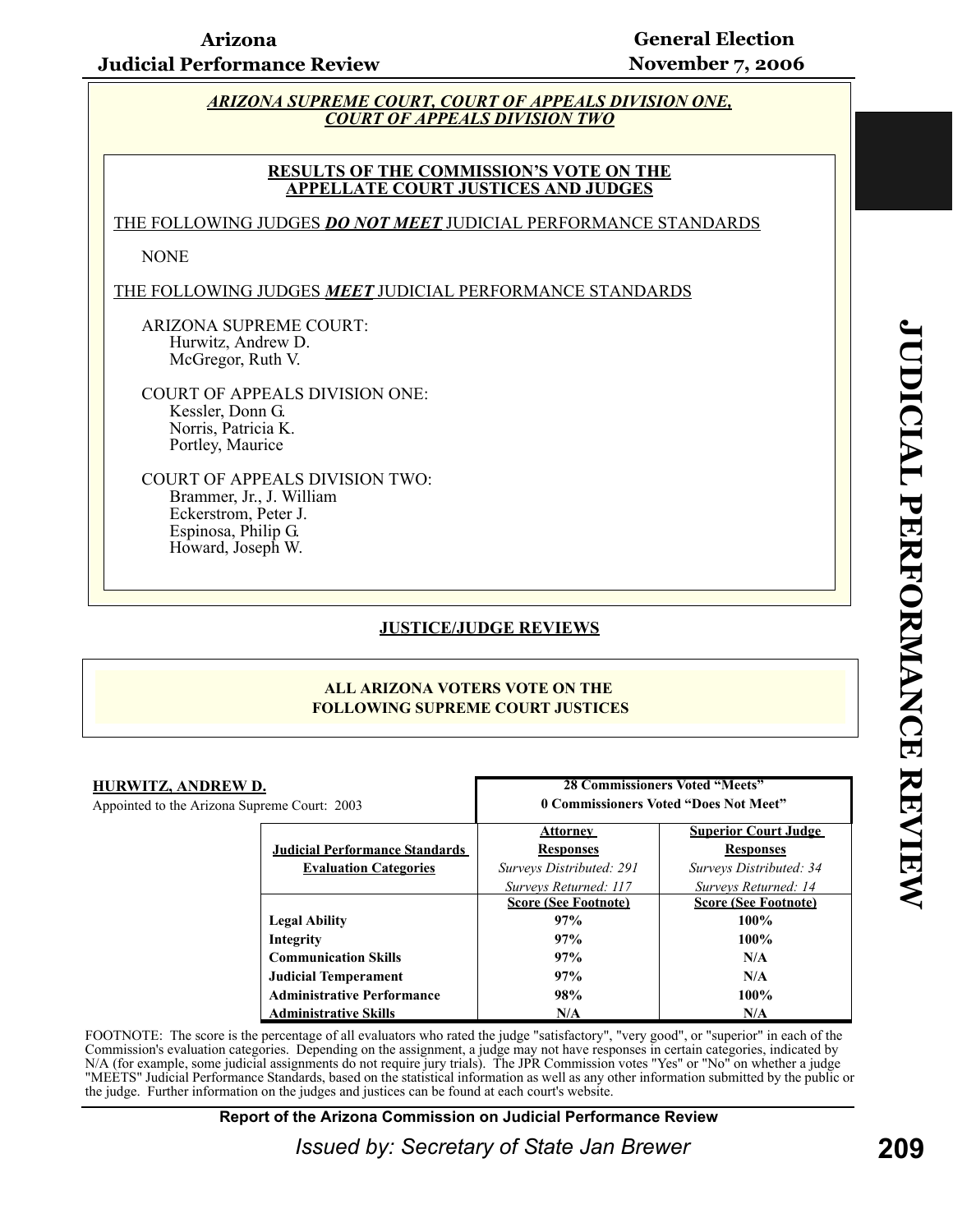#### *ARIZONA SUPREME COURT, COURT OF APPEALS DIVISION ONE, COURT OF APPEALS DIVISION TWO*

#### **RESULTS OF THE COMMISSION'S VOTE ON THE APPELLATE COURT JUSTICES AND JUDGES**

THE FOLLOWING JUDGES *DO NOT MEET* JUDICIAL PERFORMANCE STANDARDS

NONE

THE FOLLOWING JUDGES *MEET* JUDICIAL PERFORMANCE STANDARDS

ARIZONA SUPREME COURT: Hurwitz, Andrew D. McGregor, Ruth V.

COURT OF APPEALS DIVISION ONE: Kessler, Donn G. Norris, Patricia K. Portley, Maurice

COURT OF APPEALS DIVISION TWO: Brammer, Jr., J. William Eckerstrom, Peter J. Espinosa, Philip G. Howard, Joseph W.

#### **JUSTICE/JUDGE REVIEWS**

#### **ALL ARIZONA VOTERS VOTE ON THE FOLLOWING SUPREME COURT JUSTICES**

| HURWITZ, ANDREW D.<br>Appointed to the Arizona Supreme Court: 2003 |                                       | <b>28 Commissioners Voted "Meets"</b><br>0 Commissioners Voted "Does Not Meet" |                             |
|--------------------------------------------------------------------|---------------------------------------|--------------------------------------------------------------------------------|-----------------------------|
|                                                                    |                                       | <b>Attorney</b>                                                                | <b>Superior Court Judge</b> |
|                                                                    | <b>Judicial Performance Standards</b> | <b>Responses</b>                                                               | <b>Responses</b>            |
|                                                                    | <b>Evaluation Categories</b>          | Surveys Distributed: 291                                                       | Surveys Distributed: 34     |
|                                                                    |                                       | Surveys Returned: 117                                                          | Surveys Returned: 14        |
|                                                                    |                                       | <b>Score (See Footnote)</b>                                                    | <b>Score (See Footnote)</b> |
|                                                                    | <b>Legal Ability</b>                  | 97%                                                                            | $100\%$                     |
|                                                                    | Integrity                             | 97%                                                                            | $100\%$                     |
|                                                                    | <b>Communication Skills</b>           | 97%                                                                            | N/A                         |
|                                                                    | <b>Judicial Temperament</b>           | 97%                                                                            | N/A                         |
|                                                                    | <b>Administrative Performance</b>     | 98%                                                                            | $100\%$                     |
|                                                                    | <b>Administrative Skills</b>          | N/A                                                                            | N/A                         |

FOOTNOTE: The score is the percentage of all evaluators who rated the judge "satisfactory", "very good", or "superior" in each of the Commission's evaluation categories. Depending on the assignment, a judge may not have responses in certain categories, indicated by N/A (for example, some judicial assignments do not require jury trials). The JPR Commission votes "Yes" or "No" on whether a judge "MEETS" Judicial Performance Standards, based on the statistical information as well as any other information submitted by the public or the judge. Further information on the judges and justices can be found at each court's website.

#### **Report of the Arizona Commission on Judicial Performance Review**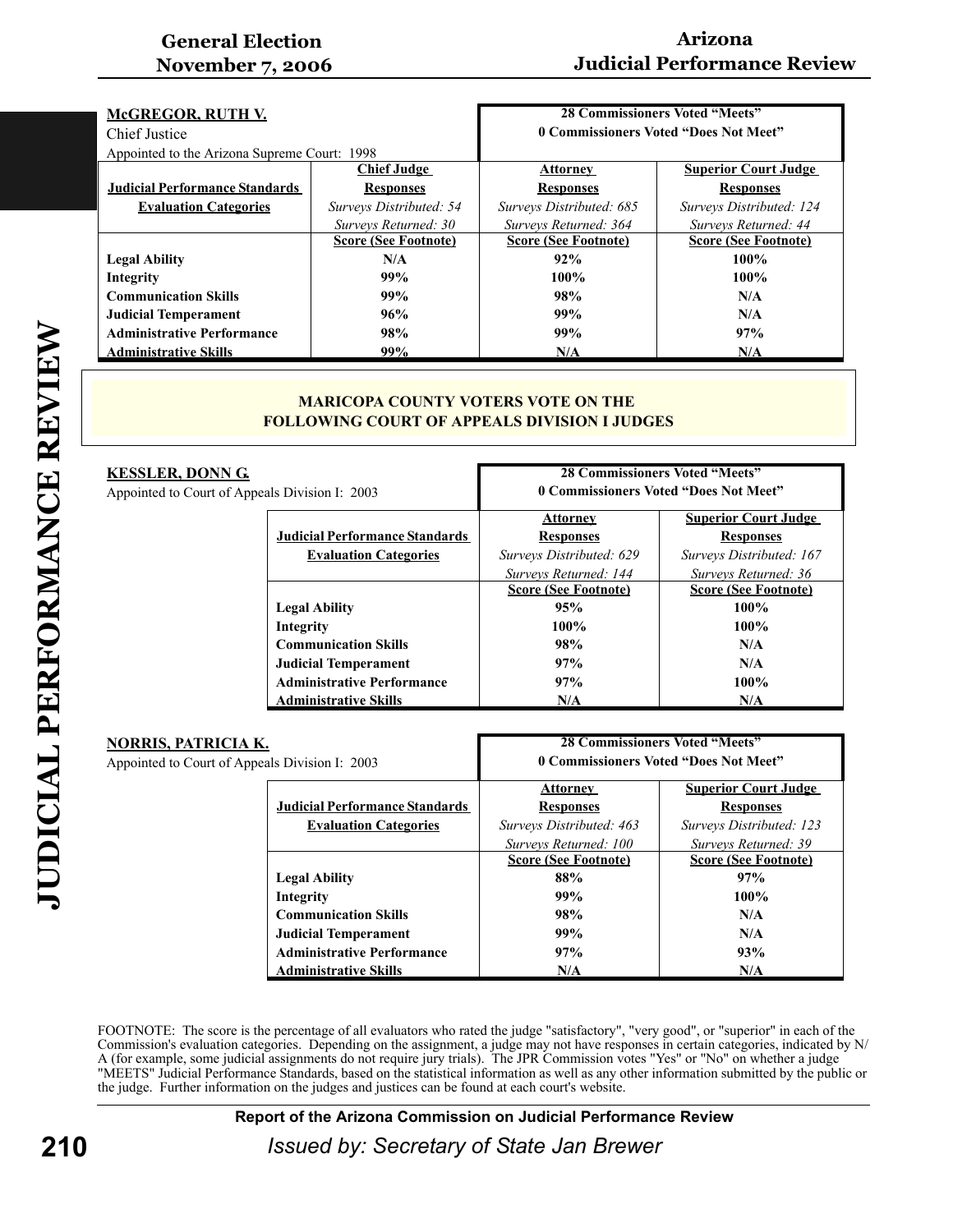### **Arizona Judicial Performance Review**

| <b>28 Commissioners Voted "Meets"</b><br><b>McGREGOR, RUTH V.</b> |                             |                                       |                             |
|-------------------------------------------------------------------|-----------------------------|---------------------------------------|-----------------------------|
| Chief Justice                                                     |                             | 0 Commissioners Voted "Does Not Meet" |                             |
| Appointed to the Arizona Supreme Court: 1998                      |                             |                                       |                             |
|                                                                   | <b>Chief Judge</b>          | <b>Attorney</b>                       | <b>Superior Court Judge</b> |
| <b>Judicial Performance Standards</b>                             | <b>Responses</b>            | <b>Responses</b>                      | <b>Responses</b>            |
| <b>Evaluation Categories</b>                                      | Surveys Distributed: 54     | Surveys Distributed: 685              | Surveys Distributed: 124    |
|                                                                   | Surveys Returned: 30        | Surveys Returned: 364                 | Surveys Returned: 44        |
|                                                                   | <b>Score (See Footnote)</b> | <b>Score (See Footnote)</b>           | <b>Score (See Footnote)</b> |
| <b>Legal Ability</b>                                              | N/A                         | 92%                                   | $100\%$                     |
| Integrity                                                         | 99%                         | $100\%$                               | $100\%$                     |
| <b>Communication Skills</b>                                       | 99%                         | 98%                                   | N/A                         |
| <b>Judicial Temperament</b>                                       | 96%                         | 99%                                   | N/A                         |
| <b>Administrative Performance</b>                                 | 98%                         | 99%                                   | 97%                         |
| <b>Administrative Skills</b>                                      | 99%                         | N/A                                   | N/A                         |

#### **MARICOPA COUNTY VOTERS VOTE ON THE FOLLOWING COURT OF APPEALS DIVISION I JUDGES**

| KESSLER, DONN G.<br>Appointed to Court of Appeals Division I: 2003 |                                       | <b>28 Commissioners Voted "Meets"</b><br>0 Commissioners Voted "Does Not Meet" |                             |  |
|--------------------------------------------------------------------|---------------------------------------|--------------------------------------------------------------------------------|-----------------------------|--|
|                                                                    |                                       | <b>Attorney</b>                                                                | <b>Superior Court Judge</b> |  |
|                                                                    | <b>Judicial Performance Standards</b> | <b>Responses</b>                                                               | <b>Responses</b>            |  |
|                                                                    | <b>Evaluation Categories</b>          | Surveys Distributed: 629                                                       | Surveys Distributed: 167    |  |
|                                                                    |                                       | Surveys Returned: 144                                                          | Surveys Returned: 36        |  |
|                                                                    |                                       | <b>Score (See Footnote)</b>                                                    | <b>Score (See Footnote)</b> |  |
|                                                                    | <b>Legal Ability</b>                  | 95%                                                                            | $100\%$                     |  |
|                                                                    | Integrity                             | $100\%$                                                                        | $100\%$                     |  |
|                                                                    | <b>Communication Skills</b>           | 98%                                                                            | N/A                         |  |
|                                                                    | <b>Judicial Temperament</b>           | 97%                                                                            | N/A                         |  |
|                                                                    | <b>Administrative Performance</b>     | 97%                                                                            | $100\%$                     |  |
|                                                                    | <b>Administrative Skills</b>          | N/A                                                                            | N/A                         |  |

| <u>NORRIS, PATRICIA K.</u>                     | <b>28 Commissioners Voted "Meets"</b>   |                             |
|------------------------------------------------|-----------------------------------------|-----------------------------|
| Appointed to Court of Appeals Division I: 2003 | 0 Commissioners Voted "Does Not Meet"   |                             |
|                                                | <b>Superior Court Judge</b><br>Attorney |                             |
| <b>Judicial Performance Standards</b>          | <b>Responses</b>                        | <b>Responses</b>            |
| <b>Evaluation Categories</b>                   | Surveys Distributed: 463                | Surveys Distributed: 123    |
|                                                | Surveys Returned: 100                   | Surveys Returned: 39        |
|                                                | <b>Score (See Footnote)</b>             | <b>Score (See Footnote)</b> |
| <b>Legal Ability</b>                           | 88%                                     | 97%                         |
| Integrity                                      | 99%                                     | $100\%$                     |
| <b>Communication Skills</b>                    | 98%                                     | N/A                         |
| <b>Judicial Temperament</b>                    | 99%                                     | N/A                         |
| <b>Administrative Performance</b>              | 97%                                     | 93%                         |
| <b>Administrative Skills</b>                   | N/A                                     | N/A                         |

FOOTNOTE: The score is the percentage of all evaluators who rated the judge "satisfactory", "very good", or "superior" in each of the Commission's evaluation categories. Depending on the assignment, a judge may not have responses in certain categories, indicated by N/ A (for example, some judicial assignments do not require jury trials). The JPR Commission votes "Yes" or "No" on whether a judge "MEETS" Judicial Performance Standards, based on the statistical information as well as any other information submitted by the public or the judge. Further information on the judges and justices can be found at each court's website.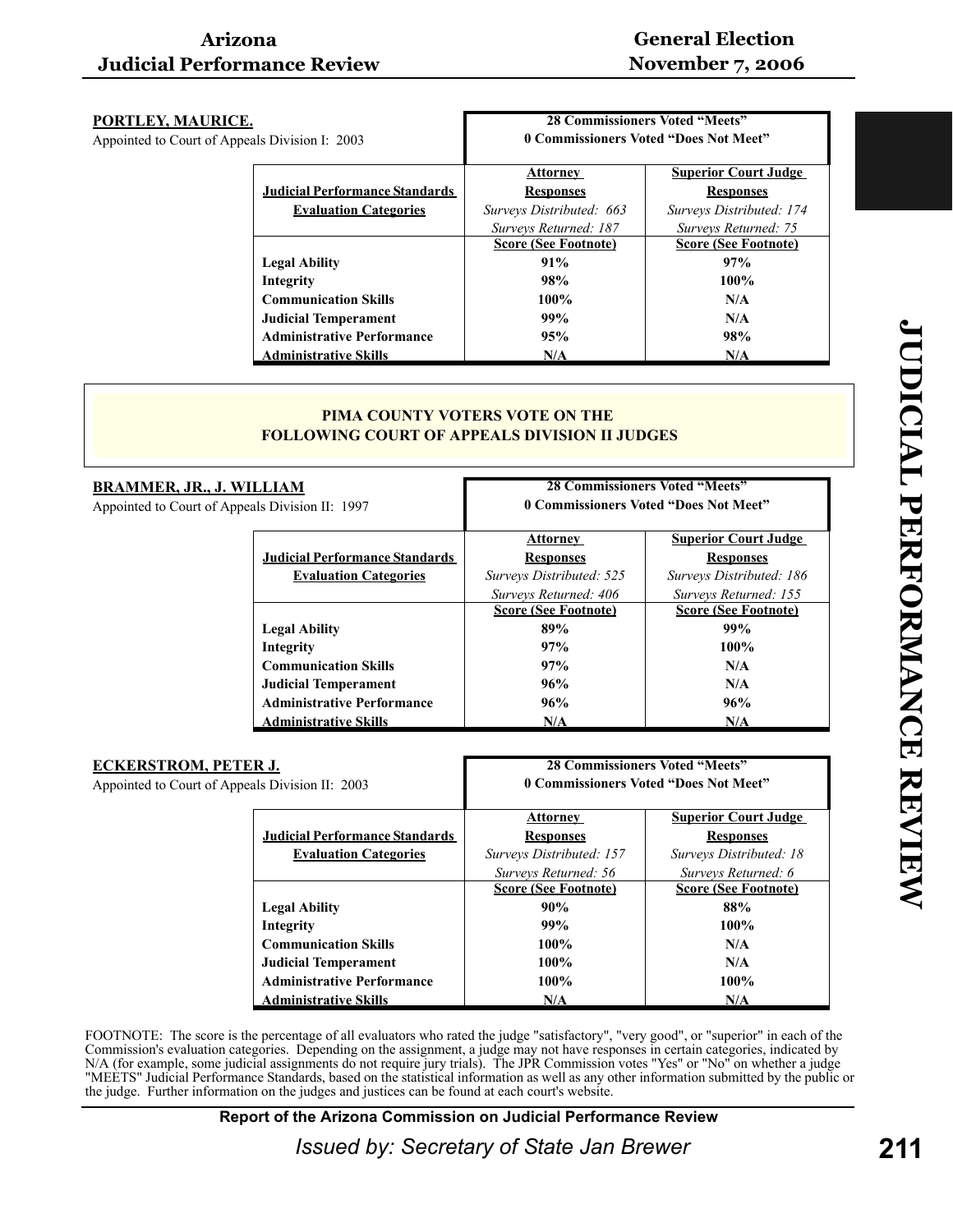| PORTLEY, MAURICE.<br>Appointed to Court of Appeals Division I: 2003 | <b>28 Commissioners Voted "Meets"</b><br>0 Commissioners Voted "Does Not Meet" |                                                     |
|---------------------------------------------------------------------|--------------------------------------------------------------------------------|-----------------------------------------------------|
| <b>Judicial Performance Standards</b>                               | Attorney<br><b>Responses</b>                                                   | <b>Superior Court Judge</b><br><b>Responses</b>     |
| <b>Evaluation Categories</b>                                        | Surveys Distributed: 663                                                       | Surveys Distributed: 174                            |
|                                                                     | Surveys Returned: 187<br><b>Score (See Footnote)</b>                           | Surveys Returned: 75<br><b>Score (See Footnote)</b> |
| <b>Legal Ability</b>                                                | 91%                                                                            | 97%                                                 |
| Integrity                                                           | 98%                                                                            | $100\%$                                             |
| <b>Communication Skills</b>                                         | 100%                                                                           | N/A                                                 |
| <b>Judicial Temperament</b>                                         | 99%                                                                            | N/A                                                 |
| <b>Administrative Performance</b>                                   | 95%                                                                            | 98%                                                 |
| <b>Administrative Skills</b>                                        | N/A                                                                            | N/A                                                 |

#### **PIMA COUNTY VOTERS VOTE ON THE FOLLOWING COURT OF APPEALS DIVISION II JUDGES**

| <u>BRAMMER, JR., J. WILLIAM</u><br>Appointed to Court of Appeals Division II: 1997 |                                       | <b>28 Commissioners Voted "Meets"</b><br>0 Commissioners Voted "Does Not Meet" |                             |
|------------------------------------------------------------------------------------|---------------------------------------|--------------------------------------------------------------------------------|-----------------------------|
|                                                                                    |                                       | <b>Attorney</b>                                                                | <b>Superior Court Judge</b> |
|                                                                                    | <b>Judicial Performance Standards</b> | <b>Responses</b>                                                               | <b>Responses</b>            |
|                                                                                    | <b>Evaluation Categories</b>          | Surveys Distributed: 525                                                       | Surveys Distributed: 186    |
|                                                                                    |                                       | Surveys Returned: 406                                                          | Surveys Returned: 155       |
|                                                                                    |                                       | <b>Score (See Footnote)</b>                                                    | <b>Score (See Footnote)</b> |
|                                                                                    | <b>Legal Ability</b>                  | 89%                                                                            | 99%                         |
|                                                                                    | Integrity                             | 97%                                                                            | $100\%$                     |
|                                                                                    | <b>Communication Skills</b>           | 97%                                                                            | N/A                         |
|                                                                                    | <b>Judicial Temperament</b>           | 96%                                                                            | N/A                         |
|                                                                                    | <b>Administrative Performance</b>     | 96%                                                                            | 96%                         |
|                                                                                    | <b>Administrative Skills</b>          | N/A                                                                            | N/A                         |

| <b>ECKERSTROM, PETER J.</b>                     |                                       | <b>28 Commissioners Voted "Meets"</b> |                             |
|-------------------------------------------------|---------------------------------------|---------------------------------------|-----------------------------|
| Appointed to Court of Appeals Division II: 2003 |                                       | 0 Commissioners Voted "Does Not Meet" |                             |
|                                                 |                                       | Attorney                              | <b>Superior Court Judge</b> |
|                                                 | <b>Judicial Performance Standards</b> | <b>Responses</b>                      | <b>Responses</b>            |
|                                                 | <b>Evaluation Categories</b>          | Surveys Distributed: 157              | Surveys Distributed: 18     |
|                                                 |                                       | Surveys Returned: 56                  | Surveys Returned: 6         |
|                                                 |                                       | <b>Score (See Footnote)</b>           | <b>Score (See Footnote)</b> |
|                                                 | <b>Legal Ability</b>                  | 90%                                   | 88%                         |
|                                                 | Integrity                             | 99%                                   | $100\%$                     |
|                                                 | <b>Communication Skills</b>           | $100\%$                               | N/A                         |
|                                                 | <b>Judicial Temperament</b>           | $100\%$                               | N/A                         |
|                                                 | <b>Administrative Performance</b>     | $100\%$                               | $100\%$                     |
|                                                 | <b>Administrative Skills</b>          | N/A                                   | N/A                         |

FOOTNOTE: The score is the percentage of all evaluators who rated the judge "satisfactory", "very good", or "superior" in each of the Commission's evaluation categories. Depending on the assignment, a judge may not have responses in certain categories, indicated by N/A (for example, some judicial assignments do not require jury trials). The JPR Commission votes "Yes" or "No" on whether a judge "MEETS" Judicial Performance Standards, based on the statistical information as well as any other information submitted by the public or the judge. Further information on the judges and justices can be found at each court's website.

**Report of the Arizona Commission on Judicial Performance Review**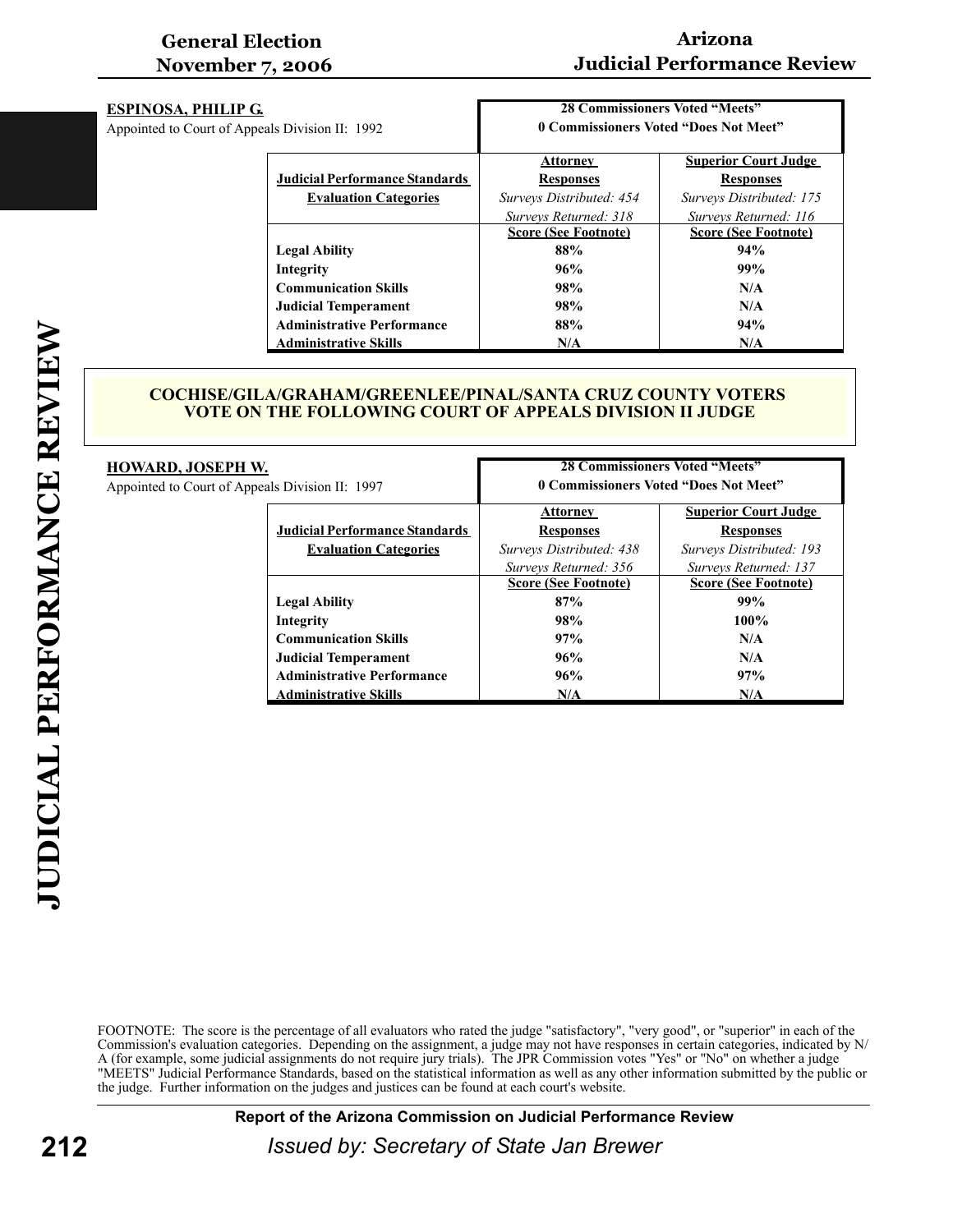# **Arizona Judicial Performance Review**

| <b>ESPINOSA, PHILIP G.</b><br>Appointed to Court of Appeals Division II: 1992 |                                       | <b>28 Commissioners Voted "Meets"</b><br>0 Commissioners Voted "Does Not Meet" |                             |
|-------------------------------------------------------------------------------|---------------------------------------|--------------------------------------------------------------------------------|-----------------------------|
|                                                                               |                                       | <b>Attorney</b>                                                                | <b>Superior Court Judge</b> |
|                                                                               | <b>Judicial Performance Standards</b> | <b>Responses</b>                                                               | <b>Responses</b>            |
|                                                                               | <b>Evaluation Categories</b>          | Surveys Distributed: 454                                                       | Surveys Distributed: 175    |
|                                                                               |                                       | Surveys Returned: 318                                                          | Surveys Returned: 116       |
|                                                                               |                                       | <b>Score (See Footnote)</b>                                                    | <b>Score (See Footnote)</b> |
|                                                                               | <b>Legal Ability</b>                  | 88%                                                                            | 94%                         |
|                                                                               | Integrity                             | 96%                                                                            | 99%                         |
|                                                                               | <b>Communication Skills</b>           | 98%                                                                            | N/A                         |
|                                                                               | <b>Judicial Temperament</b>           | 98%                                                                            | N/A                         |
|                                                                               | <b>Administrative Performance</b>     | 88%                                                                            | 94%                         |
|                                                                               | <b>Administrative Skills</b>          | N/A                                                                            | N/A                         |

#### **COCHISE/GILA/GRAHAM/GREENLEE/PINAL/SANTA CRUZ COUNTY VOTERS VOTE ON THE FOLLOWING COURT OF APPEALS DIVISION II JUDGE**

| <b>HOWARD, JOSEPH W.</b><br>Appointed to Court of Appeals Division II: 1997 | <b>28 Commissioners Voted "Meets"</b><br>0 Commissioners Voted "Does Not Meet" |                                                      |  |
|-----------------------------------------------------------------------------|--------------------------------------------------------------------------------|------------------------------------------------------|--|
| <b>Judicial Performance Standards</b>                                       | <b>Attorney</b><br><b>Responses</b>                                            | <b>Superior Court Judge</b><br><b>Responses</b>      |  |
| <b>Evaluation Categories</b>                                                | Surveys Distributed: 438                                                       | Surveys Distributed: 193                             |  |
|                                                                             | Surveys Returned: 356<br><b>Score (See Footnote)</b>                           | Surveys Returned: 137<br><b>Score (See Footnote)</b> |  |
| <b>Legal Ability</b>                                                        | 87%                                                                            | 99%                                                  |  |
| Integrity                                                                   | 98%                                                                            | $100\%$                                              |  |
| <b>Communication Skills</b>                                                 | 97%                                                                            | N/A                                                  |  |
| <b>Judicial Temperament</b>                                                 | 96%                                                                            | N/A                                                  |  |
| <b>Administrative Performance</b>                                           | 96%                                                                            | 97%                                                  |  |
| <b>Administrative Skills</b>                                                | N/A                                                                            | N/A                                                  |  |

FOOTNOTE: The score is the percentage of all evaluators who rated the judge "satisfactory", "very good", or "superior" in each of the Commission's evaluation categories. Depending on the assignment, a judge may not have responses in certain categories, indicated by N/ A (for example, some judicial assignments do not require jury trials). The JPR Commission votes "Yes" or "No" on whether a judge "MEETS" Judicial Performance Standards, based on the statistical information as well as any other information submitted by the public or the judge. Further information on the judges and justices can be found at each court's website.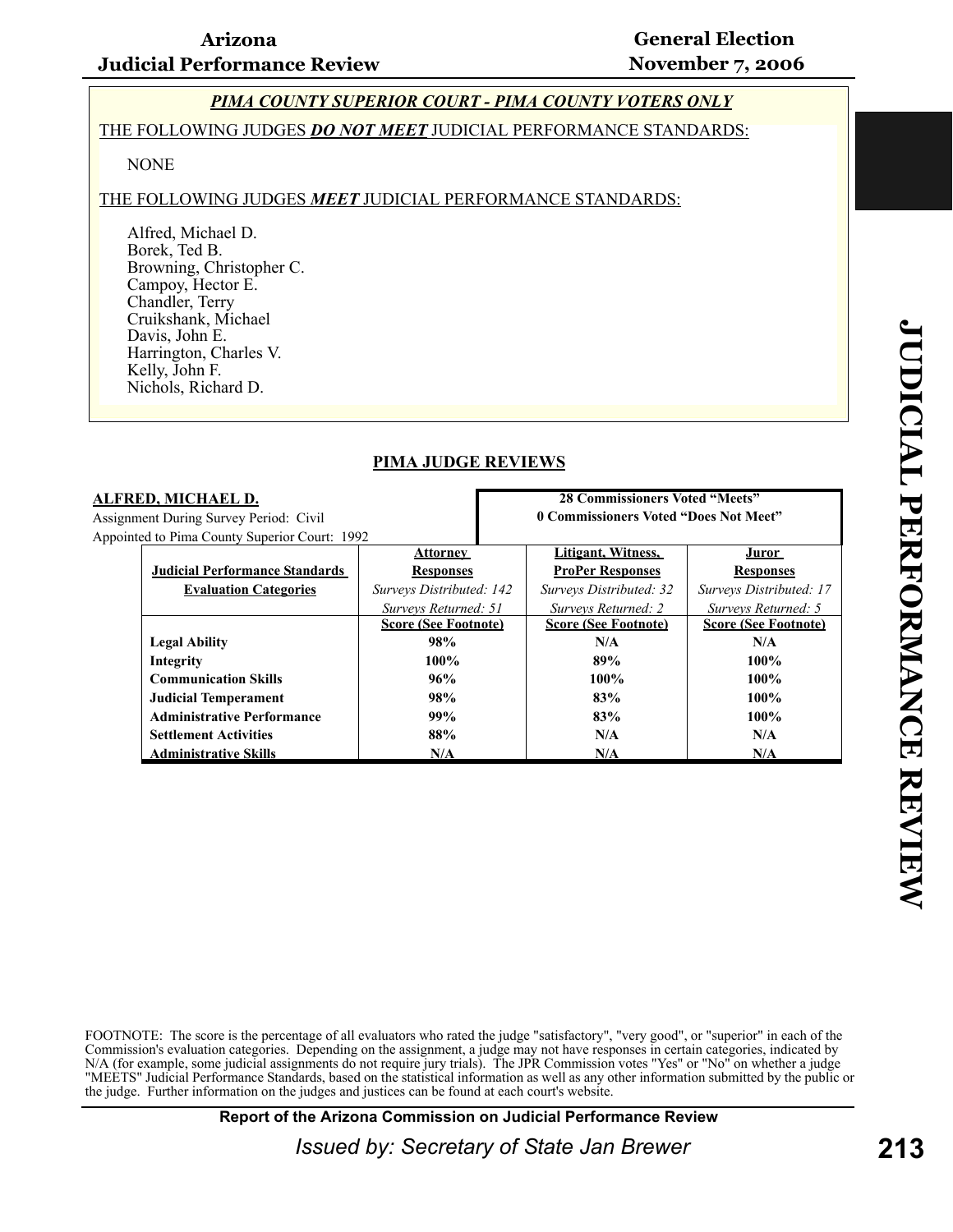**28 Commissioners Voted "Meets" 0 Commissioners Voted "Does Not Meet"**

#### *PIMA COUNTY SUPERIOR COURT - PIMA COUNTY VOTERS ONLY*

#### THE FOLLOWING JUDGES *DO NOT MEET* JUDICIAL PERFORMANCE STANDARDS:

#### **NONE**

#### THE FOLLOWING JUDGES *MEET* JUDICIAL PERFORMANCE STANDARDS:

Alfred, Michael D. Borek, Ted B. Browning, Christopher C. Campoy, Hector E. Chandler, Terry Cruikshank, Michael Davis, John E. Harrington, Charles V. Kelly, John F. Nichols, Richard D.

#### **PIMA JUDGE REVIEWS**

#### **ALFRED, MICHAEL D.**

Assignment During Survey Period: Civil Appointed to Pima County Superior Court: 1992

| $\alpha$ to Finia County Superior Court. 1992 |                             |                             |                             |
|-----------------------------------------------|-----------------------------|-----------------------------|-----------------------------|
|                                               | Attorney                    | Litigant, Witness,          | Juror                       |
| <b>Judicial Performance Standards</b>         | <b>Responses</b>            | <b>ProPer Responses</b>     | <b>Responses</b>            |
| <b>Evaluation Categories</b>                  | Surveys Distributed: 142    | Surveys Distributed: 32     | Surveys Distributed: 17     |
|                                               | Surveys Returned: 51        | Surveys Returned: 2         | Surveys Returned: 5         |
|                                               | <b>Score (See Footnote)</b> | <b>Score (See Footnote)</b> | <b>Score (See Footnote)</b> |
| <b>Legal Ability</b>                          | 98%                         | N/A                         | N/A                         |
| Integrity                                     | $100\%$                     | 89%                         | $100\%$                     |
| <b>Communication Skills</b>                   | 96%                         | $100\%$                     | $100\%$                     |
| <b>Judicial Temperament</b>                   | 98%                         | 83%                         | $100\%$                     |
| <b>Administrative Performance</b>             | 99%                         | 83%                         | $100\%$                     |
| <b>Settlement Activities</b>                  | 88%                         | N/A                         | N/A                         |
| <b>Administrative Skills</b>                  | N/A                         | N/A                         | N/A                         |

FOOTNOTE: The score is the percentage of all evaluators who rated the judge "satisfactory", "very good", or "superior" in each of the Commission's evaluation categories. Depending on the assignment, a judge may not have responses in certain categories, indicated by N/A (for example, some judicial assignments do not require jury trials). The JPR Commission votes "Yes" or "No" on whether a judge "MEETS" Judicial Performance Standards, based on the statistical information as well as any other information submitted by the public or the judge. Further information on the judges and justices can be found at each court's website.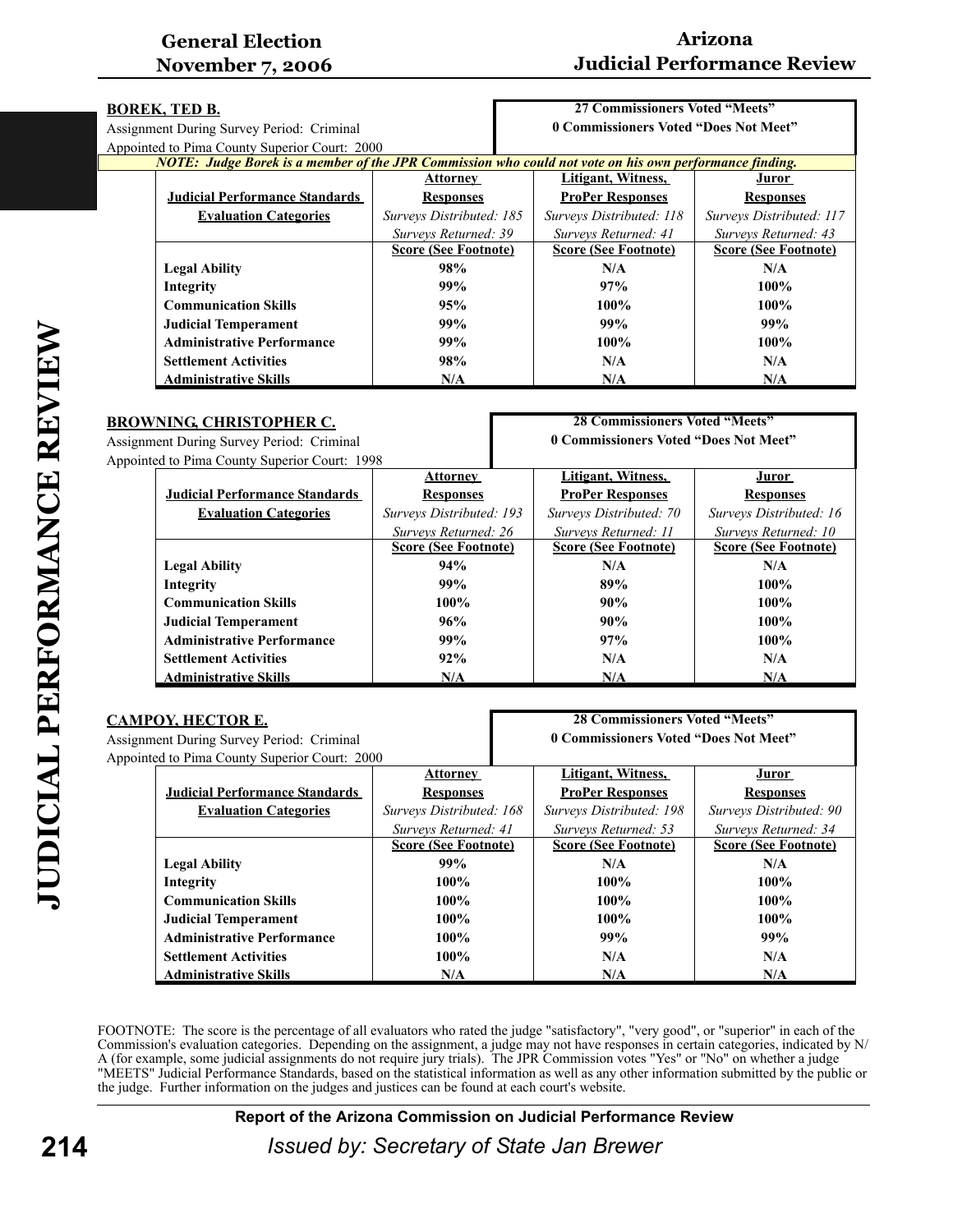# **Arizona Judicial Performance Review**

| <b>BOREK, TED B.</b>                                                                                   |                             | 27 Commissioners Voted "Meets"        |                             |
|--------------------------------------------------------------------------------------------------------|-----------------------------|---------------------------------------|-----------------------------|
| Assignment During Survey Period: Criminal                                                              |                             | 0 Commissioners Voted "Does Not Meet" |                             |
| Appointed to Pima County Superior Court: 2000                                                          |                             |                                       |                             |
| NOTE: Judge Borek is a member of the JPR Commission who could not vote on his own performance finding. |                             |                                       |                             |
|                                                                                                        | <b>Attorney</b>             | Litigant, Witness,                    | Juror                       |
| <b>Judicial Performance Standards</b>                                                                  | <b>Responses</b>            | <b>ProPer Responses</b>               | <b>Responses</b>            |
| <b>Evaluation Categories</b>                                                                           | Surveys Distributed: 185    | Surveys Distributed: 118              | Surveys Distributed: 117    |
|                                                                                                        | Surveys Returned: 39        | Surveys Returned: 41                  | Surveys Returned: 43        |
|                                                                                                        | <b>Score (See Footnote)</b> | <b>Score (See Footnote)</b>           | <b>Score (See Footnote)</b> |
| <b>Legal Ability</b>                                                                                   | 98%                         | N/A                                   | N/A                         |
| Integrity                                                                                              | 99%                         | 97%                                   | $100\%$                     |
| <b>Communication Skills</b>                                                                            | 95%                         | $100\%$                               | $100\%$                     |
| <b>Judicial Temperament</b>                                                                            | 99%                         | 99%                                   | 99%                         |
| <b>Administrative Performance</b>                                                                      | 99%                         | $100\%$                               | $100\%$                     |
| <b>Settlement Activities</b>                                                                           | 98%                         | N/A                                   | N/A                         |
| <b>Administrative Skills</b>                                                                           | N/A                         | N/A                                   | N/A                         |
|                                                                                                        |                             |                                       |                             |

| <b>28 Commissioners Voted "Meets"</b><br><b>BROWNING, CHRISTOPHER C.</b><br>0 Commissioners Voted "Does Not Meet"<br><b>Assignment During Survey Period: Criminal</b> |                             |                             |  |
|-----------------------------------------------------------------------------------------------------------------------------------------------------------------------|-----------------------------|-----------------------------|--|
|                                                                                                                                                                       |                             |                             |  |
| Appointed to Pima County Superior Court: 1998                                                                                                                         |                             |                             |  |
| <b>Attorney</b>                                                                                                                                                       | Litigant, Witness,          | <u>Juror</u>                |  |
| <b>Judicial Performance Standards</b><br><b>Responses</b>                                                                                                             | <b>ProPer Responses</b>     | <b>Responses</b>            |  |
| Surveys Distributed: 193                                                                                                                                              | Surveys Distributed: 70     | Surveys Distributed: 16     |  |
| Surveys Returned: 26                                                                                                                                                  | Surveys Returned: 11        | Surveys Returned: 10        |  |
| <b>Score (See Footnote)</b>                                                                                                                                           | <b>Score (See Footnote)</b> | <b>Score (See Footnote)</b> |  |
| 94%                                                                                                                                                                   | N/A                         | N/A                         |  |
| 99%                                                                                                                                                                   | 89%                         | $100\%$                     |  |
| $100\%$                                                                                                                                                               | 90%                         | 100%                        |  |
| 96%                                                                                                                                                                   | 90%                         | 100%                        |  |
| 99%                                                                                                                                                                   | 97%                         | $100\%$                     |  |
| 92%                                                                                                                                                                   | N/A                         | N/A                         |  |
| N/A                                                                                                                                                                   | N/A                         | N/A                         |  |
|                                                                                                                                                                       |                             |                             |  |

|                                               | <b>CAMPOY, HECTOR E.</b>                  |                             | <b>28 Commissioners Voted "Meets"</b> |                             |  |
|-----------------------------------------------|-------------------------------------------|-----------------------------|---------------------------------------|-----------------------------|--|
|                                               | Assignment During Survey Period: Criminal |                             | 0 Commissioners Voted "Does Not Meet" |                             |  |
| Appointed to Pima County Superior Court: 2000 |                                           |                             |                                       |                             |  |
|                                               |                                           | <b>Attorney</b>             | Litigant, Witness,                    | Juror                       |  |
|                                               | <b>Judicial Performance Standards</b>     | <b>Responses</b>            | <b>ProPer Responses</b>               | <b>Responses</b>            |  |
|                                               | <b>Evaluation Categories</b>              | Surveys Distributed: 168    | Surveys Distributed: 198              | Surveys Distributed: 90     |  |
|                                               |                                           | Surveys Returned: 41        | Surveys Returned: 53                  | Surveys Returned: 34        |  |
|                                               |                                           | <b>Score (See Footnote)</b> | <b>Score (See Footnote)</b>           | <b>Score (See Footnote)</b> |  |
|                                               | <b>Legal Ability</b>                      | 99%                         | N/A                                   | N/A                         |  |
|                                               | Integrity                                 | $100\%$                     | $100\%$                               | $100\%$                     |  |
|                                               | <b>Communication Skills</b>               | 100%                        | $100\%$                               | $100\%$                     |  |
|                                               | <b>Judicial Temperament</b>               | 100%                        | $100\%$                               | 100%                        |  |
|                                               | <b>Administrative Performance</b>         | 100%                        | 99%                                   | 99%                         |  |
|                                               | <b>Settlement Activities</b>              | $100\%$                     | N/A                                   | N/A                         |  |
|                                               | <b>Administrative Skills</b>              | N/A                         | N/A                                   | N/A                         |  |

FOOTNOTE: The score is the percentage of all evaluators who rated the judge "satisfactory", "very good", or "superior" in each of the Commission's evaluation categories. Depending on the assignment, a judge may not have responses in certain categories, indicated by N/ A (for example, some judicial assignments do not require jury trials). The JPR Commission votes "Yes" or "No" on whether a judge "MEETS" Judicial Performance Standards, based on the statistical information as well as any other information submitted by the public or the judge. Further information on the judges and justices can be found at each court's website.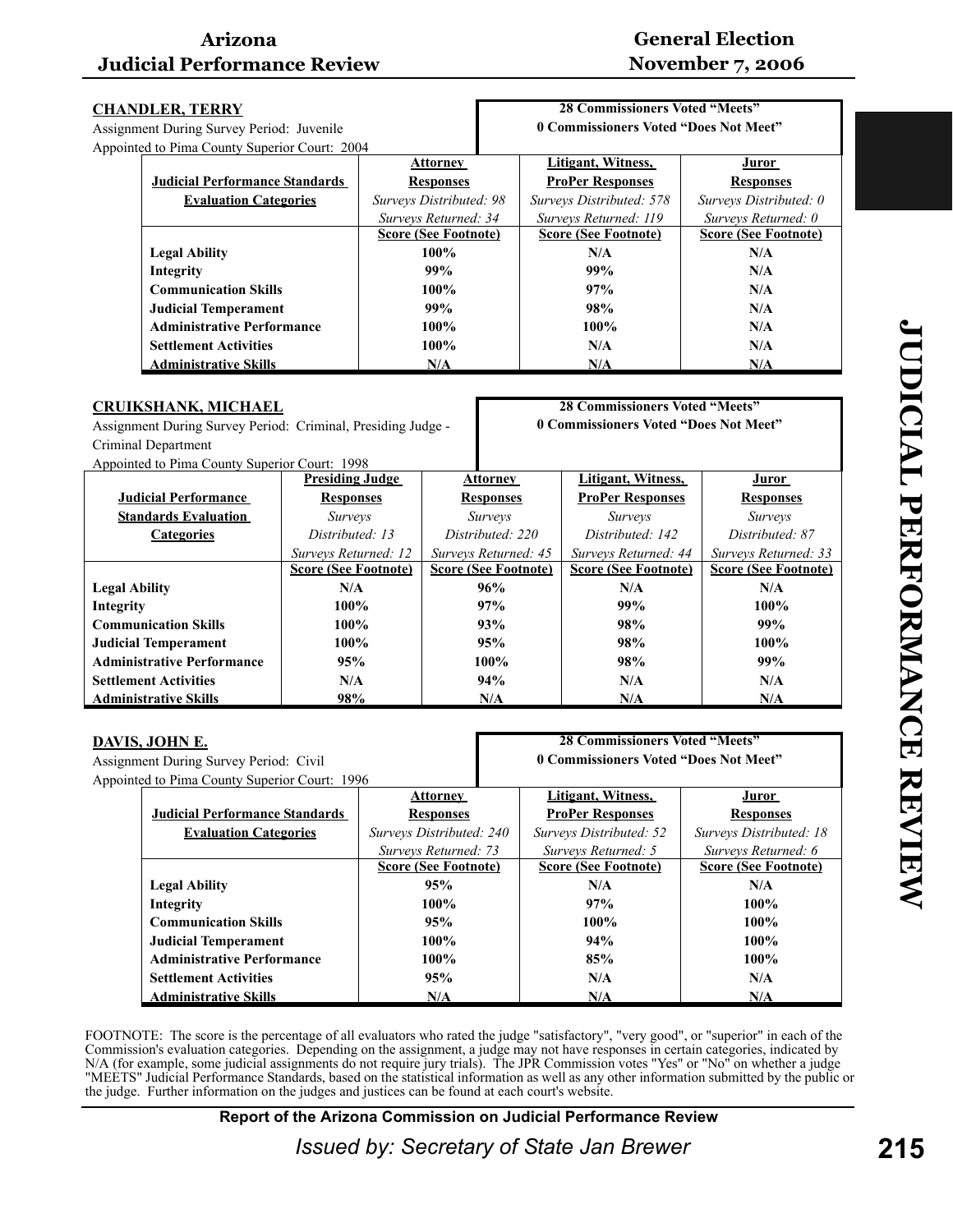# **General Election November 7, 2006**

| <b>28 Commissioners Voted "Meets"</b><br><b>CHANDLER, TERRY</b> |                             |                                       |                             |  |
|-----------------------------------------------------------------|-----------------------------|---------------------------------------|-----------------------------|--|
| Assignment During Survey Period: Juvenile                       |                             | 0 Commissioners Voted "Does Not Meet" |                             |  |
| Appointed to Pima County Superior Court: 2004                   |                             |                                       |                             |  |
|                                                                 | <b>Attorney</b>             | Litigant, Witness,                    | <u>Juror</u>                |  |
| <b>Judicial Performance Standards</b>                           | <b>Responses</b>            | <b>ProPer Responses</b>               | <b>Responses</b>            |  |
| <b>Evaluation Categories</b>                                    | Surveys Distributed: 98     | Surveys Distributed: 578              | Surveys Distributed: 0      |  |
|                                                                 | Surveys Returned: 34        | Surveys Returned: 119                 | Surveys Returned: 0         |  |
|                                                                 | <b>Score (See Footnote)</b> | <b>Score (See Footnote)</b>           | <b>Score (See Footnote)</b> |  |
| <b>Legal Ability</b>                                            | $100\%$                     | N/A                                   | N/A                         |  |
| Integrity                                                       | 99%                         | 99%                                   | N/A                         |  |
| <b>Communication Skills</b>                                     | $100\%$                     | 97%                                   | N/A                         |  |
| <b>Judicial Temperament</b>                                     | 99%                         | 98%                                   | N/A                         |  |
| <b>Administrative Performance</b>                               | $100\%$                     | $100\%$                               | N/A                         |  |
| <b>Settlement Activities</b>                                    | $100\%$                     | N/A                                   | N/A                         |  |
| <b>Administrative Skills</b>                                    | N/A                         | N/A                                   | N/A                         |  |

#### **CRUIKSHANK, MICHAEL**

Assignment During Survey Period: Criminal, Presiding Judge - Criminal Department

Appointed to Pima County Superior Court: 1998

**28 Commissioners Voted "Meets" 0 Commissioners Voted "Does Not Meet"**

| $1.18$ pointed to 1 mm county buperior court. $1220$ |                             |                             |                             |                             |
|------------------------------------------------------|-----------------------------|-----------------------------|-----------------------------|-----------------------------|
|                                                      | <b>Presiding Judge</b>      | <b>Attorney</b>             | Litigant, Witness,          | Juror                       |
| <b>Judicial Performance</b>                          | <b>Responses</b>            | <b>Responses</b>            | <b>ProPer Responses</b>     | <b>Responses</b>            |
| <b>Standards Evaluation</b>                          | <i>Surveys</i>              | <i>Surveys</i>              | <i>Surveys</i>              | <i>Surveys</i>              |
| <b>Categories</b>                                    | Distributed: 13             | Distributed: 220            | Distributed: 142            | Distributed: 87             |
|                                                      | Surveys Returned: 12        | Surveys Returned: 45        | Surveys Returned: 44        | Surveys Returned: 33        |
|                                                      | <b>Score (See Footnote)</b> | <b>Score (See Footnote)</b> | <b>Score (See Footnote)</b> | <b>Score (See Footnote)</b> |
| <b>Legal Ability</b>                                 | N/A                         | 96%                         | N/A                         | N/A                         |
| Integrity                                            | 100%                        | 97%                         | 99%                         | 100%                        |
| <b>Communication Skills</b>                          | $100\%$                     | 93%                         | 98%                         | 99%                         |
| <b>Judicial Temperament</b>                          | $100\%$                     | 95%                         | 98%                         | $100\%$                     |
| <b>Administrative Performance</b>                    | 95%                         | $100\%$                     | 98%                         | 99%                         |
| <b>Settlement Activities</b>                         | N/A                         | 94%                         | N/A                         | N/A                         |
| <b>Administrative Skills</b>                         | 98%                         | N/A                         | N/A                         | N/A                         |

|--|

| <b>28 Commissioners Voted "Meets"</b><br><u>DAVIS, JOHN E.</u> |                             |                                       |                             |  |
|----------------------------------------------------------------|-----------------------------|---------------------------------------|-----------------------------|--|
| Assignment During Survey Period: Civil                         |                             | 0 Commissioners Voted "Does Not Meet" |                             |  |
| Appointed to Pima County Superior Court: 1996                  |                             |                                       |                             |  |
|                                                                | <b>Attorney</b>             | Litigant, Witness,                    | <b>Juror</b>                |  |
| <b>Judicial Performance Standards</b>                          | <b>Responses</b>            | <b>ProPer Responses</b>               | <b>Responses</b>            |  |
| <b>Evaluation Categories</b>                                   | Surveys Distributed: 240    | Surveys Distributed: 52               | Surveys Distributed: 18     |  |
|                                                                | Surveys Returned: 73        | Surveys Returned: 5                   | Surveys Returned: 6         |  |
|                                                                | <b>Score (See Footnote)</b> | <b>Score (See Footnote)</b>           | <b>Score (See Footnote)</b> |  |
| <b>Legal Ability</b>                                           | 95%                         | N/A                                   | N/A                         |  |
| Integrity                                                      | $100\%$                     | 97%                                   | $100\%$                     |  |
| <b>Communication Skills</b>                                    | 95%                         | $100\%$                               | 100%                        |  |
| <b>Judicial Temperament</b>                                    | $100\%$                     | 94%                                   | $100\%$                     |  |
| <b>Administrative Performance</b>                              | $100\%$                     | 85%                                   | 100%                        |  |
| <b>Settlement Activities</b>                                   | 95%                         | N/A                                   | N/A                         |  |
| <b>Administrative Skills</b>                                   | N/A                         | N/A                                   | N/A                         |  |

FOOTNOTE: The score is the percentage of all evaluators who rated the judge "satisfactory", "very good", or "superior" in each of the Commission's evaluation categories. Depending on the assignment, a judge may not have responses in certain categories, indicated by N/A (for example, some judicial assignments do not require jury trials). The JPR Commission votes "Yes" or "No" on whether a judge "MEETS" Judicial Performance Standards, based on the statistical information as well as any other information submitted by the public or the judge. Further information on the judges and justices can be found at each court's website.

**Report of the Arizona Commission on Judicial Performance Review**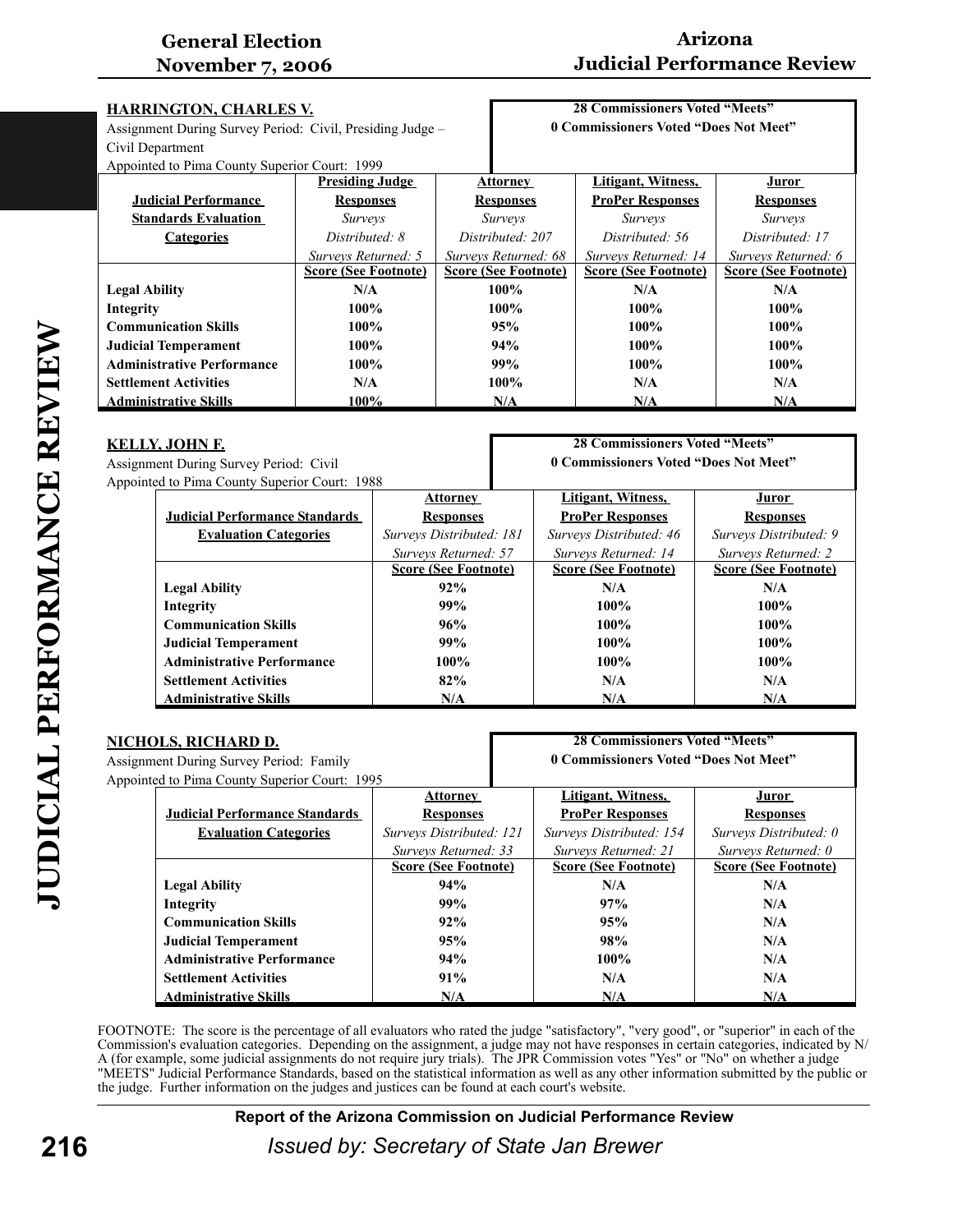# **Arizona Judicial Performance Review**

| <b>HARRINGTON, CHARLES V.</b>                                                                      |                             | <b>28 Commissioners Voted "Meets"</b> |                             |                             |
|----------------------------------------------------------------------------------------------------|-----------------------------|---------------------------------------|-----------------------------|-----------------------------|
| 0 Commissioners Voted "Does Not Meet"<br>Assignment During Survey Period: Civil, Presiding Judge - |                             |                                       |                             |                             |
| Civil Department                                                                                   |                             |                                       |                             |                             |
| Appointed to Pima County Superior Court: 1999                                                      |                             |                                       |                             |                             |
|                                                                                                    | <b>Presiding Judge</b>      | <u>Attorney</u>                       | Litigant, Witness,          | <u>Juror</u>                |
| <b>Judicial Performance</b>                                                                        | <b>Responses</b>            | <b>Responses</b>                      | <b>ProPer Responses</b>     | <b>Responses</b>            |
| <b>Standards Evaluation</b>                                                                        | <i>Surveys</i>              | <i>Surveys</i>                        | <i>Surveys</i>              | <i>Surveys</i>              |
| <b>Categories</b>                                                                                  | Distributed: 8              | Distributed: 207                      | Distributed: 56             | Distributed: 17             |
|                                                                                                    | Surveys Returned: 5         | Surveys Returned: 68                  | Surveys Returned: 14        | Surveys Returned: 6         |
|                                                                                                    | <b>Score (See Footnote)</b> | <b>Score (See Footnote)</b>           | <b>Score (See Footnote)</b> | <b>Score (See Footnote)</b> |
| <b>Legal Ability</b>                                                                               | N/A                         | $100\%$                               | N/A                         | N/A                         |
| Integrity                                                                                          | $100\%$                     | 100%                                  | 100%                        | $100\%$                     |
| <b>Communication Skills</b>                                                                        | 100%                        | 95%                                   | 100%                        | $100\%$                     |
| <b>Judicial Temperament</b>                                                                        | $100\%$                     | 94%                                   | $100\%$                     | $100\%$                     |
| <b>Administrative Performance</b>                                                                  | 100%                        | 99%                                   | $100\%$                     | 100%                        |
| <b>Settlement Activities</b>                                                                       | N/A                         | 100%                                  | N/A                         | N/A                         |
| <b>Administrative Skills</b>                                                                       | 100%                        | N/A                                   | N/A                         | N/A                         |

#### **KELLY, JOHN F.**

Assignment During Survey Period: Civil Appointed to Pima County Superior Court: 1988

**28 Commissioners Voted "Meets" 0 Commissioners Voted "Does Not Meet"**

| ncu to i mna County Bupchof Court. 1766 |                             |                             |                             |
|-----------------------------------------|-----------------------------|-----------------------------|-----------------------------|
|                                         | <b>Attorney</b>             | Litigant, Witness,          | Juror                       |
| <b>Judicial Performance Standards</b>   | <b>Responses</b>            | <b>ProPer Responses</b>     | <b>Responses</b>            |
| <b>Evaluation Categories</b>            | Surveys Distributed: 181    | Surveys Distributed: 46     | Surveys Distributed: 9      |
|                                         | Surveys Returned: 57        | Surveys Returned: 14        | Surveys Returned: 2         |
|                                         | <b>Score (See Footnote)</b> | <b>Score (See Footnote)</b> | <b>Score (See Footnote)</b> |
| <b>Legal Ability</b>                    | 92%                         | N/A                         | N/A                         |
| Integrity                               | 99%                         | $100\%$                     | $100\%$                     |
| <b>Communication Skills</b>             | 96%                         | $100\%$                     | $100\%$                     |
| <b>Judicial Temperament</b>             | 99%                         | $100\%$                     | $100\%$                     |
| <b>Administrative Performance</b>       | $100\%$                     | $100\%$                     | $100\%$                     |
| <b>Settlement Activities</b>            | 82%                         | N/A                         | N/A                         |
| <b>Administrative Skills</b>            | N/A                         | N/A                         | N/A                         |

| <u>NICHOLS, RICHARD D.</u> |                                                                                  |                             | <b>28 Commissioners Voted "Meets"</b> |                             |
|----------------------------|----------------------------------------------------------------------------------|-----------------------------|---------------------------------------|-----------------------------|
|                            | 0 Commissioners Voted "Does Not Meet"<br>Assignment During Survey Period: Family |                             |                                       |                             |
|                            | Appointed to Pima County Superior Court: 1995                                    |                             |                                       |                             |
|                            |                                                                                  | <b>Attorney</b>             | Litigant, Witness,                    | Juror                       |
|                            | <b>Judicial Performance Standards</b>                                            | <b>Responses</b>            | <b>ProPer Responses</b>               | <b>Responses</b>            |
|                            | <b>Evaluation Categories</b>                                                     | Surveys Distributed: 121    | Surveys Distributed: 154              | Surveys Distributed: 0      |
|                            |                                                                                  | Surveys Returned: 33        | Surveys Returned: 21                  | Surveys Returned: 0         |
|                            |                                                                                  | <b>Score (See Footnote)</b> | <b>Score (See Footnote)</b>           | <b>Score (See Footnote)</b> |
|                            | <b>Legal Ability</b>                                                             | 94%                         | N/A                                   | N/A                         |
|                            | Integrity                                                                        | 99%                         | 97%                                   | N/A                         |
|                            | <b>Communication Skills</b>                                                      | 92%                         | 95%                                   | N/A                         |
|                            | <b>Judicial Temperament</b>                                                      | 95%                         | 98%                                   | N/A                         |
|                            | <b>Administrative Performance</b>                                                | 94%                         | $100\%$                               | N/A                         |
|                            | <b>Settlement Activities</b>                                                     | 91%                         | N/A                                   | N/A                         |
|                            | <b>Administrative Skills</b>                                                     | N/A                         | N/A                                   | N/A                         |

FOOTNOTE: The score is the percentage of all evaluators who rated the judge "satisfactory", "very good", or "superior" in each of the Commission's evaluation categories. Depending on the assignment, a judge may not have responses in certain categories, indicated by N/ A (for example, some judicial assignments do not require jury trials). The JPR Commission votes "Yes" or "No" on whether a judge "MEETS" Judicial Performance Standards, based on the statistical information as well as any other information submitted by the public or the judge. Further information on the judges and justices can be found at each court's website.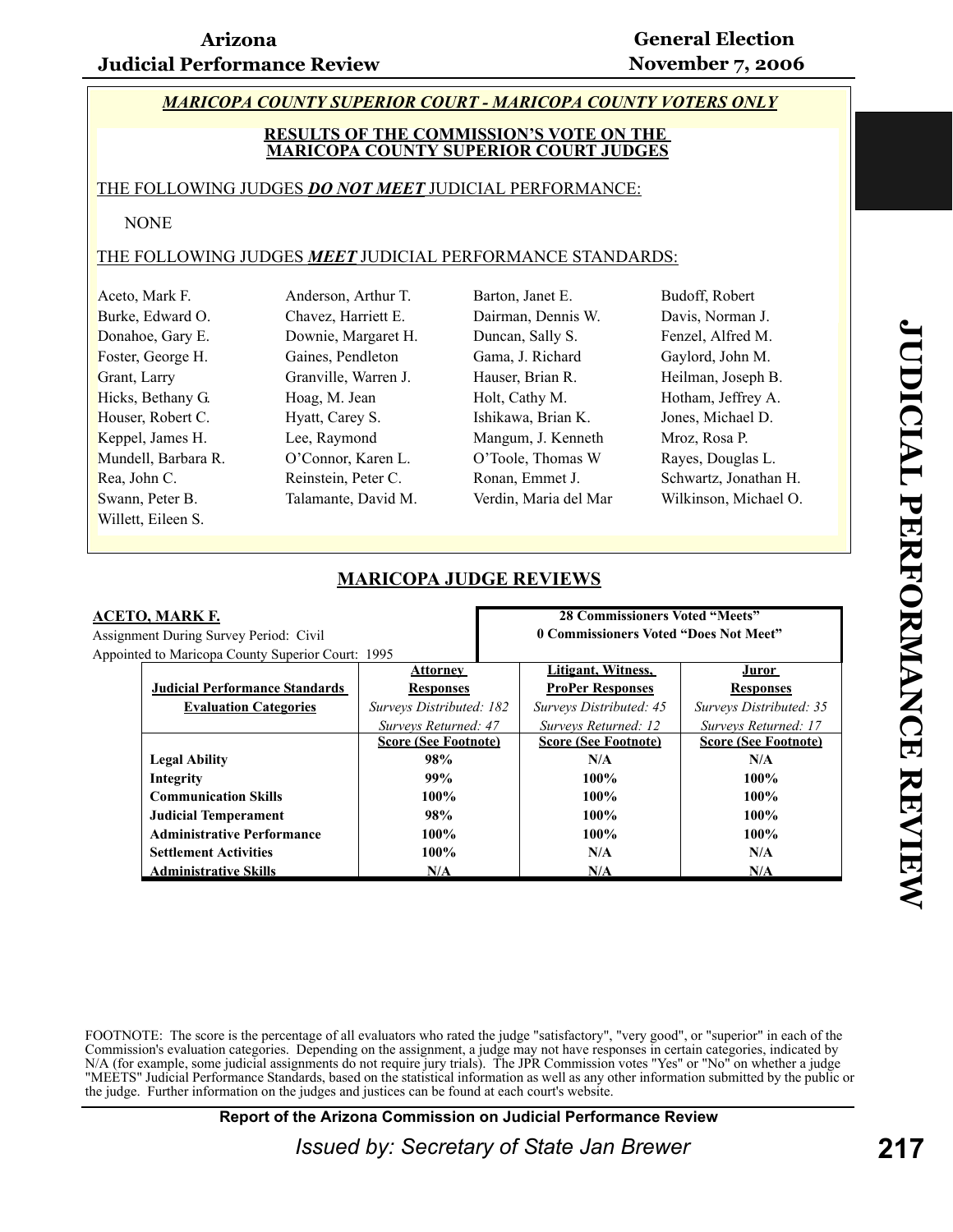#### *MARICOPA COUNTY SUPERIOR COURT - MARICOPA COUNTY VOTERS ONLY*

#### **RESULTS OF THE COMMISSION'S VOTE ON THE MARICOPA COUNTY SUPERIOR COURT JUDGES**

#### THE FOLLOWING JUDGES *DO NOT MEET* JUDICIAL PERFORMANCE:

#### NONE

#### THE FOLLOWING JUDGES *MEET* JUDICIAL PERFORMANCE STANDARDS:

| Aceto, Mark F.      | Anderson, Arthur T.  | Barton, Janet E.      | Budoff, Robert        |
|---------------------|----------------------|-----------------------|-----------------------|
| Burke, Edward O.    | Chavez, Harriett E.  | Dairman, Dennis W.    | Davis, Norman J.      |
| Donahoe, Gary E.    | Downie, Margaret H.  | Duncan, Sally S.      | Fenzel, Alfred M.     |
| Foster, George H.   | Gaines, Pendleton    | Gama, J. Richard      | Gaylord, John M.      |
| Grant, Larry        | Granville, Warren J. | Hauser, Brian R.      | Heilman, Joseph B.    |
| Hicks, Bethany G.   | Hoag, M. Jean        | Holt, Cathy M.        | Hotham, Jeffrey A.    |
| Houser, Robert C.   | Hyatt, Carey S.      | Ishikawa, Brian K.    | Jones, Michael D.     |
| Keppel, James H.    | Lee, Raymond         | Mangum, J. Kenneth    | Mroz, Rosa P.         |
| Mundell, Barbara R. | O'Connor, Karen L.   | O'Toole, Thomas W     | Rayes, Douglas L.     |
| Rea, John C.        | Reinstein, Peter C.  | Ronan, Emmet J.       | Schwartz, Jonathan H. |
| Swann, Peter B.     | Talamante, David M.  | Verdin, Maria del Mar | Wilkinson, Michael O. |
| Willett, Eileen S.  |                      |                       |                       |

|                                                   | <b>MARICOLA JODGE REVIEWS</b> |                                       |                                       |                             |
|---------------------------------------------------|-------------------------------|---------------------------------------|---------------------------------------|-----------------------------|
| <b>ACETO, MARK F.</b>                             |                               |                                       | <b>28 Commissioners Voted "Meets"</b> |                             |
| Assignment During Survey Period: Civil            |                               | 0 Commissioners Voted "Does Not Meet" |                                       |                             |
| Appointed to Maricopa County Superior Court: 1995 |                               |                                       |                                       |                             |
|                                                   | <b>Attorney</b>               |                                       | Litigant, Witness,                    | <u>Juror</u>                |
| <b>Judicial Performance Standards</b>             | <b>Responses</b>              |                                       | <b>ProPer Responses</b>               | <b>Responses</b>            |
| <b>Evaluation Categories</b>                      | Surveys Distributed: 182      |                                       | Surveys Distributed: 45               | Surveys Distributed: 35     |
|                                                   | Surveys Returned: 47          |                                       | Surveys Returned: 12                  | Surveys Returned: 17        |
|                                                   | <b>Score (See Footnote)</b>   |                                       | <b>Score (See Footnote)</b>           | <b>Score (See Footnote)</b> |
| <b>Legal Ability</b>                              | 98%                           |                                       | N/A                                   | N/A                         |
| Integrity                                         | 99%                           |                                       | 100%                                  | 100%                        |
| <b>Communication Skills</b>                       | $100\%$                       |                                       | $100\%$                               | 100%                        |
| <b>Judicial Temperament</b>                       | 98%                           |                                       | 100%                                  | 100%                        |
| <b>Administrative Performance</b>                 | 100%                          |                                       | $100\%$                               | 100%                        |
| <b>Settlement Activities</b>                      | 100%                          |                                       | N/A                                   | N/A                         |
| <b>Administrative Skills</b>                      | N/A                           |                                       | N/A                                   | N/A                         |

#### **MARICOPA JUDGE REVIEWS**

FOOTNOTE: The score is the percentage of all evaluators who rated the judge "satisfactory", "very good", or "superior" in each of the Commission's evaluation categories. Depending on the assignment, a judge may not have responses in certain categories, indicated by N/A (for example, some judicial assignments do not require jury trials). The JPR Commission votes "Yes" or "No" on whether a judge "MEETS" Judicial Performance Standards, based on the statistical information as well as any other information submitted by the public or the judge. Further information on the judges and justices can be found at each court's website.

**Report of the Arizona Commission on Judicial Performance Review**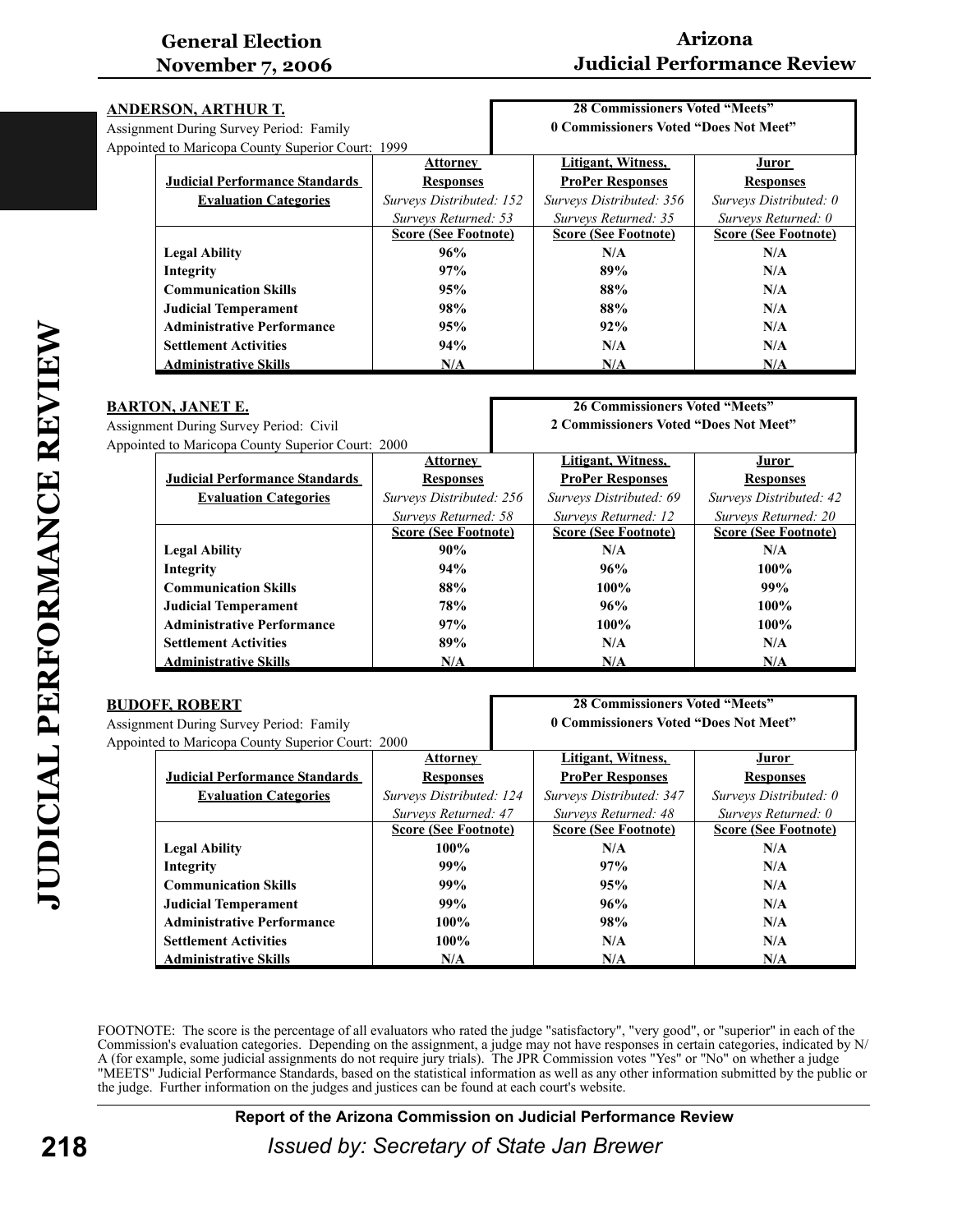# **Arizona Judicial Performance Review**

**28 Commissioners Voted "Meets"**

| <u>ANDERSON, ARTHUR T.</u>                        |                                         |                             | <b>28 Commissioners Voted "Meets"</b> |                                       |                             |
|---------------------------------------------------|-----------------------------------------|-----------------------------|---------------------------------------|---------------------------------------|-----------------------------|
|                                                   | Assignment During Survey Period: Family |                             |                                       | 0 Commissioners Voted "Does Not Meet" |                             |
| Appointed to Maricopa County Superior Court: 1999 |                                         |                             |                                       |                                       |                             |
|                                                   |                                         | <b>Attorney</b>             |                                       | Litigant, Witness,                    | Juror                       |
|                                                   | <b>Judicial Performance Standards</b>   | <b>Responses</b>            |                                       | <b>ProPer Responses</b>               | <b>Responses</b>            |
|                                                   | <b>Evaluation Categories</b>            | Surveys Distributed: 152    |                                       | Surveys Distributed: 356              | Surveys Distributed: 0      |
|                                                   |                                         | Surveys Returned: 53        |                                       | Surveys Returned: 35                  | Surveys Returned: 0         |
|                                                   |                                         | <b>Score (See Footnote)</b> |                                       | <b>Score (See Footnote)</b>           | <b>Score (See Footnote)</b> |
|                                                   | <b>Legal Ability</b>                    | 96%                         |                                       | N/A                                   | N/A                         |
|                                                   | Integrity                               | 97%                         |                                       | 89%                                   | N/A                         |
|                                                   | <b>Communication Skills</b>             | 95%                         |                                       | 88%                                   | N/A                         |
|                                                   | <b>Judicial Temperament</b>             | 98%                         |                                       | 88%                                   | N/A                         |
|                                                   | <b>Administrative Performance</b>       | 95%                         |                                       | 92%                                   | N/A                         |
|                                                   | <b>Settlement Activities</b>            | 94%                         |                                       | N/A                                   | N/A                         |
|                                                   | <b>Administrative Skills</b>            | N/A                         |                                       | N/A                                   | N/A                         |

| 26 Commissioners Voted "Meets"<br><b>BARTON, JANET E.</b> |                             |                                       |                             |  |
|-----------------------------------------------------------|-----------------------------|---------------------------------------|-----------------------------|--|
| Assignment During Survey Period: Civil                    |                             | 2 Commissioners Voted "Does Not Meet" |                             |  |
| Appointed to Maricopa County Superior Court: 2000         |                             |                                       |                             |  |
|                                                           | Attorney                    | Litigant, Witness,                    | J <u>uror</u>               |  |
| <b>Judicial Performance Standards</b>                     | <b>Responses</b>            | <b>ProPer Responses</b>               | <b>Responses</b>            |  |
| <b>Evaluation Categories</b>                              | Surveys Distributed: 256    | Surveys Distributed: 69               | Surveys Distributed: 42     |  |
|                                                           | Surveys Returned: 58        | Surveys Returned: 12                  | Surveys Returned: 20        |  |
|                                                           | <b>Score (See Footnote)</b> | <b>Score (See Footnote)</b>           | <b>Score (See Footnote)</b> |  |
| <b>Legal Ability</b>                                      | 90%                         | N/A                                   | N/A                         |  |
| Integrity                                                 | 94%                         | 96%                                   | $100\%$                     |  |
| <b>Communication Skills</b>                               | 88%                         | $100\%$                               | 99%                         |  |
| <b>Judicial Temperament</b>                               | <b>78%</b>                  | 96%                                   | 100%                        |  |
| <b>Administrative Performance</b>                         | 97%                         | $100\%$                               | $100\%$                     |  |
| <b>Settlement Activities</b>                              | 89%                         | N/A                                   | N/A                         |  |
| <b>Administrative Skills</b>                              | N/A                         | N/A                                   | N/A                         |  |

| DUDUFF, KUDEKI |                                                   |                             | 20 CONNINSSIONELS VOLEU DIEELS        |                             |  |
|----------------|---------------------------------------------------|-----------------------------|---------------------------------------|-----------------------------|--|
|                | <b>Assignment During Survey Period: Family</b>    |                             | 0 Commissioners Voted "Does Not Meet" |                             |  |
|                | Appointed to Maricopa County Superior Court: 2000 |                             |                                       |                             |  |
|                |                                                   | <b>Attorney</b>             | Litigant, Witness,                    | Juror                       |  |
|                | <b>Judicial Performance Standards</b>             | <b>Responses</b>            | <b>ProPer Responses</b>               | <b>Responses</b>            |  |
|                | <b>Evaluation Categories</b>                      | Surveys Distributed: 124    | Surveys Distributed: 347              | Surveys Distributed: 0      |  |
|                |                                                   | Surveys Returned: 47        | Surveys Returned: 48                  | Surveys Returned: 0         |  |
|                |                                                   | <b>Score (See Footnote)</b> | <b>Score (See Footnote)</b>           | <b>Score (See Footnote)</b> |  |
|                | <b>Legal Ability</b>                              | $100\%$                     | N/A                                   | N/A                         |  |
|                | Integrity                                         | 99%                         | 97%                                   | N/A                         |  |
|                | <b>Communication Skills</b>                       | 99%                         | 95%                                   | N/A                         |  |
|                | <b>Judicial Temperament</b>                       | 99%                         | 96%                                   | N/A                         |  |
|                | <b>Administrative Performance</b>                 | $100\%$                     | 98%                                   | N/A                         |  |
|                | <b>Settlement Activities</b>                      | 100%                        | N/A                                   | N/A                         |  |
|                | <b>Administrative Skills</b>                      | N/A                         | N/A                                   | N/A                         |  |

FOOTNOTE: The score is the percentage of all evaluators who rated the judge "satisfactory", "very good", or "superior" in each of the Commission's evaluation categories. Depending on the assignment, a judge may not have responses in certain categories, indicated by N/ A (for example, some judicial assignments do not require jury trials). The JPR Commission votes "Yes" or "No" on whether a judge "MEETS" Judicial Performance Standards, based on the statistical information as well as any other information submitted by the public or the judge. Further information on the judges and justices can be found at each court's website.

**Report of the Arizona Commission on Judicial Performance Review**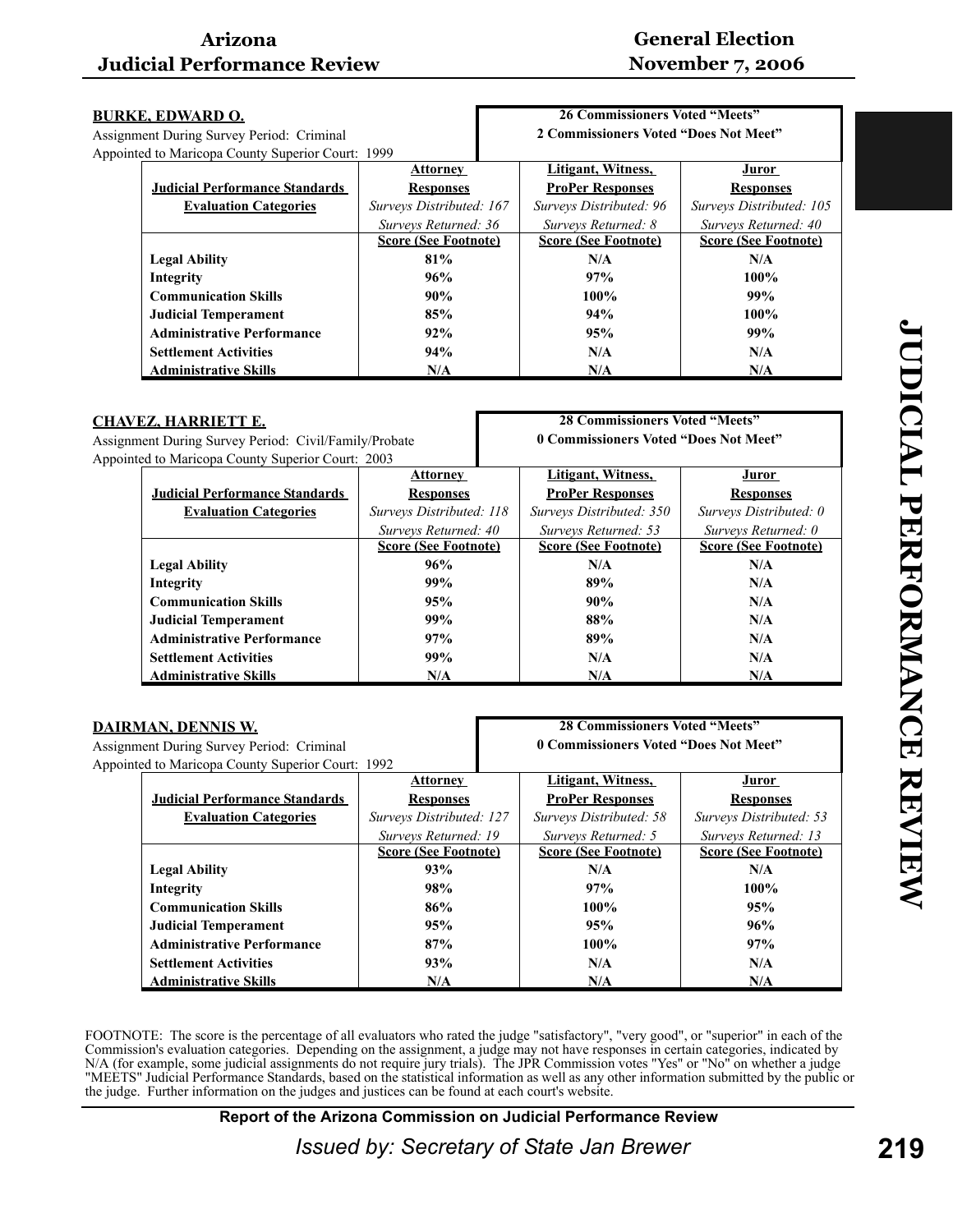# **General Election November 7, 2006**

| <b>BURKE, EDWARD O.</b>                           |                             | <b>26 Commissioners Voted "Meets"</b> |                             |
|---------------------------------------------------|-----------------------------|---------------------------------------|-----------------------------|
| Assignment During Survey Period: Criminal         |                             | 2 Commissioners Voted "Does Not Meet" |                             |
| Appointed to Maricopa County Superior Court: 1999 |                             |                                       |                             |
|                                                   | <b>Attorney</b>             | Litigant, Witness,                    | <u>Juror</u>                |
| <b>Judicial Performance Standards</b>             | <b>Responses</b>            | <b>ProPer Responses</b>               | <b>Responses</b>            |
| <b>Evaluation Categories</b>                      | Surveys Distributed: 167    | Surveys Distributed: 96               | Surveys Distributed: 105    |
|                                                   | Surveys Returned: 36        | Surveys Returned: 8                   | Surveys Returned: 40        |
|                                                   | <b>Score (See Footnote)</b> | <b>Score (See Footnote)</b>           | <b>Score (See Footnote)</b> |
| <b>Legal Ability</b>                              | 81%                         | N/A                                   | N/A                         |
| Integrity                                         | 96%                         | 97%                                   | $100\%$                     |
| <b>Communication Skills</b>                       | 90%                         | $100\%$                               | 99%                         |
| <b>Judicial Temperament</b>                       | 85%                         | 94%                                   | $100\%$                     |
| <b>Administrative Performance</b>                 | 92%                         | 95%                                   | 99%                         |
| <b>Settlement Activities</b>                      | 94%                         | N/A                                   | N/A                         |
| <b>Administrative Skills</b>                      | N/A                         | N/A                                   | N/A                         |

| <b>CHAVEZ, HARRIETT E.</b>                            |  |
|-------------------------------------------------------|--|
| Assignment During Survey Period: Civil/Family/Probate |  |

**28 Commissioners Voted "Meets" 0 Commissioners Voted "Does Not Meet"**

| Appointed to Maricopa County Superior Court: 2003 |                             |                             |                             |
|---------------------------------------------------|-----------------------------|-----------------------------|-----------------------------|
|                                                   | <b>Attorney</b>             | Litigant, Witness,          | Juror                       |
| <b>Judicial Performance Standards</b>             | <b>Responses</b>            | <b>ProPer Responses</b>     | <b>Responses</b>            |
| <b>Evaluation Categories</b>                      | Surveys Distributed: 118    | Surveys Distributed: 350    | Surveys Distributed: 0      |
|                                                   | Surveys Returned: 40        | Surveys Returned: 53        | Surveys Returned: 0         |
|                                                   | <b>Score (See Footnote)</b> | <b>Score (See Footnote)</b> | <b>Score (See Footnote)</b> |
| <b>Legal Ability</b>                              | 96%                         | N/A                         | N/A                         |
| Integrity                                         | 99%                         | 89%                         | N/A                         |
| <b>Communication Skills</b>                       | 95%                         | 90%                         | N/A                         |
| <b>Judicial Temperament</b>                       | 99%                         | 88%                         | N/A                         |
| <b>Administrative Performance</b>                 | 97%                         | 89%                         | N/A                         |
| <b>Settlement Activities</b>                      | 99%                         | N/A                         | N/A                         |
| <b>Administrative Skills</b>                      | N/A                         | N/A                         | N/A                         |

| <u>DAIRMAN, DENNIS W.</u> |                                                   |                             | <b>28 Commissioners Voted "Meets"</b> |                             |  |
|---------------------------|---------------------------------------------------|-----------------------------|---------------------------------------|-----------------------------|--|
|                           | Assignment During Survey Period: Criminal         |                             | 0 Commissioners Voted "Does Not Meet" |                             |  |
|                           | Appointed to Maricopa County Superior Court: 1992 |                             |                                       |                             |  |
|                           |                                                   | <b>Attorney</b>             | Litigant, Witness,                    | Juror                       |  |
|                           | <b>Judicial Performance Standards</b>             | <b>Responses</b>            | <b>ProPer Responses</b>               | <b>Responses</b>            |  |
|                           | <b>Evaluation Categories</b>                      | Surveys Distributed: 127    | Surveys Distributed: 58               | Surveys Distributed: 53     |  |
|                           |                                                   | Surveys Returned: 19        | Surveys Returned: 5                   | Surveys Returned: 13        |  |
|                           |                                                   | <b>Score (See Footnote)</b> | <b>Score (See Footnote)</b>           | <b>Score (See Footnote)</b> |  |
|                           | <b>Legal Ability</b>                              | 93%                         | N/A                                   | N/A                         |  |
|                           | Integrity                                         | 98%                         | 97%                                   | $100\%$                     |  |
|                           | <b>Communication Skills</b>                       | 86%                         | $100\%$                               | 95%                         |  |
|                           | <b>Judicial Temperament</b>                       | 95%                         | 95%                                   | 96%                         |  |
|                           | <b>Administrative Performance</b>                 | 87%                         | $100\%$                               | 97%                         |  |
|                           | <b>Settlement Activities</b>                      | 93%                         | N/A                                   | N/A                         |  |
|                           | <b>Administrative Skills</b>                      | N/A                         | N/A                                   | N/A                         |  |

FOOTNOTE: The score is the percentage of all evaluators who rated the judge "satisfactory", "very good", or "superior" in each of the Commission's evaluation categories. Depending on the assignment, a judge may not have responses in certain categories, indicated by N/A (for example, some judicial assignments do not require jury trials). The JPR Commission votes "Yes" or "No" on whether a judge "MEETS" Judicial Performance Standards, based on the statistical information as well as any other information submitted by the public or the judge. Further information on the judges and justices can be found at each court's website.

**Report of the Arizona Commission on Judicial Performance Review**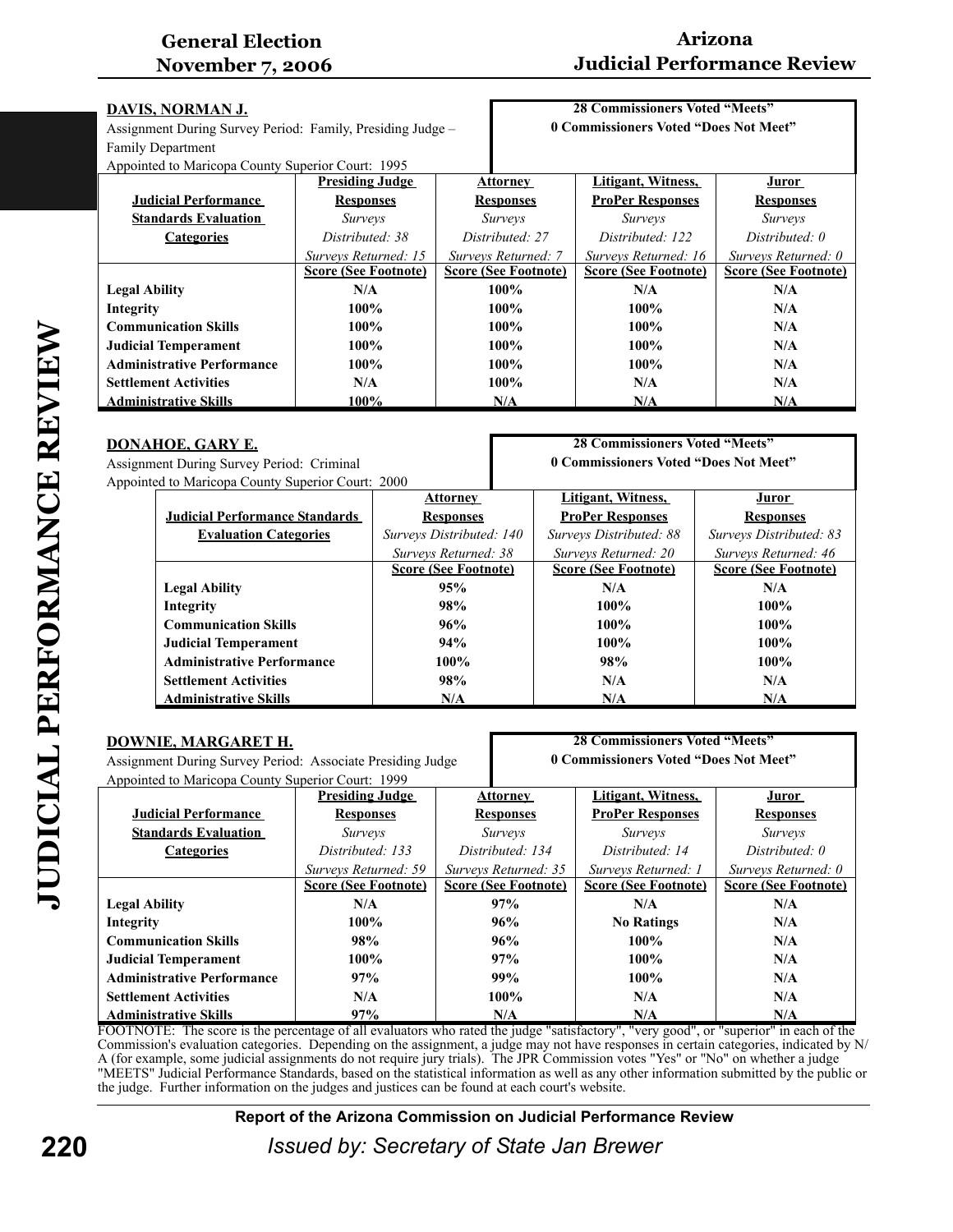# **Arizona Judicial Performance Review**

| <b>DAVIS, NORMAN J.</b>                                    |                                             |                             | <b>28 Commissioners Voted "Meets"</b> |                             |  |
|------------------------------------------------------------|---------------------------------------------|-----------------------------|---------------------------------------|-----------------------------|--|
| Assignment During Survey Period: Family, Presiding Judge - |                                             |                             | 0 Commissioners Voted "Does Not Meet" |                             |  |
| <b>Family Department</b>                                   |                                             |                             |                                       |                             |  |
| Appointed to Maricopa County Superior Court: 1995          |                                             |                             |                                       |                             |  |
|                                                            | <b>Presiding Judge</b>                      | <b>Attorney</b>             | Litigant, Witness,                    | Juror                       |  |
| <b>Judicial Performance</b>                                | <b>Responses</b>                            | <b>Responses</b>            | <b>ProPer Responses</b>               | <b>Responses</b>            |  |
| <b>Standards Evaluation</b>                                | <i>Surveys</i>                              | <i>Surveys</i>              | <i>Surveys</i>                        | <i>Surveys</i>              |  |
| <b>Categories</b>                                          | Distributed: 38                             | Distributed: 27             | Distributed: 122                      | Distributed: 0              |  |
|                                                            | Surveys Returned: 15<br>Surveys Returned: 7 |                             | Surveys Returned: 16                  | Surveys Returned: 0         |  |
|                                                            | <b>Score (See Footnote)</b>                 | <b>Score (See Footnote)</b> | <b>Score (See Footnote)</b>           | <b>Score (See Footnote)</b> |  |
| <b>Legal Ability</b>                                       | N/A                                         | $100\%$                     | N/A                                   | N/A                         |  |
| Integrity                                                  | $100\%$                                     | $100\%$                     | $100\%$                               | N/A                         |  |
| <b>Communication Skills</b>                                | $100\%$                                     | $100\%$                     | $100\%$                               | N/A                         |  |
| <b>Judicial Temperament</b>                                | $100\%$                                     | $100\%$                     | $100\%$                               | N/A                         |  |
| <b>Administrative Performance</b>                          | $100\%$                                     | $100\%$                     | $100\%$                               | N/A                         |  |
| <b>Settlement Activities</b>                               | N/A                                         | $100\%$                     | N/A                                   | N/A                         |  |
| <b>Administrative Skills</b>                               | 100%                                        | N/A                         | N/A                                   | N/A                         |  |

#### **DONAHOE, GARY E.** Assignment During Survey Period: Criminal Appointed to Maricopa County Superior Court: 2000

#### **28 Commissioners Voted "Meets" 0 Commissioners Voted "Does Not Meet"**

| $\mu$ cu to Maricopa County Superior Court. 2000 |                             |                             |                             |
|--------------------------------------------------|-----------------------------|-----------------------------|-----------------------------|
|                                                  | <b>Attorney</b>             | Litigant, Witness,          | Juror                       |
| <b>Judicial Performance Standards</b>            | <b>Responses</b>            | <b>ProPer Responses</b>     | <b>Responses</b>            |
| <b>Evaluation Categories</b>                     | Surveys Distributed: 140    | Surveys Distributed: 88     | Surveys Distributed: 83     |
|                                                  | Surveys Returned: 38        | Surveys Returned: 20        | Surveys Returned: 46        |
|                                                  | <b>Score (See Footnote)</b> | <b>Score (See Footnote)</b> | <b>Score (See Footnote)</b> |
| <b>Legal Ability</b>                             | 95%                         | N/A                         | N/A                         |
| Integrity                                        | 98%                         | 100%                        | $100\%$                     |
| <b>Communication Skills</b>                      | 96%                         | $100\%$                     | $100\%$                     |
| <b>Judicial Temperament</b>                      | 94%                         | 100%                        | $100\%$                     |
| <b>Administrative Performance</b>                | 100%                        | 98%                         | $100\%$                     |
| <b>Settlement Activities</b>                     | 98%                         | N/A                         | N/A                         |
| <b>Administrative Skills</b>                     | N/A                         | N/A                         | N/A                         |

| <b>DOWNIE, MARGARET H.</b>                                 |                                      |                             | <b>28 Commissioners Voted "Meets"</b> |                             |  |
|------------------------------------------------------------|--------------------------------------|-----------------------------|---------------------------------------|-----------------------------|--|
| Assignment During Survey Period: Associate Presiding Judge |                                      |                             | 0 Commissioners Voted "Does Not Meet" |                             |  |
| Appointed to Maricopa County Superior Court: 1999          |                                      |                             |                                       |                             |  |
|                                                            | <b>Presiding Judge</b>               | <b>Attorney</b>             | Litigant, Witness,                    | Juror                       |  |
| <b>Judicial Performance</b>                                | <b>Responses</b>                     | <b>Responses</b>            | <b>ProPer Responses</b>               | <b>Responses</b>            |  |
| <b>Standards Evaluation</b>                                | <i>Surveys</i>                       | <i>Surveys</i>              | <i>Surveys</i>                        | <i>Surveys</i>              |  |
| <b>Categories</b>                                          | Distributed: 134<br>Distributed: 133 |                             | Distributed: 14                       | Distributed: 0              |  |
|                                                            | Surveys Returned: 59                 | Surveys Returned: 35        | Surveys Returned: 1                   | Surveys Returned: 0         |  |
|                                                            | <b>Score (See Footnote)</b>          | <b>Score (See Footnote)</b> | <b>Score (See Footnote)</b>           | <b>Score (See Footnote)</b> |  |
| <b>Legal Ability</b>                                       | N/A                                  | 97%                         | N/A                                   | N/A                         |  |
| Integrity                                                  | 100%                                 | 96%                         | <b>No Ratings</b>                     | N/A                         |  |
| <b>Communication Skills</b>                                | 98%                                  | 96%                         | $100\%$                               | N/A                         |  |
| <b>Judicial Temperament</b>                                | $100\%$                              | 97%                         | $100\%$                               | N/A                         |  |
| <b>Administrative Performance</b>                          | 97%                                  | 99%                         | 100%                                  | N/A                         |  |
| <b>Settlement Activities</b>                               | N/A                                  | 100%                        | N/A                                   | N/A                         |  |
| <b>Administrative Skills</b>                               | 97%                                  | N/A                         | N/A                                   | N/A                         |  |

FOOTNOTE: The score is the percentage of all evaluators who rated the judge "satisfactory", "very good", or "superior" in each of the Commission's evaluation categories. Depending on the assignment, a judge may not have responses in certain categories, indicated by N/ A (for example, some judicial assignments do not require jury trials). The JPR Commission votes "Yes" or "No" on whether a judge "MEETS" Judicial Performance Standards, based on the statistical information as well as any other information submitted by the public or the judge. Further information on the judges and justices can be found at each court's website.

#### **Report of the Arizona Commission on Judicial Performance Review**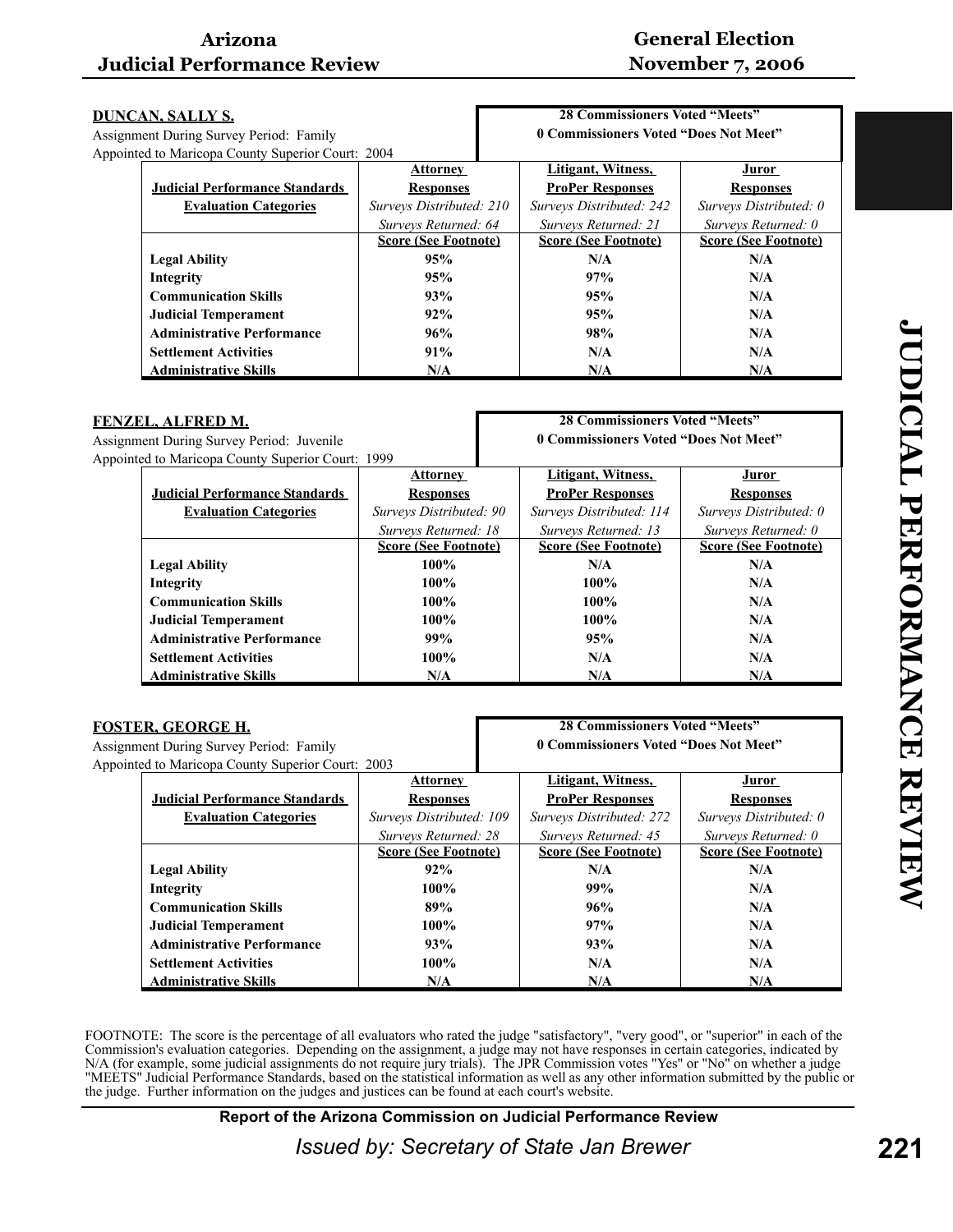# **General Election November 7, 2006**

| DUNCAN, SALLY S. |                                                   |                             | <b>28 Commissioners Voted "Meets"</b> |                             |
|------------------|---------------------------------------------------|-----------------------------|---------------------------------------|-----------------------------|
|                  | Assignment During Survey Period: Family           |                             | 0 Commissioners Voted "Does Not Meet" |                             |
|                  | Appointed to Maricopa County Superior Court: 2004 |                             |                                       |                             |
|                  |                                                   | <b>Attorney</b>             | Litigant, Witness,                    | Juror                       |
|                  | <b>Judicial Performance Standards</b>             | <b>Responses</b>            | <b>ProPer Responses</b>               | <b>Responses</b>            |
|                  | <b>Evaluation Categories</b>                      | Surveys Distributed: 210    | Surveys Distributed: 242              | Surveys Distributed: 0      |
|                  |                                                   | Surveys Returned: 64        | Surveys Returned: 21                  | Surveys Returned: 0         |
|                  |                                                   | <b>Score (See Footnote)</b> | <b>Score (See Footnote)</b>           | <b>Score (See Footnote)</b> |
|                  | <b>Legal Ability</b>                              | 95%                         | N/A                                   | N/A                         |
|                  | Integrity                                         | 95%                         | 97%                                   | N/A                         |
|                  | <b>Communication Skills</b>                       | 93%                         | 95%                                   | N/A                         |
|                  | <b>Judicial Temperament</b>                       | 92%                         | 95%                                   | N/A                         |
|                  | <b>Administrative Performance</b>                 | 96%                         | 98%                                   | N/A                         |
|                  | <b>Settlement Activities</b>                      | 91%                         | N/A                                   | N/A                         |
|                  | <b>Administrative Skills</b>                      | N/A                         | N/A                                   | N/A                         |

| FENZEL, ALFRED M.                                |                                                   |                             | <b>28 Commissioners Voted "Meets"</b> |                                       |                             |
|--------------------------------------------------|---------------------------------------------------|-----------------------------|---------------------------------------|---------------------------------------|-----------------------------|
| <b>Assignment During Survey Period: Juvenile</b> |                                                   |                             |                                       | 0 Commissioners Voted "Does Not Meet" |                             |
|                                                  | Appointed to Maricopa County Superior Court: 1999 |                             |                                       |                                       |                             |
|                                                  |                                                   | <b>Attorney</b>             |                                       | Litigant, Witness,                    | Juror                       |
|                                                  | <b>Judicial Performance Standards</b>             | <b>Responses</b>            |                                       | <b>ProPer Responses</b>               | <b>Responses</b>            |
|                                                  | <b>Evaluation Categories</b>                      | Surveys Distributed: 90     |                                       | Surveys Distributed: 114              | Surveys Distributed: 0      |
|                                                  |                                                   | Surveys Returned: 18        |                                       | Surveys Returned: 13                  | Surveys Returned: 0         |
|                                                  |                                                   | <b>Score (See Footnote)</b> |                                       | <b>Score (See Footnote)</b>           | <b>Score (See Footnote)</b> |
|                                                  | <b>Legal Ability</b>                              | $100\%$                     |                                       | N/A                                   | N/A                         |
|                                                  | Integrity                                         | $100\%$                     |                                       | $100\%$                               | N/A                         |
|                                                  | <b>Communication Skills</b>                       | $100\%$                     |                                       | $100\%$                               | N/A                         |
|                                                  | <b>Judicial Temperament</b>                       | $100\%$                     |                                       | 100%                                  | N/A                         |
|                                                  | <b>Administrative Performance</b>                 | 99%                         |                                       | 95%                                   | N/A                         |
|                                                  | <b>Settlement Activities</b>                      | $100\%$                     |                                       | N/A                                   | N/A                         |
|                                                  | <b>Administrative Skills</b>                      | N/A                         |                                       | N/A                                   | N/A                         |

| FOSTER, GEORGE H.                                 |                             | <b>28 Commissioners Voted "Meets"</b> |                             |  |
|---------------------------------------------------|-----------------------------|---------------------------------------|-----------------------------|--|
| Assignment During Survey Period: Family           |                             | 0 Commissioners Voted "Does Not Meet" |                             |  |
| Appointed to Maricopa County Superior Court: 2003 |                             |                                       |                             |  |
|                                                   | <b>Attorney</b>             | Litigant, Witness,                    | Juror                       |  |
| <b>Judicial Performance Standards</b>             | <b>Responses</b>            | <b>ProPer Responses</b>               | <b>Responses</b>            |  |
| <b>Evaluation Categories</b>                      | Surveys Distributed: 109    | Surveys Distributed: 272              | Surveys Distributed: 0      |  |
|                                                   | Surveys Returned: 28        | Surveys Returned: 45                  | Surveys Returned: 0         |  |
|                                                   | <b>Score (See Footnote)</b> | <b>Score (See Footnote)</b>           | <b>Score (See Footnote)</b> |  |
| <b>Legal Ability</b>                              | 92%                         | N/A                                   | N/A                         |  |
| Integrity                                         | $100\%$                     | 99%                                   | N/A                         |  |
| <b>Communication Skills</b>                       | 89%                         | 96%                                   | N/A                         |  |
| <b>Judicial Temperament</b>                       | $100\%$                     | 97%                                   | N/A                         |  |
| <b>Administrative Performance</b>                 | 93%                         | 93%                                   | N/A                         |  |
| <b>Settlement Activities</b>                      | $100\%$                     | N/A                                   | N/A                         |  |
| <b>Administrative Skills</b>                      | N/A                         | N/A                                   | N/A                         |  |

FOOTNOTE: The score is the percentage of all evaluators who rated the judge "satisfactory", "very good", or "superior" in each of the Commission's evaluation categories. Depending on the assignment, a judge may not have responses in certain categories, indicated by N/A (for example, some judicial assignments do not require jury trials). The JPR Commission votes "Yes" or "No" on whether a judge "MEETS" Judicial Performance Standards, based on the statistical information as well as any other information submitted by the public or the judge. Further information on the judges and justices can be found at each court's website.

**Report of the Arizona Commission on Judicial Performance Review**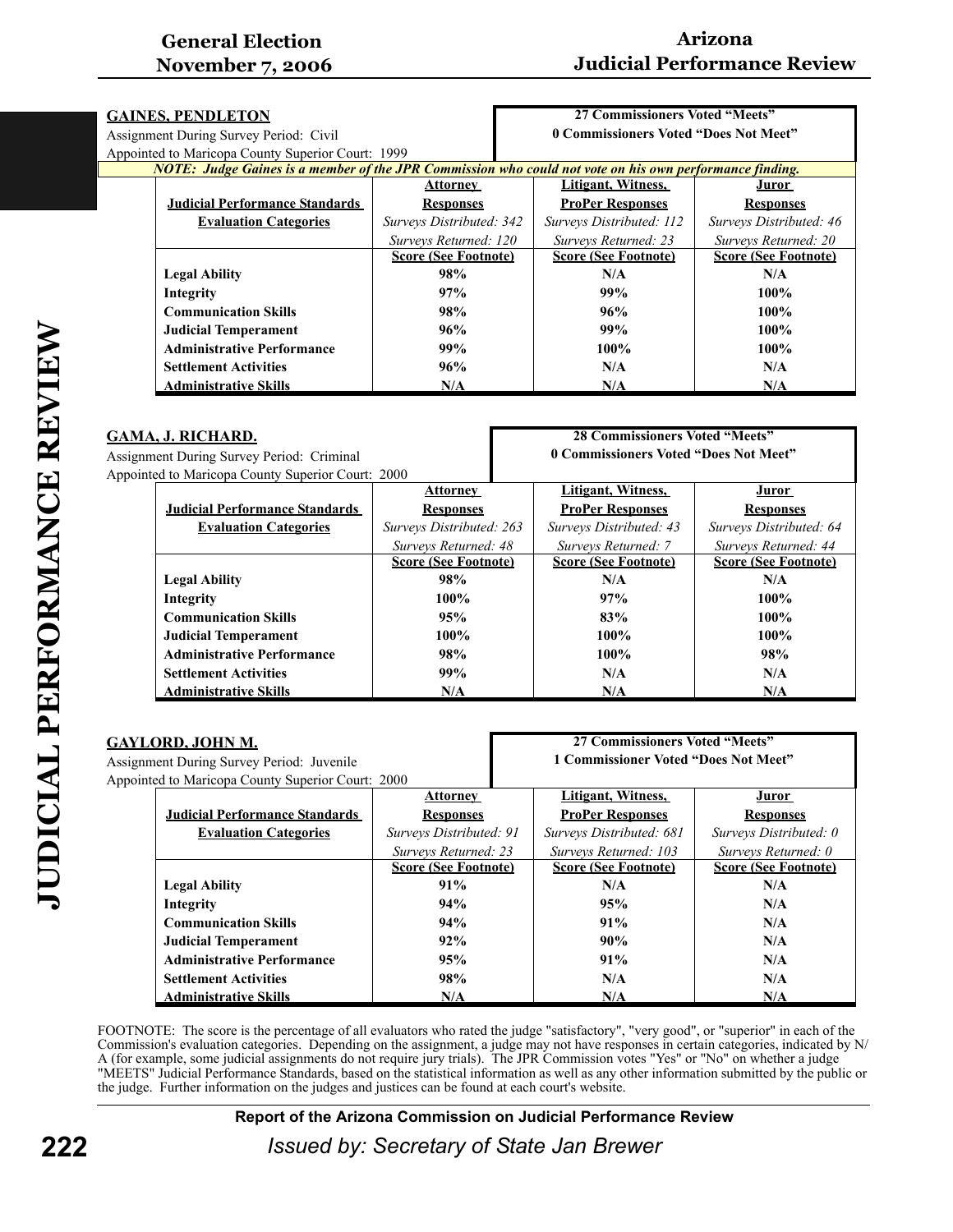| <b>GAINES, PENDLETON</b>               |                                                                                                         |                             | 27 Commissioners Voted "Meets"        |                             |
|----------------------------------------|---------------------------------------------------------------------------------------------------------|-----------------------------|---------------------------------------|-----------------------------|
| Assignment During Survey Period: Civil |                                                                                                         |                             | 0 Commissioners Voted "Does Not Meet" |                             |
|                                        | Appointed to Maricopa County Superior Court: 1999                                                       |                             |                                       |                             |
|                                        | NOTE: Judge Gaines is a member of the JPR Commission who could not vote on his own performance finding. |                             |                                       |                             |
|                                        |                                                                                                         | Attorney                    | Litigant, Witness,                    | Juror                       |
|                                        | <b>Judicial Performance Standards</b>                                                                   | <b>Responses</b>            | <b>ProPer Responses</b>               | <b>Responses</b>            |
|                                        | <b>Evaluation Categories</b>                                                                            | Surveys Distributed: 342    | Surveys Distributed: 112              | Surveys Distributed: 46     |
|                                        |                                                                                                         | Surveys Returned: 120       | Surveys Returned: 23                  | Surveys Returned: 20        |
|                                        |                                                                                                         | <b>Score (See Footnote)</b> | <b>Score (See Footnote)</b>           | <b>Score (See Footnote)</b> |
|                                        | <b>Legal Ability</b>                                                                                    | 98%                         | N/A                                   | N/A                         |
|                                        | Integrity                                                                                               | 97%                         | 99%                                   | $100\%$                     |
|                                        | <b>Communication Skills</b>                                                                             | 98%                         | 96%                                   | $100\%$                     |
|                                        | <b>Judicial Temperament</b>                                                                             | 96%                         | 99%                                   | $100\%$                     |
|                                        | <b>Administrative Performance</b>                                                                       | 99%                         | $100\%$                               | $100\%$                     |
|                                        | <b>Settlement Activities</b>                                                                            | 96%                         | N/A                                   | N/A                         |
|                                        | <b>Administrative Skills</b>                                                                            | N/A                         | N/A                                   | N/A                         |

| GAMA, J. RICHARD.                                 |                                       |                             | <b>28 Commissioners Voted "Meets"</b> |                             |
|---------------------------------------------------|---------------------------------------|-----------------------------|---------------------------------------|-----------------------------|
| <b>Assignment During Survey Period: Criminal</b>  |                                       |                             | 0 Commissioners Voted "Does Not Meet" |                             |
| Appointed to Maricopa County Superior Court: 2000 |                                       |                             |                                       |                             |
|                                                   |                                       | <b>Attorney</b>             | Litigant, Witness,                    | <u>Juror</u>                |
|                                                   | <b>Judicial Performance Standards</b> | <b>Responses</b>            | <b>ProPer Responses</b>               | <b>Responses</b>            |
|                                                   | <b>Evaluation Categories</b>          | Surveys Distributed: 263    | Surveys Distributed: 43               | Surveys Distributed: 64     |
|                                                   |                                       | Surveys Returned: 48        | Surveys Returned: 7                   | Surveys Returned: 44        |
|                                                   |                                       | <b>Score (See Footnote)</b> | <b>Score (See Footnote)</b>           | <b>Score (See Footnote)</b> |
|                                                   | <b>Legal Ability</b>                  | 98%                         | N/A                                   | N/A                         |
|                                                   | Integrity                             | $100\%$                     | 97%                                   | $100\%$                     |
|                                                   | <b>Communication Skills</b>           | 95%                         | 83%                                   | $100\%$                     |
|                                                   | <b>Judicial Temperament</b>           | $100\%$                     | $100\%$                               | $100\%$                     |
|                                                   | <b>Administrative Performance</b>     | 98%                         | $100\%$                               | 98%                         |
|                                                   | <b>Settlement Activities</b>          | 99%                         | N/A                                   | N/A                         |
|                                                   | <b>Administrative Skills</b>          | N/A                         | N/A                                   | N/A                         |

| GAYLORD, JOHN M.                                  |                                       | <b>27 Commissioners Voted "Meets"</b> |                                      |                             |                             |
|---------------------------------------------------|---------------------------------------|---------------------------------------|--------------------------------------|-----------------------------|-----------------------------|
| Assignment During Survey Period: Juvenile         |                                       |                                       | 1 Commissioner Voted "Does Not Meet" |                             |                             |
| Appointed to Maricopa County Superior Court: 2000 |                                       |                                       |                                      |                             |                             |
|                                                   |                                       | <b>Attorney</b>                       |                                      | Litigant, Witness,          | <u>Juror</u>                |
|                                                   | <b>Judicial Performance Standards</b> | <b>Responses</b>                      |                                      | <b>ProPer Responses</b>     | <b>Responses</b>            |
|                                                   | <b>Evaluation Categories</b>          | Surveys Distributed: 91               |                                      | Surveys Distributed: 681    | Surveys Distributed: 0      |
|                                                   |                                       | Surveys Returned: 23                  |                                      | Surveys Returned: 103       | Surveys Returned: 0         |
|                                                   |                                       | <b>Score (See Footnote)</b>           |                                      | <b>Score (See Footnote)</b> | <b>Score (See Footnote)</b> |
|                                                   | <b>Legal Ability</b>                  | 91%                                   |                                      | N/A                         | N/A                         |
|                                                   | Integrity                             | 94%                                   |                                      | 95%                         | N/A                         |
|                                                   | <b>Communication Skills</b>           | 94%                                   |                                      | 91%                         | N/A                         |
|                                                   | <b>Judicial Temperament</b>           | 92%                                   |                                      | 90%                         | N/A                         |
|                                                   | <b>Administrative Performance</b>     | 95%                                   |                                      | 91%                         | N/A                         |
|                                                   | <b>Settlement Activities</b>          | 98%                                   |                                      | N/A                         | N/A                         |
|                                                   | <b>Administrative Skills</b>          | N/A                                   |                                      | N/A                         | N/A                         |

FOOTNOTE: The score is the percentage of all evaluators who rated the judge "satisfactory", "very good", or "superior" in each of the Commission's evaluation categories. Depending on the assignment, a judge may not have responses in certain categories, indicated by N/ A (for example, some judicial assignments do not require jury trials). The JPR Commission votes "Yes" or "No" on whether a judge "MEETS" Judicial Performance Standards, based on the statistical information as well as any other information submitted by the public or the judge. Further information on the judges and justices can be found at each court's website.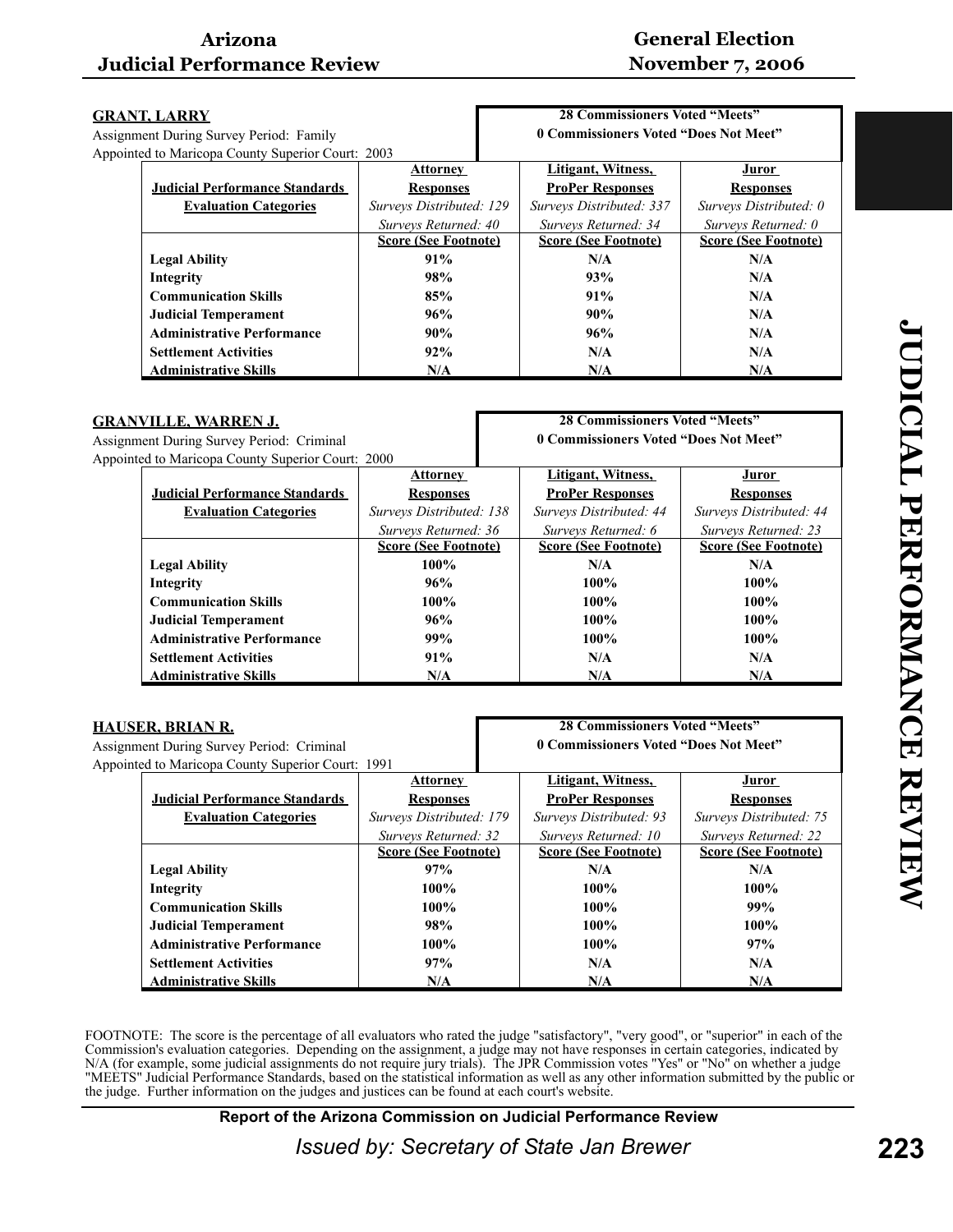# **General Election November 7, 2006**

| <b>GRANT, LARRY</b>                               |                             | <b>28 Commissioners Voted "Meets"</b> |                             |
|---------------------------------------------------|-----------------------------|---------------------------------------|-----------------------------|
| Assignment During Survey Period: Family           |                             | 0 Commissioners Voted "Does Not Meet" |                             |
| Appointed to Maricopa County Superior Court: 2003 |                             |                                       |                             |
|                                                   | <b>Attorney</b>             | Litigant, Witness,                    | Juror                       |
| <b>Judicial Performance Standards</b>             | <b>Responses</b>            | <b>ProPer Responses</b>               | <b>Responses</b>            |
| <b>Evaluation Categories</b>                      | Surveys Distributed: 129    | Surveys Distributed: 337              | Surveys Distributed: 0      |
|                                                   | Surveys Returned: 40        | Surveys Returned: 34                  | Surveys Returned: 0         |
|                                                   | <b>Score (See Footnote)</b> | <b>Score (See Footnote)</b>           | <b>Score (See Footnote)</b> |
| <b>Legal Ability</b>                              | 91%                         | N/A                                   | N/A                         |
| Integrity                                         | 98%                         | 93%                                   | N/A                         |
| <b>Communication Skills</b>                       | 85%                         | 91%                                   | N/A                         |
| <b>Judicial Temperament</b>                       | 96%                         | 90%                                   | N/A                         |
| <b>Administrative Performance</b>                 | 90%                         | 96%                                   | N/A                         |
| <b>Settlement Activities</b>                      | 92%                         | N/A                                   | N/A                         |
| <b>Administrative Skills</b>                      | N/A                         | N/A                                   | N/A                         |

| <b>GRANVILLE, WARREN J.</b><br><b>Assignment During Survey Period: Criminal</b><br>Appointed to Maricopa County Superior Court: 2000 |                                       |                             | <b>28 Commissioners Voted "Meets"</b> |                             |
|--------------------------------------------------------------------------------------------------------------------------------------|---------------------------------------|-----------------------------|---------------------------------------|-----------------------------|
|                                                                                                                                      |                                       |                             | 0 Commissioners Voted "Does Not Meet" |                             |
|                                                                                                                                      |                                       |                             |                                       |                             |
|                                                                                                                                      |                                       | <b>Attorney</b>             | Litigant, Witness,                    | Juror                       |
|                                                                                                                                      | <b>Judicial Performance Standards</b> | <b>Responses</b>            | <b>ProPer Responses</b>               | <b>Responses</b>            |
|                                                                                                                                      | <b>Evaluation Categories</b>          | Surveys Distributed: 138    | Surveys Distributed: 44               | Surveys Distributed: 44     |
|                                                                                                                                      |                                       | Surveys Returned: 36        | Surveys Returned: 6                   | Surveys Returned: 23        |
|                                                                                                                                      |                                       | <b>Score (See Footnote)</b> | <b>Score (See Footnote)</b>           | <b>Score (See Footnote)</b> |
|                                                                                                                                      | <b>Legal Ability</b>                  | 100%                        | N/A                                   | N/A                         |
|                                                                                                                                      | Integrity                             | 96%                         | $100\%$                               | $100\%$                     |
|                                                                                                                                      | <b>Communication Skills</b>           | 100%                        | $100\%$                               | $100\%$                     |
|                                                                                                                                      | <b>Judicial Temperament</b>           | 96%                         | $100\%$                               | $100\%$                     |
|                                                                                                                                      | <b>Administrative Performance</b>     | 99%                         | $100\%$                               | $100\%$                     |
|                                                                                                                                      | <b>Settlement Activities</b>          | 91%                         | N/A                                   | N/A                         |
|                                                                                                                                      | <b>Administrative Skills</b>          | N/A                         | N/A                                   | N/A                         |

| HAUSER, BRIAN R.                                 |                                                   |                             | <b>28 Commissioners Voted "Meets"</b> |                             |
|--------------------------------------------------|---------------------------------------------------|-----------------------------|---------------------------------------|-----------------------------|
| <b>Assignment During Survey Period: Criminal</b> |                                                   |                             | 0 Commissioners Voted "Does Not Meet" |                             |
|                                                  | Appointed to Maricopa County Superior Court: 1991 |                             |                                       |                             |
|                                                  |                                                   | <b>Attorney</b>             | Litigant, Witness,                    | <u>Juror</u>                |
|                                                  | <b>Judicial Performance Standards</b>             | <b>Responses</b>            | <b>ProPer Responses</b>               | <b>Responses</b>            |
|                                                  | <b>Evaluation Categories</b>                      | Surveys Distributed: 179    | Surveys Distributed: 93               | Surveys Distributed: 75     |
|                                                  |                                                   | Surveys Returned: 32        | Surveys Returned: 10                  | Surveys Returned: 22        |
|                                                  |                                                   | <b>Score (See Footnote)</b> | <b>Score (See Footnote)</b>           | <b>Score (See Footnote)</b> |
|                                                  | <b>Legal Ability</b>                              | 97%                         | N/A                                   | N/A                         |
|                                                  | Integrity                                         | $100\%$                     | $100\%$                               | $100\%$                     |
|                                                  | <b>Communication Skills</b>                       | 100%                        | $100\%$                               | 99%                         |
|                                                  | <b>Judicial Temperament</b>                       | 98%                         | $100\%$                               | $100\%$                     |
|                                                  | <b>Administrative Performance</b>                 | $100\%$                     | $100\%$                               | 97%                         |
|                                                  | <b>Settlement Activities</b>                      | 97%                         | N/A                                   | N/A                         |
|                                                  | <b>Administrative Skills</b>                      | N/A                         | N/A                                   | N/A                         |

FOOTNOTE: The score is the percentage of all evaluators who rated the judge "satisfactory", "very good", or "superior" in each of the Commission's evaluation categories. Depending on the assignment, a judge may not have responses in certain categories, indicated by N/A (for example, some judicial assignments do not require jury trials). The JPR Commission votes "Yes" or "No" on whether a judge "MEETS" Judicial Performance Standards, based on the statistical information as well as any other information submitted by the public or the judge. Further information on the judges and justices can be found at each court's website.

**Report of the Arizona Commission on Judicial Performance Review**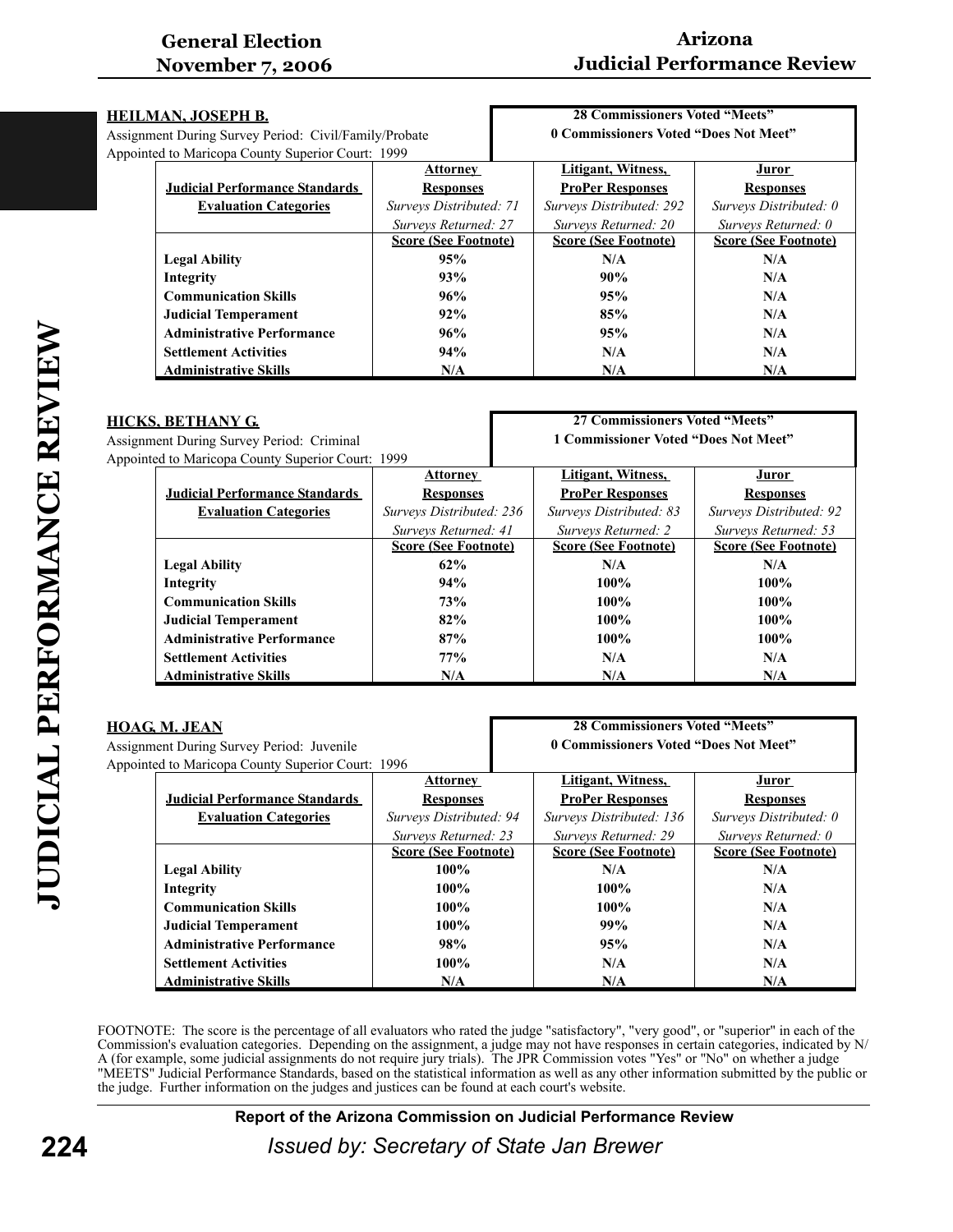# **Arizona Judicial Performance Review**

|                                                   | HEILMAN, JOSEPH B.                                    |                             | <b>28 Commissioners Voted "Meets"</b> |                             |
|---------------------------------------------------|-------------------------------------------------------|-----------------------------|---------------------------------------|-----------------------------|
|                                                   | Assignment During Survey Period: Civil/Family/Probate |                             | 0 Commissioners Voted "Does Not Meet" |                             |
| Appointed to Maricopa County Superior Court: 1999 |                                                       |                             |                                       |                             |
|                                                   |                                                       | <b>Attorney</b>             | Litigant, Witness,                    | J <u>uror</u>               |
|                                                   | <b>Judicial Performance Standards</b>                 | <b>Responses</b>            | <b>ProPer Responses</b>               | <b>Responses</b>            |
|                                                   | <b>Evaluation Categories</b>                          | Surveys Distributed: 71     | Surveys Distributed: 292              | Surveys Distributed: 0      |
|                                                   |                                                       | Surveys Returned: 27        | Surveys Returned: 20                  | Surveys Returned: 0         |
|                                                   |                                                       | <b>Score (See Footnote)</b> | <b>Score (See Footnote)</b>           | <b>Score (See Footnote)</b> |
|                                                   | <b>Legal Ability</b>                                  | 95%                         | N/A                                   | N/A                         |
|                                                   | Integrity                                             | 93%                         | 90%                                   | N/A                         |
|                                                   | <b>Communication Skills</b>                           | 96%                         | 95%                                   | N/A                         |
|                                                   | <b>Judicial Temperament</b>                           | 92%                         | 85%                                   | N/A                         |
|                                                   | <b>Administrative Performance</b>                     | 96%                         | 95%                                   | N/A                         |
|                                                   | <b>Settlement Activities</b>                          | 94%                         | N/A                                   | N/A                         |
|                                                   | <b>Administrative Skills</b>                          | N/A                         | N/A                                   | N/A                         |
|                                                   |                                                       |                             |                                       |                             |

| HICKS, BETHANY G.                         |                                                   |                             | 27 Commissioners Voted "Meets"       |                             |
|-------------------------------------------|---------------------------------------------------|-----------------------------|--------------------------------------|-----------------------------|
| Assignment During Survey Period: Criminal |                                                   |                             | 1 Commissioner Voted "Does Not Meet" |                             |
|                                           | Appointed to Maricopa County Superior Court: 1999 |                             |                                      |                             |
|                                           |                                                   | <b>Attorney</b>             | Litigant, Witness,                   | Juror                       |
|                                           | <b>Judicial Performance Standards</b>             | <b>Responses</b>            | <b>ProPer Responses</b>              | <b>Responses</b>            |
|                                           | <b>Evaluation Categories</b>                      | Surveys Distributed: 236    | Surveys Distributed: 83              | Surveys Distributed: 92     |
|                                           |                                                   | Surveys Returned: 41        | Surveys Returned: 2                  | Surveys Returned: 53        |
|                                           |                                                   | <b>Score (See Footnote)</b> | <b>Score (See Footnote)</b>          | <b>Score (See Footnote)</b> |
|                                           | <b>Legal Ability</b>                              | 62%                         | N/A                                  | N/A                         |
|                                           | Integrity                                         | 94%                         | 100%                                 | $100\%$                     |
|                                           | <b>Communication Skills</b>                       | 73%                         | $100\%$                              | $100\%$                     |
|                                           | <b>Judicial Temperament</b>                       | 82%                         | 100%                                 | $100\%$                     |
|                                           | <b>Administrative Performance</b>                 | 87%                         | $100\%$                              | $100\%$                     |
|                                           | <b>Settlement Activities</b>                      | 77%                         | N/A                                  | N/A                         |
|                                           | <b>Administrative Skills</b>                      | N/A                         | N/A                                  | N/A                         |

| <b>HOAG, M. JEAN</b>                      |                                                   |                             | <b>28 Commissioners Voted "Meets"</b> |                             |
|-------------------------------------------|---------------------------------------------------|-----------------------------|---------------------------------------|-----------------------------|
| Assignment During Survey Period: Juvenile |                                                   |                             | 0 Commissioners Voted "Does Not Meet" |                             |
|                                           | Appointed to Maricopa County Superior Court: 1996 |                             |                                       |                             |
|                                           |                                                   | <b>Attorney</b>             | Litigant, Witness,                    | <u>Juror</u>                |
|                                           | <b>Judicial Performance Standards</b>             | <b>Responses</b>            | <b>ProPer Responses</b>               | <b>Responses</b>            |
|                                           | <b>Evaluation Categories</b>                      | Surveys Distributed: 94     | Surveys Distributed: 136              | Surveys Distributed: 0      |
|                                           |                                                   | Surveys Returned: 23        | Surveys Returned: 29                  | Surveys Returned: 0         |
|                                           |                                                   | <b>Score (See Footnote)</b> | <b>Score (See Footnote)</b>           | <b>Score (See Footnote)</b> |
|                                           | <b>Legal Ability</b>                              | 100%                        | N/A                                   | N/A                         |
|                                           | Integrity                                         | $100\%$                     | $100\%$                               | N/A                         |
|                                           | <b>Communication Skills</b>                       | $100\%$                     | $100\%$                               | N/A                         |
|                                           | <b>Judicial Temperament</b>                       | $100\%$                     | 99%                                   | N/A                         |
|                                           | <b>Administrative Performance</b>                 | 98%                         | 95%                                   | N/A                         |
|                                           | <b>Settlement Activities</b>                      | $100\%$                     | N/A                                   | N/A                         |
|                                           | <b>Administrative Skills</b>                      | N/A                         | N/A                                   | N/A                         |

FOOTNOTE: The score is the percentage of all evaluators who rated the judge "satisfactory", "very good", or "superior" in each of the Commission's evaluation categories. Depending on the assignment, a judge may not have responses in certain categories, indicated by N/ A (for example, some judicial assignments do not require jury trials). The JPR Commission votes "Yes" or "No" on whether a judge "MEETS" Judicial Performance Standards, based on the statistical information as well as any other information submitted by the public or the judge. Further information on the judges and justices can be found at each court's website.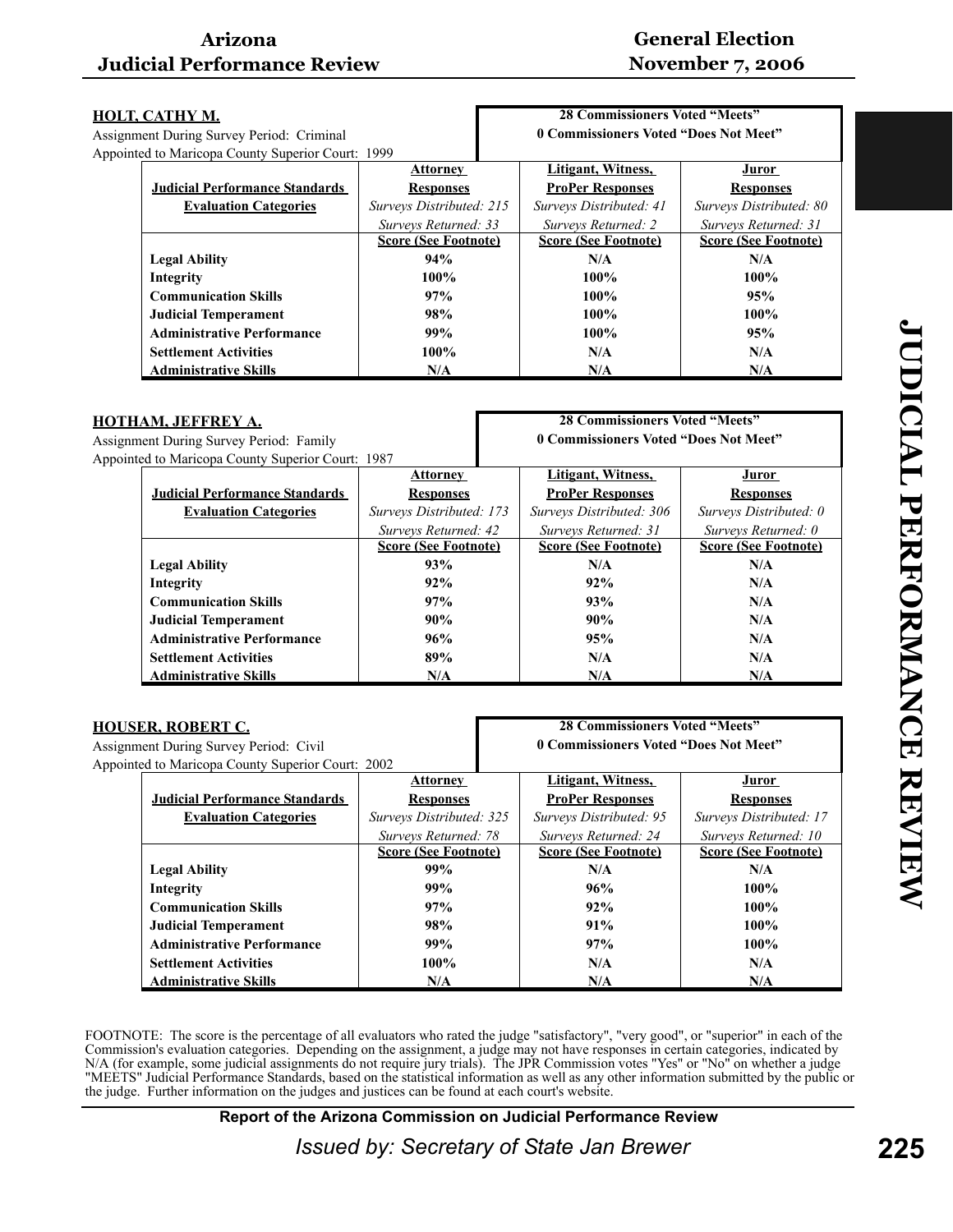# **General Election November 7, 2006**

| HOLT, CATHY M.                            |                                                   |                             | <b>28 Commissioners Voted "Meets"</b> |                                       |                             |
|-------------------------------------------|---------------------------------------------------|-----------------------------|---------------------------------------|---------------------------------------|-----------------------------|
| Assignment During Survey Period: Criminal |                                                   |                             |                                       | 0 Commissioners Voted "Does Not Meet" |                             |
|                                           | Appointed to Maricopa County Superior Court: 1999 |                             |                                       |                                       |                             |
|                                           |                                                   | <b>Attorney</b>             |                                       | Litigant, Witness,                    | Juror                       |
|                                           | <b>Judicial Performance Standards</b>             | <b>Responses</b>            |                                       | <b>ProPer Responses</b>               | <b>Responses</b>            |
|                                           | <b>Evaluation Categories</b>                      | Surveys Distributed: 215    |                                       | Surveys Distributed: 41               | Surveys Distributed: 80     |
|                                           |                                                   | Surveys Returned: 33        |                                       | Surveys Returned: 2                   | Surveys Returned: 31        |
|                                           |                                                   | <b>Score (See Footnote)</b> |                                       | <b>Score (See Footnote)</b>           | <b>Score (See Footnote)</b> |
|                                           | <b>Legal Ability</b>                              | 94%                         |                                       | N/A                                   | N/A                         |
|                                           | Integrity                                         | $100\%$                     |                                       | 100%                                  | $100\%$                     |
|                                           | <b>Communication Skills</b>                       | 97%                         |                                       | $100\%$                               | 95%                         |
|                                           | <b>Judicial Temperament</b>                       | 98%                         |                                       | $100\%$                               | 100%                        |
|                                           | <b>Administrative Performance</b>                 | 99%                         |                                       | $100\%$                               | 95%                         |
|                                           | <b>Settlement Activities</b>                      | $100\%$                     |                                       | N/A                                   | N/A                         |
|                                           | <b>Administrative Skills</b>                      | N/A                         |                                       | N/A                                   | N/A                         |

| HOTHAM, JEFFREY A.                      |                                                   |                             | <b>28 Commissioners Voted "Meets"</b> |                             |
|-----------------------------------------|---------------------------------------------------|-----------------------------|---------------------------------------|-----------------------------|
| Assignment During Survey Period: Family |                                                   |                             | 0 Commissioners Voted "Does Not Meet" |                             |
|                                         | Appointed to Maricopa County Superior Court: 1987 |                             |                                       |                             |
|                                         |                                                   | <b>Attorney</b>             | Litigant, Witness,                    | Juror                       |
|                                         | <b>Judicial Performance Standards</b>             | <b>Responses</b>            | <b>ProPer Responses</b>               | <b>Responses</b>            |
|                                         | <b>Evaluation Categories</b>                      | Surveys Distributed: 173    | Surveys Distributed: 306              | Surveys Distributed: 0      |
|                                         |                                                   | Surveys Returned: 42        | Surveys Returned: 31                  | Surveys Returned: 0         |
|                                         |                                                   | <b>Score (See Footnote)</b> | <b>Score (See Footnote)</b>           | <b>Score (See Footnote)</b> |
|                                         | <b>Legal Ability</b>                              | 93%                         | N/A                                   | N/A                         |
|                                         | Integrity                                         | 92%                         | 92%                                   | N/A                         |
|                                         | <b>Communication Skills</b>                       | 97%                         | 93%                                   | N/A                         |
|                                         | <b>Judicial Temperament</b>                       | 90%                         | 90%                                   | N/A                         |
|                                         | <b>Administrative Performance</b>                 | 96%                         | 95%                                   | N/A                         |
|                                         | <b>Settlement Activities</b>                      | 89%                         | N/A                                   | N/A                         |
|                                         | <b>Administrative Skills</b>                      | N/A                         | N/A                                   | N/A                         |

| HOUSER, ROBERT C.                                 |                             | <b>28 Commissioners Voted "Meets"</b> |                             |
|---------------------------------------------------|-----------------------------|---------------------------------------|-----------------------------|
| Assignment During Survey Period: Civil            |                             | 0 Commissioners Voted "Does Not Meet" |                             |
| Appointed to Maricopa County Superior Court: 2002 |                             |                                       |                             |
|                                                   | <b>Attorney</b>             | Litigant, Witness,                    | Juror                       |
| <b>Judicial Performance Standards</b>             | <b>Responses</b>            | <b>ProPer Responses</b>               | <b>Responses</b>            |
| <b>Evaluation Categories</b>                      | Surveys Distributed: 325    | Surveys Distributed: 95               | Surveys Distributed: 17     |
|                                                   | Surveys Returned: 78        | Surveys Returned: 24                  | Surveys Returned: 10        |
|                                                   | <b>Score (See Footnote)</b> | <b>Score (See Footnote)</b>           | <b>Score (See Footnote)</b> |
| <b>Legal Ability</b>                              | 99%                         | N/A                                   | N/A                         |
| Integrity                                         | 99%                         | 96%                                   | $100\%$                     |
| <b>Communication Skills</b>                       | 97%                         | 92%                                   | $100\%$                     |
| <b>Judicial Temperament</b>                       | 98%                         | 91%                                   | $100\%$                     |
| <b>Administrative Performance</b>                 | 99%                         | 97%                                   | 100%                        |
| <b>Settlement Activities</b>                      | $100\%$                     | N/A                                   | N/A                         |
| <b>Administrative Skills</b>                      | N/A                         | N/A                                   | N/A                         |

FOOTNOTE: The score is the percentage of all evaluators who rated the judge "satisfactory", "very good", or "superior" in each of the Commission's evaluation categories. Depending on the assignment, a judge may not have responses in certain categories, indicated by N/A (for example, some judicial assignments do not require jury trials). The JPR Commission votes "Yes" or "No" on whether a judge "MEETS" Judicial Performance Standards, based on the statistical information as well as any other information submitted by the public or the judge. Further information on the judges and justices can be found at each court's website.

**Report of the Arizona Commission on Judicial Performance Review**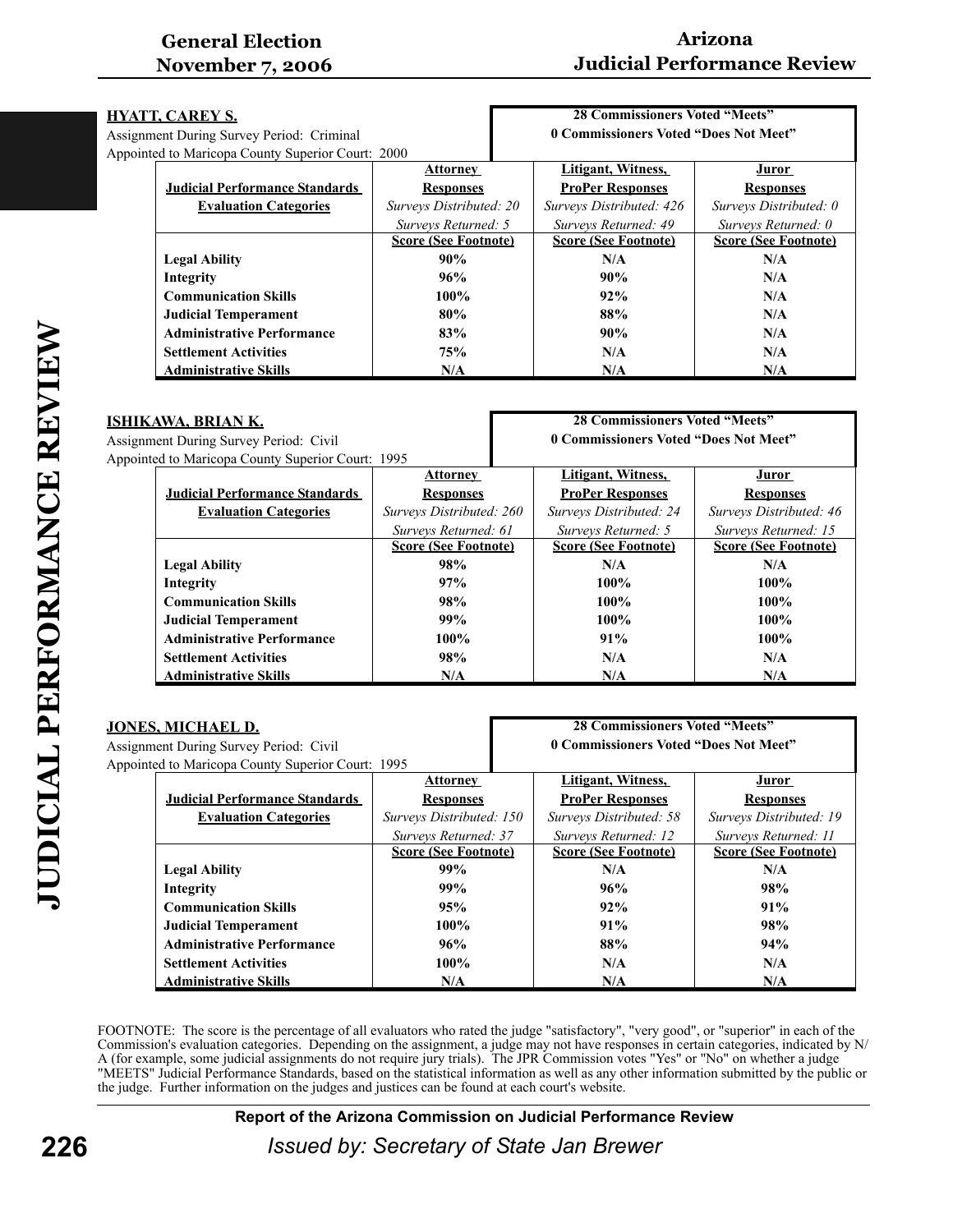# **Arizona Judicial Performance Review**

| HYATT, CAREY S.                                   |                         | <b>28 Commissioners Voted "Meets"</b> |                             |  |
|---------------------------------------------------|-------------------------|---------------------------------------|-----------------------------|--|
| <b>Assignment During Survey Period: Criminal</b>  |                         | 0 Commissioners Voted "Does Not Meet" |                             |  |
| Appointed to Maricopa County Superior Court: 2000 |                         |                                       |                             |  |
|                                                   | <b>Attorney</b>         | Litigant, Witness,                    | <u>Juror</u>                |  |
| <b>Judicial Performance Standards</b>             | <b>Responses</b>        | <b>ProPer Responses</b>               | <b>Responses</b>            |  |
| <b>Evaluation Categories</b>                      | Surveys Distributed: 20 | Surveys Distributed: 426              | Surveys Distributed: 0      |  |
|                                                   | Surveys Returned: 5     | Surveys Returned: 49                  | Surveys Returned: 0         |  |
| <b>Score (See Footnote)</b>                       |                         | <b>Score (See Footnote)</b>           | <b>Score (See Footnote)</b> |  |
| <b>Legal Ability</b>                              | 90%                     | N/A                                   | N/A                         |  |
| Integrity                                         | 96%                     | 90%                                   | N/A                         |  |
| <b>Communication Skills</b>                       | $100\%$                 | 92%                                   | N/A                         |  |
| <b>Judicial Temperament</b>                       | 80%                     | 88%                                   | N/A                         |  |
| <b>Administrative Performance</b>                 | 83%                     | 90%                                   | N/A                         |  |
| <b>Settlement Activities</b>                      | <b>75%</b>              | N/A                                   | N/A                         |  |
| <b>Administrative Skills</b>                      | N/A                     | N/A                                   | N/A                         |  |
|                                                   |                         |                                       |                             |  |

| ISHIKAWA, BRIAN K. |                                                   |                             | <b>28 Commissioners Voted "Meets"</b> |                             |  |
|--------------------|---------------------------------------------------|-----------------------------|---------------------------------------|-----------------------------|--|
|                    | Assignment During Survey Period: Civil            |                             | 0 Commissioners Voted "Does Not Meet" |                             |  |
|                    | Appointed to Maricopa County Superior Court: 1995 |                             |                                       |                             |  |
|                    |                                                   | <b>Attorney</b>             | Litigant, Witness,                    | <u>Juror</u>                |  |
|                    | <b>Judicial Performance Standards</b>             | <b>Responses</b>            | <b>ProPer Responses</b>               | <b>Responses</b>            |  |
|                    | <b>Evaluation Categories</b>                      | Surveys Distributed: 260    | Surveys Distributed: 24               | Surveys Distributed: 46     |  |
|                    |                                                   | Surveys Returned: 61        | Surveys Returned: 5                   | Surveys Returned: 15        |  |
|                    |                                                   | <b>Score (See Footnote)</b> | <b>Score (See Footnote)</b>           | <b>Score (See Footnote)</b> |  |
|                    | <b>Legal Ability</b>                              | 98%                         | N/A                                   | N/A                         |  |
|                    | Integrity                                         | 97%                         | $100\%$                               | 100%                        |  |
|                    | <b>Communication Skills</b>                       | 98%                         | $100\%$                               | $100\%$                     |  |
|                    | <b>Judicial Temperament</b>                       | 99%                         | $100\%$                               | $100\%$                     |  |
|                    | <b>Administrative Performance</b>                 | $100\%$                     | 91%                                   | $100\%$                     |  |
|                    | <b>Settlement Activities</b>                      | 98%                         | N/A                                   | N/A                         |  |
|                    | <b>Administrative Skills</b>                      | N/A                         | N/A                                   | N/A                         |  |

| <u>JONES, MICHAEL D.</u>               |                                                   |                             | <b>28 Commissioners Voted "Meets"</b> |                                       |                             |
|----------------------------------------|---------------------------------------------------|-----------------------------|---------------------------------------|---------------------------------------|-----------------------------|
| Assignment During Survey Period: Civil |                                                   |                             |                                       | 0 Commissioners Voted "Does Not Meet" |                             |
|                                        | Appointed to Maricopa County Superior Court: 1995 |                             |                                       |                                       |                             |
|                                        |                                                   | <b>Attorney</b>             |                                       | Litigant, Witness,                    | <u>Juror</u>                |
|                                        | <b>Judicial Performance Standards</b>             | <b>Responses</b>            |                                       | <b>ProPer Responses</b>               | <b>Responses</b>            |
|                                        | <b>Evaluation Categories</b>                      | Surveys Distributed: 150    |                                       | Surveys Distributed: 58               | Surveys Distributed: 19     |
|                                        |                                                   | Surveys Returned: 37        |                                       | Surveys Returned: 12                  | Surveys Returned: 11        |
|                                        |                                                   | <b>Score (See Footnote)</b> |                                       | <b>Score (See Footnote)</b>           | <b>Score (See Footnote)</b> |
|                                        | <b>Legal Ability</b>                              | 99%                         |                                       | N/A                                   | N/A                         |
|                                        | Integrity                                         | 99%                         |                                       | 96%                                   | 98%                         |
|                                        | <b>Communication Skills</b>                       | 95%                         |                                       | 92%                                   | 91%                         |
|                                        | <b>Judicial Temperament</b>                       | $100\%$                     |                                       | 91%                                   | 98%                         |
|                                        | <b>Administrative Performance</b>                 | 96%                         |                                       | 88%                                   | 94%                         |
|                                        | <b>Settlement Activities</b>                      | 100%                        |                                       | N/A                                   | N/A                         |
|                                        | <b>Administrative Skills</b>                      | N/A                         |                                       | N/A                                   | N/A                         |

FOOTNOTE: The score is the percentage of all evaluators who rated the judge "satisfactory", "very good", or "superior" in each of the Commission's evaluation categories. Depending on the assignment, a judge may not have responses in certain categories, indicated by N/ A (for example, some judicial assignments do not require jury trials). The JPR Commission votes "Yes" or "No" on whether a judge "MEETS" Judicial Performance Standards, based on the statistical information as well as any other information submitted by the public or the judge. Further information on the judges and justices can be found at each court's website.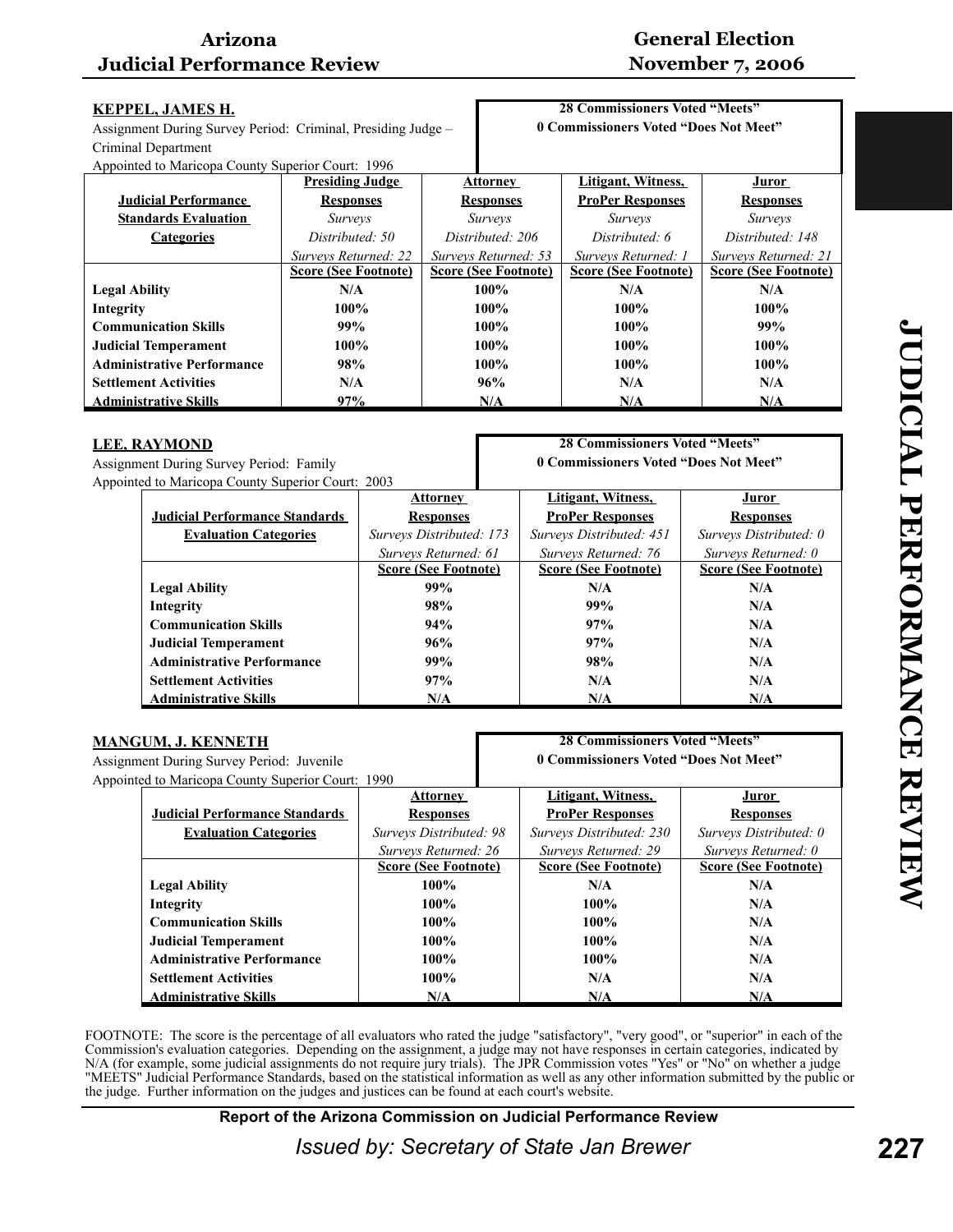# **General Election November 7, 2006**

| <b>KEPPEL, JAMES H.</b>                           |                                                              |                      |                                       | <b>28 Commissioners Voted "Meets"</b> |                                       |                             |  |  |
|---------------------------------------------------|--------------------------------------------------------------|----------------------|---------------------------------------|---------------------------------------|---------------------------------------|-----------------------------|--|--|
|                                                   | Assignment During Survey Period: Criminal, Presiding Judge - |                      |                                       |                                       | 0 Commissioners Voted "Does Not Meet" |                             |  |  |
| Criminal Department                               |                                                              |                      |                                       |                                       |                                       |                             |  |  |
|                                                   | Appointed to Maricopa County Superior Court: 1996            |                      |                                       |                                       |                                       |                             |  |  |
|                                                   | <b>Presiding Judge</b>                                       |                      |                                       | <b>Attorney</b>                       | <b>Litigant, Witness,</b>             | <b>Juror</b>                |  |  |
| <b>Judicial Performance</b>                       | <b>Responses</b>                                             |                      |                                       | <b>Responses</b>                      | <b>ProPer Responses</b>               | <b>Responses</b>            |  |  |
| <b>Standards Evaluation</b>                       | Surveys                                                      |                      |                                       | Surveys                               | Surveys                               | Surveys                     |  |  |
| <b>Categories</b>                                 | Distributed: 50                                              |                      |                                       | Distributed: 206                      | Distributed: 6                        | Distributed: 148            |  |  |
|                                                   | Surveys Returned: 22                                         |                      |                                       | Surveys Returned: 53                  | Surveys Returned: 1                   | Surveys Returned: 21        |  |  |
|                                                   | <b>Score (See Footnote)</b>                                  |                      |                                       | <b>Score (See Footnote)</b>           | <b>Score (See Footnote)</b>           | <b>Score (See Footnote)</b> |  |  |
| <b>Legal Ability</b>                              | N/A                                                          |                      |                                       | 100%                                  | N/A                                   | N/A                         |  |  |
| Integrity                                         | 100%                                                         |                      |                                       | 100%                                  | 100%                                  | 100%                        |  |  |
| <b>Communication Skills</b>                       | 99%                                                          |                      |                                       | 100%                                  | 100%                                  | 99%                         |  |  |
| <b>Judicial Temperament</b>                       | 100%                                                         |                      |                                       | 100%                                  | 100%                                  | $100\%$                     |  |  |
| <b>Administrative Performance</b>                 |                                                              |                      |                                       |                                       | 100%                                  | 100%                        |  |  |
|                                                   | 98%                                                          |                      | 100%                                  |                                       |                                       |                             |  |  |
| <b>Settlement Activities</b>                      | N/A                                                          |                      | 96%                                   |                                       | N/A                                   | N/A                         |  |  |
| <b>Administrative Skills</b>                      | 97%                                                          | N/A                  |                                       |                                       | N/A                                   | N/A                         |  |  |
|                                                   |                                                              |                      |                                       |                                       |                                       |                             |  |  |
| <b>LEE, RAYMOND</b>                               |                                                              |                      |                                       |                                       | <b>28 Commissioners Voted "Meets"</b> |                             |  |  |
| Assignment During Survey Period: Family           |                                                              |                      | 0 Commissioners Voted "Does Not Meet" |                                       |                                       |                             |  |  |
| Appointed to Maricopa County Superior Court: 2003 |                                                              |                      |                                       |                                       |                                       |                             |  |  |
|                                                   |                                                              |                      | <b>Attorney</b>                       |                                       | Litigant, Witness,                    | Juror                       |  |  |
| <b>Judicial Performance Standards</b>             |                                                              |                      | <b>Responses</b>                      |                                       | <b>ProPer Responses</b>               | <b>Responses</b>            |  |  |
| <b>Evaluation Categories</b>                      |                                                              |                      | Surveys Distributed: 173              |                                       | Surveys Distributed: 451              | Surveys Distributed: 0      |  |  |
|                                                   |                                                              | Surveys Returned: 61 |                                       |                                       | Surveys Returned: 76                  | Surveys Returned: 0         |  |  |
|                                                   |                                                              |                      | <b>Score (See Footnote)</b>           |                                       | <b>Score (See Footnote)</b>           | <b>Score (See Footnote)</b> |  |  |
| <b>Legal Ability</b>                              |                                                              |                      | 99%                                   |                                       | N/A                                   | N/A                         |  |  |
| <b>Integrity</b>                                  |                                                              |                      | 98%                                   |                                       | 99%                                   | N/A                         |  |  |
| <b>Communication Skills</b>                       |                                                              |                      | 94%                                   |                                       | 97%                                   | N/A                         |  |  |
| <b>Judicial Temperament</b>                       |                                                              |                      | 96%                                   |                                       | 97%                                   | N/A                         |  |  |
| <b>Administrative Performance</b>                 |                                                              |                      | 99%                                   |                                       | 98%                                   | N/A                         |  |  |
| <b>Settlement Activities</b>                      |                                                              |                      | 97%                                   |                                       | N/A                                   | N/A                         |  |  |
| <b>Administrative Skills</b>                      |                                                              |                      | N/A                                   |                                       | N/A                                   | N/A                         |  |  |
|                                                   |                                                              |                      |                                       |                                       |                                       |                             |  |  |

| <u>MANGUM, J. KENNETH</u>                         |                             | <b>28 Commissioners Voted "Meets"</b> |                             |  |
|---------------------------------------------------|-----------------------------|---------------------------------------|-----------------------------|--|
| Assignment During Survey Period: Juvenile         |                             | 0 Commissioners Voted "Does Not Meet" |                             |  |
| Appointed to Maricopa County Superior Court: 1990 |                             |                                       |                             |  |
|                                                   | <b>Attorney</b>             | Litigant, Witness,                    | <u>Juror</u>                |  |
| <b>Judicial Performance Standards</b>             | <b>Responses</b>            | <b>ProPer Responses</b>               | <b>Responses</b>            |  |
| <b>Evaluation Categories</b>                      | Surveys Distributed: 98     | Surveys Distributed: 230              | Surveys Distributed: 0      |  |
|                                                   | Surveys Returned: 26        | Surveys Returned: 29                  | Surveys Returned: 0         |  |
|                                                   | <b>Score (See Footnote)</b> | <b>Score (See Footnote)</b>           | <b>Score (See Footnote)</b> |  |
| <b>Legal Ability</b>                              | $100\%$                     | N/A                                   | N/A                         |  |
| Integrity                                         | $100\%$                     | $100\%$                               | N/A                         |  |
| <b>Communication Skills</b>                       | $100\%$                     | $100\%$                               | N/A                         |  |
| <b>Judicial Temperament</b>                       | $100\%$                     | $100\%$                               | N/A                         |  |
| <b>Administrative Performance</b>                 | $100\%$                     | $100\%$                               | N/A                         |  |
| <b>Settlement Activities</b>                      | $100\%$                     | N/A                                   | N/A                         |  |
| <b>Administrative Skills</b>                      | N/A                         | N/A                                   | N/A                         |  |

FOOTNOTE: The score is the percentage of all evaluators who rated the judge "satisfactory", "very good", or "superior" in each of the Commission's evaluation categories. Depending on the assignment, a judge may not have responses in certain categories, indicated by N/A (for example, some judicial assignments do not require jury trials). The JPR Commission votes "Yes" or "No" on whether a judge "MEETS" Judicial Performance Standards, based on the statistical information as well as any other information submitted by the public or the judge. Further information on the judges and justices can be found at each court's website.

**Report of the Arizona Commission on Judicial Performance Review**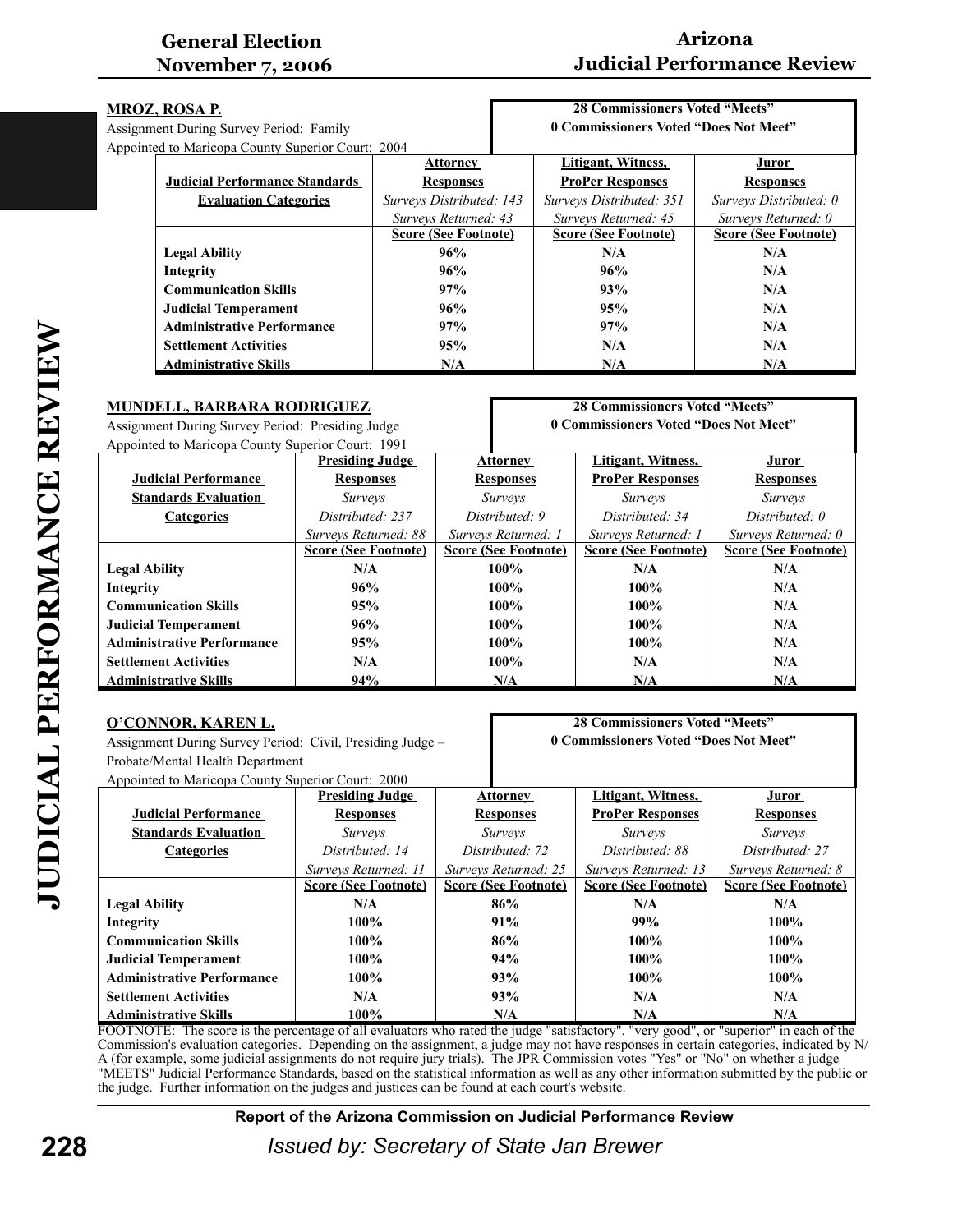# **Arizona Judicial Performance Review**

| <u>MROZ, ROSA P.</u> |                                                   |                             | <b>28 Commissioners Voted "Meets"</b> |                             |  |
|----------------------|---------------------------------------------------|-----------------------------|---------------------------------------|-----------------------------|--|
|                      | Assignment During Survey Period: Family           |                             | 0 Commissioners Voted "Does Not Meet" |                             |  |
|                      | Appointed to Maricopa County Superior Court: 2004 |                             |                                       |                             |  |
|                      |                                                   | <b>Attorney</b>             | Litigant, Witness,                    | Juror                       |  |
|                      | <b>Judicial Performance Standards</b>             | <b>Responses</b>            | <b>ProPer Responses</b>               | <b>Responses</b>            |  |
|                      | <b>Evaluation Categories</b>                      | Surveys Distributed: 143    | Surveys Distributed: 351              | Surveys Distributed: 0      |  |
|                      |                                                   | Surveys Returned: 43        | Surveys Returned: 45                  | Surveys Returned: 0         |  |
|                      |                                                   | <b>Score (See Footnote)</b> | <b>Score (See Footnote)</b>           | <b>Score (See Footnote)</b> |  |
|                      | <b>Legal Ability</b>                              | 96%                         | N/A                                   | N/A                         |  |
|                      | Integrity                                         | 96%                         | 96%                                   | N/A                         |  |
|                      | <b>Communication Skills</b>                       | 97%                         | 93%                                   | N/A                         |  |
|                      | <b>Judicial Temperament</b>                       | 96%                         | 95%                                   | N/A                         |  |
|                      | <b>Administrative Performance</b>                 | 97%                         | 97%                                   | N/A                         |  |
|                      | <b>Settlement Activities</b>                      | 95%                         | N/A                                   | N/A                         |  |
|                      | <b>Administrative Skills</b>                      | N/A                         | N/A                                   | N/A                         |  |

| <b>MUNDELL, BARBARA RODRIGUEZ</b>                       | <b>28 Commissioners Voted "Meets"</b> |  |                                       |                             |                             |
|---------------------------------------------------------|---------------------------------------|--|---------------------------------------|-----------------------------|-----------------------------|
| Assignment During Survey Period: Presiding Judge        |                                       |  | 0 Commissioners Voted "Does Not Meet" |                             |                             |
| Appointed to Maricopa County Superior Court: 1991       |                                       |  |                                       |                             |                             |
|                                                         | <b>Presiding Judge</b>                |  | Attorney                              | Litigant, Witness,          | Juror                       |
| <b>Judicial Performance</b>                             | <b>Responses</b>                      |  | <b>Responses</b>                      | <b>ProPer Responses</b>     | <b>Responses</b>            |
| <b>Standards Evaluation</b>                             | <i>Surveys</i>                        |  | <i>Surveys</i>                        | <i>Surveys</i>              | <i>Surveys</i>              |
| Distributed: 237<br>Distributed: 9<br><b>Categories</b> |                                       |  | Distributed: 34                       | Distributed: 0              |                             |
|                                                         | Surveys Returned: 88                  |  | Surveys Returned: 1                   | Surveys Returned: 1         | Surveys Returned: 0         |
|                                                         | <b>Score (See Footnote)</b>           |  | <b>Score (See Footnote)</b>           | <b>Score (See Footnote)</b> | <b>Score (See Footnote)</b> |
| <b>Legal Ability</b>                                    | N/A                                   |  | 100%                                  | N/A                         | N/A                         |
| Integrity                                               | 96%                                   |  | 100%                                  | $100\%$                     | N/A                         |
| <b>Communication Skills</b>                             | 95%                                   |  | $100\%$                               | 100%                        | N/A                         |
| <b>Judicial Temperament</b>                             | 96%                                   |  | $100\%$                               | $100\%$                     | N/A                         |
| <b>Administrative Performance</b>                       | 95%                                   |  | 100%                                  | $100\%$                     | N/A                         |
| <b>Settlement Activities</b>                            | N/A                                   |  | $100\%$                               | N/A                         | N/A                         |
| <b>Administrative Skills</b>                            | 94%                                   |  | N/A                                   | N/A                         | N/A                         |

| <b>28 Commissioners Voted "Meets"</b><br>O'CONNOR, KAREN L.<br>0 Commissioners Voted "Does Not Meet"<br>Assignment During Survey Period: Civil, Presiding Judge -<br>Probate/Mental Health Department<br>Appointed to Maricopa County Superior Court: 2000 |                             |                             |                             |                             |  |
|------------------------------------------------------------------------------------------------------------------------------------------------------------------------------------------------------------------------------------------------------------|-----------------------------|-----------------------------|-----------------------------|-----------------------------|--|
|                                                                                                                                                                                                                                                            | <b>Presiding Judge</b>      | <b>Attorney</b>             | Litigant, Witness,          | Juror                       |  |
| <b>Judicial Performance</b>                                                                                                                                                                                                                                | <b>Responses</b>            | <b>Responses</b>            | <b>ProPer Responses</b>     | <b>Responses</b>            |  |
| <b>Standards Evaluation</b>                                                                                                                                                                                                                                | <i>Surveys</i>              | <i>Surveys</i>              | <i>Surveys</i>              | <i>Surveys</i>              |  |
| <b>Categories</b>                                                                                                                                                                                                                                          | Distributed: 14             | Distributed: 72             | Distributed: 88             | Distributed: 27             |  |
|                                                                                                                                                                                                                                                            | Surveys Returned: 11        | Surveys Returned: 25        | Surveys Returned: 13        | Surveys Returned: 8         |  |
|                                                                                                                                                                                                                                                            | <b>Score (See Footnote)</b> | <b>Score (See Footnote)</b> | <b>Score (See Footnote)</b> | <b>Score (See Footnote)</b> |  |
| <b>Legal Ability</b>                                                                                                                                                                                                                                       | N/A                         | 86%                         | N/A                         | N/A                         |  |
| Integrity                                                                                                                                                                                                                                                  | 100%                        | 91%                         | 99%                         | 100%                        |  |
| <b>Communication Skills</b>                                                                                                                                                                                                                                | 100%                        | 86%                         | $100\%$                     | 100%                        |  |
| <b>Judicial Temperament</b>                                                                                                                                                                                                                                | 100%                        | 94%                         | $100\%$                     | $100\%$                     |  |
| <b>Administrative Performance</b>                                                                                                                                                                                                                          | $100\%$                     | 93%                         | $100\%$                     | $100\%$                     |  |
| <b>Settlement Activities</b>                                                                                                                                                                                                                               | N/A                         | 93%                         | N/A                         | N/A                         |  |
| <b>Administrative Skills</b>                                                                                                                                                                                                                               | 100%                        | N/A                         | N/A                         | N/A                         |  |

FOOTNOTE: The score is the percentage of all evaluators who rated the judge "satisfactory", "very good", or "superior" in each of the Commission's evaluation categories. Depending on the assignment, a judge may not have responses in certain categories, indicated by N/ A (for example, some judicial assignments do not require jury trials). The JPR Commission votes "Yes" or "No" on whether a judge "MEETS" Judicial Performance Standards, based on the statistical information as well as any other information submitted by the public or the judge. Further information on the judges and justices can be found at each court's website.

#### **Report of the Arizona Commission on Judicial Performance Review**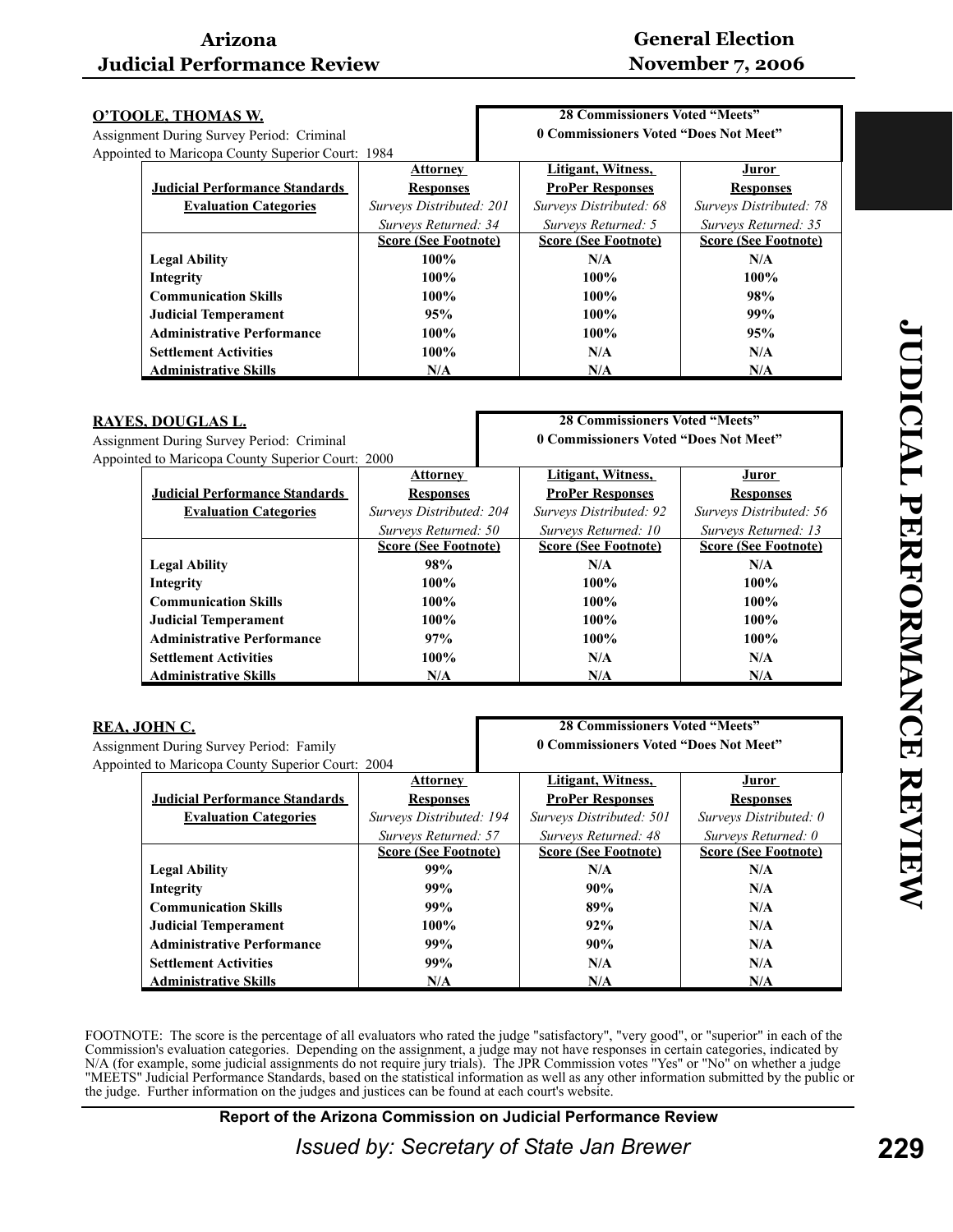### **General Election November 7, 2006**

| <u>O'TOOLE, THOMAS W.</u>                 |                                                   |                             | <b>28 Commissioners Voted "Meets"</b> |                                       |                             |
|-------------------------------------------|---------------------------------------------------|-----------------------------|---------------------------------------|---------------------------------------|-----------------------------|
| Assignment During Survey Period: Criminal |                                                   |                             |                                       | 0 Commissioners Voted "Does Not Meet" |                             |
|                                           | Appointed to Maricopa County Superior Court: 1984 |                             |                                       |                                       |                             |
|                                           |                                                   | <b>Attorney</b>             |                                       | Litigant, Witness,                    | Juror                       |
|                                           | <b>Judicial Performance Standards</b>             | <b>Responses</b>            |                                       | <b>ProPer Responses</b>               | <b>Responses</b>            |
|                                           | <b>Evaluation Categories</b>                      | Surveys Distributed: 201    |                                       | Surveys Distributed: 68               | Surveys Distributed: 78     |
|                                           |                                                   | Surveys Returned: 34        |                                       | Surveys Returned: 5                   | Surveys Returned: 35        |
|                                           |                                                   | <b>Score (See Footnote)</b> |                                       | <b>Score (See Footnote)</b>           | <b>Score (See Footnote)</b> |
|                                           | <b>Legal Ability</b>                              | $100\%$                     |                                       | N/A                                   | N/A                         |
|                                           | Integrity                                         | $100\%$                     |                                       | $100\%$                               | $100\%$                     |
|                                           | <b>Communication Skills</b>                       | $100\%$                     |                                       | $100\%$                               | 98%                         |
|                                           | <b>Judicial Temperament</b>                       | 95%                         |                                       | $100\%$                               | 99%                         |
|                                           | <b>Administrative Performance</b>                 | $100\%$                     |                                       | 100%                                  | 95%                         |
|                                           | <b>Settlement Activities</b>                      | $100\%$                     |                                       | N/A                                   | N/A                         |
|                                           | <b>Administrative Skills</b>                      | N/A                         |                                       | N/A                                   | N/A                         |

| <u>RAYES, DOUGLAS L.</u>                         |                                                   |                             | <b>28 Commissioners Voted "Meets"</b> |                             |  |
|--------------------------------------------------|---------------------------------------------------|-----------------------------|---------------------------------------|-----------------------------|--|
| <b>Assignment During Survey Period: Criminal</b> |                                                   |                             | 0 Commissioners Voted "Does Not Meet" |                             |  |
|                                                  | Appointed to Maricopa County Superior Court: 2000 |                             |                                       |                             |  |
|                                                  |                                                   | <b>Attorney</b>             | Litigant, Witness,                    | Juror                       |  |
|                                                  | <b>Judicial Performance Standards</b>             | <b>Responses</b>            | <b>ProPer Responses</b>               | <b>Responses</b>            |  |
|                                                  | <b>Evaluation Categories</b>                      | Surveys Distributed: 204    | Surveys Distributed: 92               | Surveys Distributed: 56     |  |
|                                                  |                                                   | Surveys Returned: 50        | Surveys Returned: 10                  | Surveys Returned: 13        |  |
|                                                  |                                                   | <b>Score (See Footnote)</b> | <b>Score (See Footnote)</b>           | <b>Score (See Footnote)</b> |  |
|                                                  | <b>Legal Ability</b>                              | 98%                         | N/A                                   | N/A                         |  |
|                                                  | Integrity                                         | 100%                        | $100\%$                               | $100\%$                     |  |
|                                                  | <b>Communication Skills</b>                       | 100%                        | $100\%$                               | $100\%$                     |  |
|                                                  | <b>Judicial Temperament</b>                       | 100%                        | $100\%$                               | $100\%$                     |  |
|                                                  | <b>Administrative Performance</b>                 | 97%                         | $100\%$                               | $100\%$                     |  |
|                                                  | <b>Settlement Activities</b>                      | 100%                        | N/A                                   | N/A                         |  |
|                                                  | <b>Administrative Skills</b>                      | N/A                         | N/A                                   | N/A                         |  |

| REA, JOHN C.                            |                                                   |                             | <b>28 Commissioners Voted "Meets"</b> |                             |  |
|-----------------------------------------|---------------------------------------------------|-----------------------------|---------------------------------------|-----------------------------|--|
| Assignment During Survey Period: Family |                                                   |                             | 0 Commissioners Voted "Does Not Meet" |                             |  |
|                                         | Appointed to Maricopa County Superior Court: 2004 |                             |                                       |                             |  |
|                                         |                                                   | <b>Attorney</b>             | Litigant, Witness,                    | Juror                       |  |
|                                         | <b>Judicial Performance Standards</b>             | <b>Responses</b>            | <b>ProPer Responses</b>               | <b>Responses</b>            |  |
|                                         | <b>Evaluation Categories</b>                      | Surveys Distributed: 194    | Surveys Distributed: 501              | Surveys Distributed: 0      |  |
|                                         |                                                   | Surveys Returned: 57        | Surveys Returned: 48                  | Surveys Returned: 0         |  |
|                                         |                                                   | <b>Score (See Footnote)</b> | <b>Score (See Footnote)</b>           | <b>Score (See Footnote)</b> |  |
|                                         | <b>Legal Ability</b>                              | 99%                         | N/A                                   | N/A                         |  |
|                                         | Integrity                                         | 99%                         | 90%                                   | N/A                         |  |
|                                         | <b>Communication Skills</b>                       | 99%                         | 89%                                   | N/A                         |  |
|                                         | <b>Judicial Temperament</b>                       | $100\%$                     | 92%                                   | N/A                         |  |
|                                         | <b>Administrative Performance</b>                 | 99%                         | 90%                                   | N/A                         |  |
|                                         | <b>Settlement Activities</b>                      | 99%                         | N/A                                   | N/A                         |  |
|                                         | <b>Administrative Skills</b>                      | N/A                         | N/A                                   | N/A                         |  |

FOOTNOTE: The score is the percentage of all evaluators who rated the judge "satisfactory", "very good", or "superior" in each of the Commission's evaluation categories. Depending on the assignment, a judge may not have responses in certain categories, indicated by N/A (for example, some judicial assignments do not require jury trials). The JPR Commission votes "Yes" or "No" on whether a judge "MEETS" Judicial Performance Standards, based on the statistical information as well as any other information submitted by the public or the judge. Further information on the judges and justices can be found at each court's website.

**Report of the Arizona Commission on Judicial Performance Review**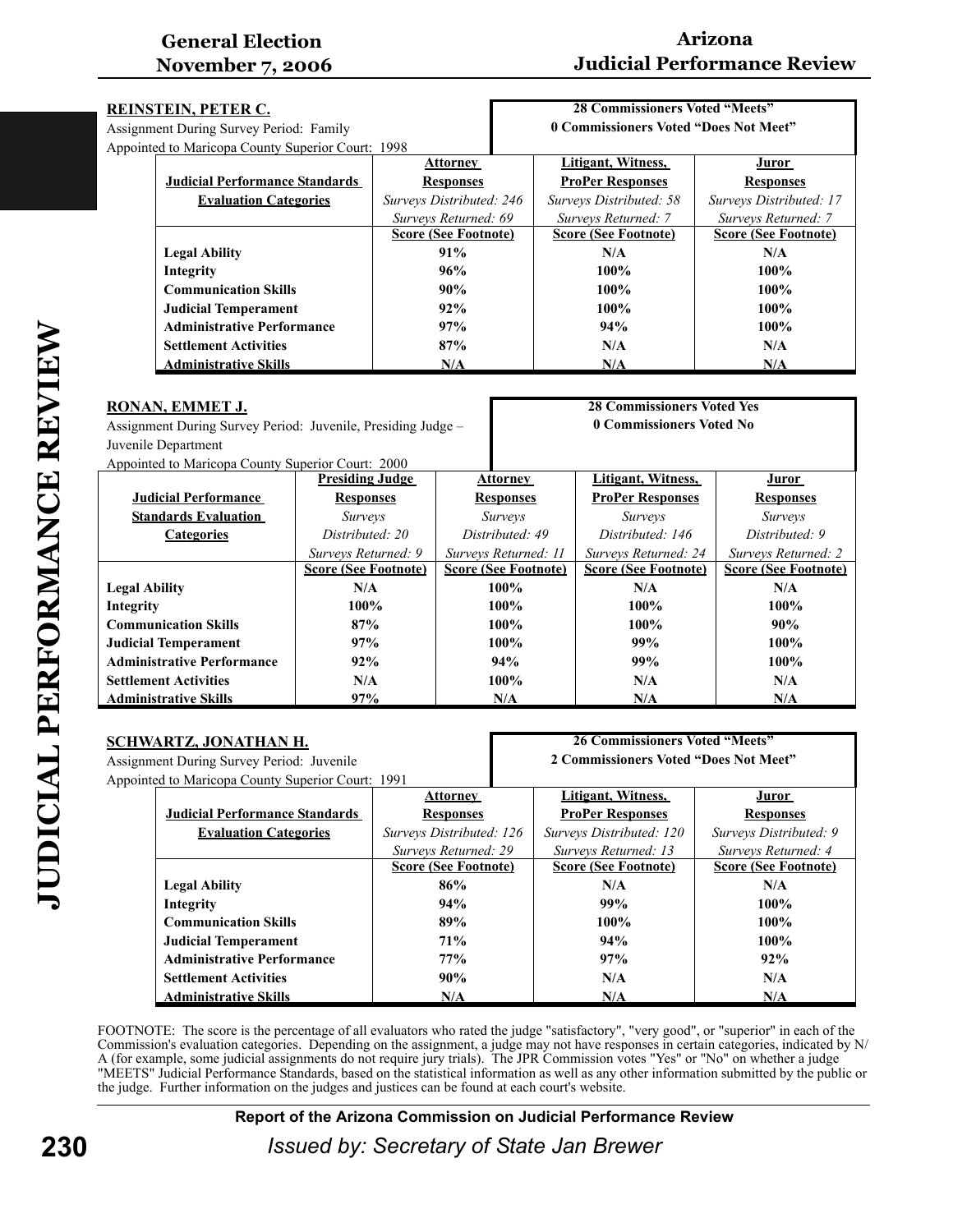# **Arizona Judicial Performance Review**

| REINSTEIN, PETER C.                     |                                                   |                             | <b>28 Commissioners Voted "Meets"</b> |                             |  |
|-----------------------------------------|---------------------------------------------------|-----------------------------|---------------------------------------|-----------------------------|--|
| Assignment During Survey Period: Family |                                                   |                             | 0 Commissioners Voted "Does Not Meet" |                             |  |
|                                         | Appointed to Maricopa County Superior Court: 1998 |                             |                                       |                             |  |
|                                         |                                                   | <b>Attorney</b>             | Litigant, Witness,                    | Juror                       |  |
|                                         | <b>Judicial Performance Standards</b>             | <b>Responses</b>            | <b>ProPer Responses</b>               | <b>Responses</b>            |  |
|                                         | <b>Evaluation Categories</b>                      | Surveys Distributed: 246    | Surveys Distributed: 58               | Surveys Distributed: 17     |  |
|                                         |                                                   | Surveys Returned: 69        | Surveys Returned: 7                   | Surveys Returned: 7         |  |
|                                         |                                                   | <b>Score (See Footnote)</b> | <b>Score (See Footnote)</b>           | <b>Score (See Footnote)</b> |  |
|                                         | <b>Legal Ability</b>                              | 91%                         | N/A                                   | N/A                         |  |
|                                         | Integrity                                         | 96%                         | $100\%$                               | $100\%$                     |  |
|                                         | <b>Communication Skills</b>                       | 90%                         | $100\%$                               | $100\%$                     |  |
|                                         | <b>Judicial Temperament</b>                       | 92%                         | 100%                                  | $100\%$                     |  |
|                                         | <b>Administrative Performance</b>                 | 97%                         | 94%                                   | $100\%$                     |  |
|                                         | <b>Settlement Activities</b>                      | 87%                         | N/A                                   | N/A                         |  |
|                                         | <b>Administrative Skills</b>                      | N/A                         | N/A                                   | N/A                         |  |

| RONAN, EMMET J.<br>Assignment During Survey Period: Juvenile, Presiding Judge – |                             | <b>28 Commissioners Voted Yes</b><br>0 Commissioners Voted No |                             |                             |
|---------------------------------------------------------------------------------|-----------------------------|---------------------------------------------------------------|-----------------------------|-----------------------------|
| Juvenile Department                                                             |                             |                                                               |                             |                             |
| Appointed to Maricopa County Superior Court: 2000                               |                             |                                                               |                             |                             |
|                                                                                 | <b>Presiding Judge</b>      | <b>Attorney</b>                                               | Litigant, Witness,          | <b>Juror</b>                |
| <b>Judicial Performance</b>                                                     | <b>Responses</b>            | <b>Responses</b>                                              | <b>ProPer Responses</b>     | <b>Responses</b>            |
| <b>Standards Evaluation</b>                                                     | <i>Surveys</i>              | <i>Surveys</i>                                                | <i>Surveys</i>              | <i>Surveys</i>              |
| <b>Categories</b>                                                               | Distributed: 20             | Distributed: 49                                               | Distributed: 146            | Distributed: 9              |
|                                                                                 | Surveys Returned: 9         | Surveys Returned: 11                                          | Surveys Returned: 24        | Surveys Returned: 2         |
|                                                                                 | <b>Score (See Footnote)</b> | <b>Score (See Footnote)</b>                                   | <b>Score (See Footnote)</b> | <b>Score (See Footnote)</b> |
| <b>Legal Ability</b>                                                            | N/A                         | 100%                                                          | N/A                         | N/A                         |
| Integrity                                                                       | 100%                        | $100\%$                                                       | $100\%$                     | 100%                        |
| <b>Communication Skills</b>                                                     | 87%                         | $100\%$                                                       | 100%                        | 90%                         |
| <b>Judicial Temperament</b>                                                     | 97%                         | $100\%$                                                       | 99%                         | $100\%$                     |
| <b>Administrative Performance</b>                                               | 92%                         | 94%                                                           | 99%                         | $100\%$                     |
| <b>Settlement Activities</b>                                                    | N/A                         | 100%                                                          | N/A                         | N/A                         |
| <b>Administrative Skills</b>                                                    | 97%                         | N/A                                                           | N/A                         | N/A                         |

| <u>SCHWARTZ, JONATHAN H.</u>                      |                                       |                             | <b>26 Commissioners Voted "Meets"</b> |                             |  |
|---------------------------------------------------|---------------------------------------|-----------------------------|---------------------------------------|-----------------------------|--|
| Assignment During Survey Period: Juvenile         |                                       |                             | 2 Commissioners Voted "Does Not Meet" |                             |  |
| Appointed to Maricopa County Superior Court: 1991 |                                       |                             |                                       |                             |  |
|                                                   |                                       | <b>Attorney</b>             | Litigant, Witness,                    | <u>Juror</u>                |  |
|                                                   | <b>Judicial Performance Standards</b> | <b>Responses</b>            | <b>ProPer Responses</b>               | <b>Responses</b>            |  |
|                                                   | <b>Evaluation Categories</b>          | Surveys Distributed: 126    | Surveys Distributed: 120              | Surveys Distributed: 9      |  |
|                                                   |                                       | Surveys Returned: 29        | Surveys Returned: 13                  | Surveys Returned: 4         |  |
|                                                   |                                       | <b>Score (See Footnote)</b> | <b>Score (See Footnote)</b>           | <b>Score (See Footnote)</b> |  |
|                                                   | <b>Legal Ability</b>                  | 86%                         | N/A                                   | N/A                         |  |
|                                                   | Integrity                             | 94%                         | 99%                                   | $100\%$                     |  |
|                                                   | <b>Communication Skills</b>           | 89%                         | $100\%$                               | $100\%$                     |  |
|                                                   | <b>Judicial Temperament</b>           | 71%                         | 94%                                   | $100\%$                     |  |
|                                                   | <b>Administrative Performance</b>     | 77%                         | 97%                                   | 92%                         |  |
|                                                   | <b>Settlement Activities</b>          | 90%                         | N/A                                   | N/A                         |  |
|                                                   | <b>Administrative Skills</b>          | N/A                         | N/A                                   | N/A                         |  |

FOOTNOTE: The score is the percentage of all evaluators who rated the judge "satisfactory", "very good", or "superior" in each of the Commission's evaluation categories. Depending on the assignment, a judge may not have responses in certain categories, indicated by N/ A (for example, some judicial assignments do not require jury trials). The JPR Commission votes "Yes" or "No" on whether a judge "MEETS" Judicial Performance Standards, based on the statistical information as well as any other information submitted by the public or the judge. Further information on the judges and justices can be found at each court's website.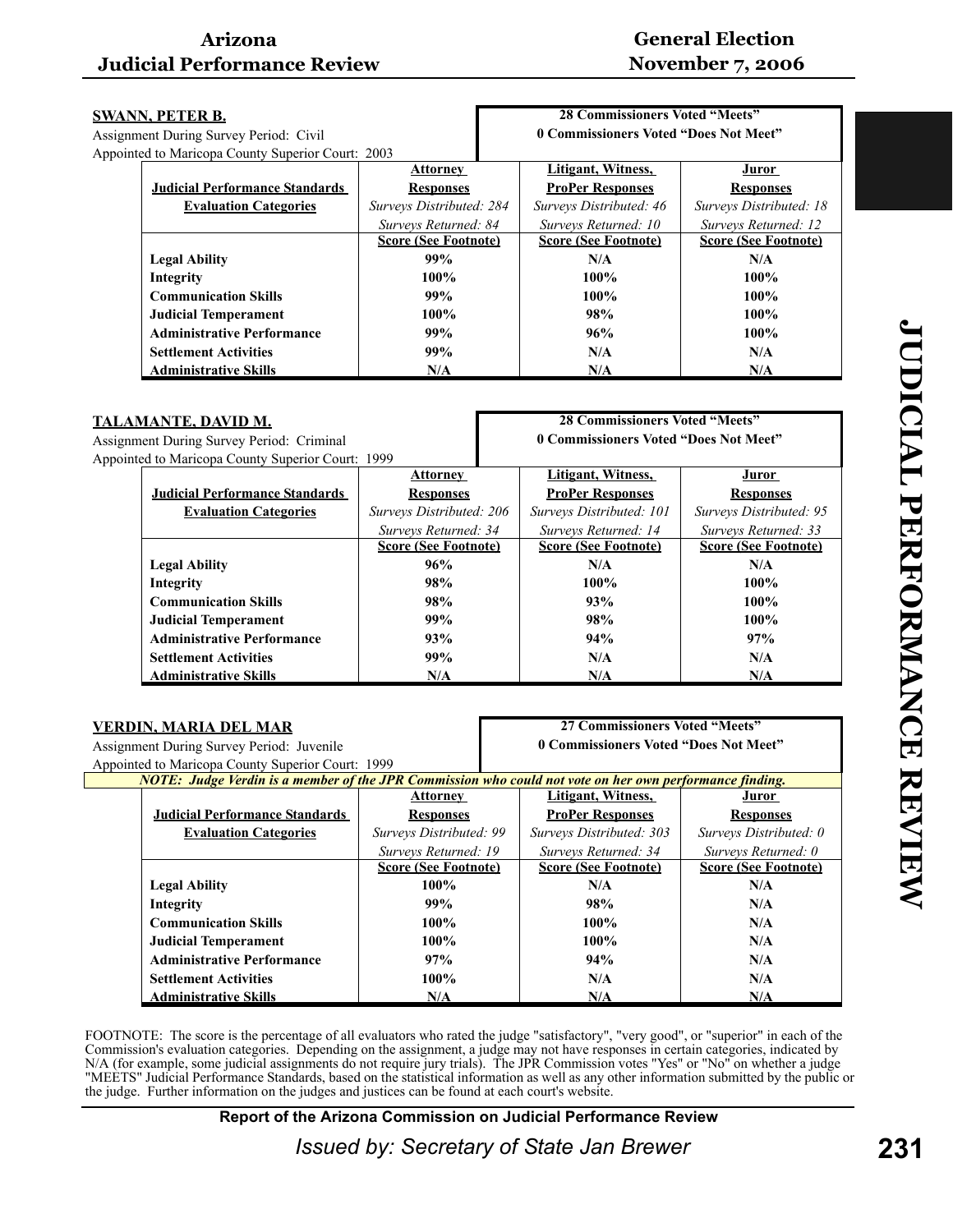# **General Election November 7, 2006**

| <u>SWANN, PETER B.</u>                            | <b>28 Commissioners Voted "Meets"</b> |                                       |                             |  |
|---------------------------------------------------|---------------------------------------|---------------------------------------|-----------------------------|--|
| Assignment During Survey Period: Civil            |                                       | 0 Commissioners Voted "Does Not Meet" |                             |  |
| Appointed to Maricopa County Superior Court: 2003 |                                       |                                       |                             |  |
|                                                   | <b>Attorney</b>                       | Litigant, Witness,                    | Juror                       |  |
| <b>Judicial Performance Standards</b>             | <b>Responses</b>                      | <b>ProPer Responses</b>               | <b>Responses</b>            |  |
| <b>Evaluation Categories</b>                      | Surveys Distributed: 284              | Surveys Distributed: 46               | Surveys Distributed: 18     |  |
|                                                   | Surveys Returned: 84                  | Surveys Returned: 10                  | Surveys Returned: 12        |  |
|                                                   | <b>Score (See Footnote)</b>           | <b>Score (See Footnote)</b>           | <b>Score (See Footnote)</b> |  |
| <b>Legal Ability</b>                              | 99%                                   | N/A                                   | N/A                         |  |
| Integrity                                         | 100%                                  | $100\%$                               | $100\%$                     |  |
| <b>Communication Skills</b>                       | 99%                                   | $100\%$                               | $100\%$                     |  |
| <b>Judicial Temperament</b>                       | $100\%$                               | 98%                                   | $100\%$                     |  |
| <b>Administrative Performance</b>                 | 99%                                   | 96%                                   | 100%                        |  |
| <b>Settlement Activities</b>                      | 99%                                   | N/A                                   | N/A                         |  |
| <b>Administrative Skills</b>                      | N/A                                   | N/A                                   | N/A                         |  |

| <u>TALAMANTE, DAVID M.</u><br>Assignment During Survey Period: Criminal |                             | <b>28 Commissioners Voted "Meets"</b><br>0 Commissioners Voted "Does Not Meet" |                             |                             |
|-------------------------------------------------------------------------|-----------------------------|--------------------------------------------------------------------------------|-----------------------------|-----------------------------|
|                                                                         |                             |                                                                                |                             |                             |
|                                                                         | <b>Attorney</b>             |                                                                                | Litigant, Witness,          | Juror                       |
| <b>Judicial Performance Standards</b>                                   | <b>Responses</b>            |                                                                                | <b>ProPer Responses</b>     | <b>Responses</b>            |
| <b>Evaluation Categories</b>                                            | Surveys Distributed: 206    |                                                                                | Surveys Distributed: 101    | Surveys Distributed: 95     |
|                                                                         | Surveys Returned: 34        |                                                                                | Surveys Returned: 14        | Surveys Returned: 33        |
|                                                                         | <b>Score (See Footnote)</b> |                                                                                | <b>Score (See Footnote)</b> | <b>Score (See Footnote)</b> |
| <b>Legal Ability</b>                                                    | 96%                         |                                                                                | N/A                         | N/A                         |
| Integrity                                                               | 98%                         |                                                                                | $100\%$                     | $100\%$                     |
| <b>Communication Skills</b>                                             | 98%                         |                                                                                | 93%                         | $100\%$                     |
| <b>Judicial Temperament</b>                                             | 99%                         |                                                                                | 98%                         | $100\%$                     |
| <b>Administrative Performance</b>                                       | 93%                         |                                                                                | 94%                         | 97%                         |
| <b>Settlement Activities</b>                                            | 99%                         |                                                                                | N/A                         | N/A                         |
| <b>Administrative Skills</b>                                            | N/A                         |                                                                                | N/A                         | N/A                         |

| VERDIN, MARIA DEL MAR                             |                             | 27 Commissioners Voted "Meets"                                                                          |                             |  |
|---------------------------------------------------|-----------------------------|---------------------------------------------------------------------------------------------------------|-----------------------------|--|
| Assignment During Survey Period: Juvenile         |                             | 0 Commissioners Voted "Does Not Meet"                                                                   |                             |  |
| Appointed to Maricopa County Superior Court: 1999 |                             |                                                                                                         |                             |  |
|                                                   |                             | NOTE: Judge Verdin is a member of the JPR Commission who could not vote on her own performance finding. |                             |  |
|                                                   | <b>Attorney</b>             | Litigant, Witness,                                                                                      | <u>Juror</u>                |  |
| <b>Judicial Performance Standards</b>             | <b>Responses</b>            | <b>ProPer Responses</b>                                                                                 | <b>Responses</b>            |  |
| <b>Evaluation Categories</b>                      | Surveys Distributed: 99     | Surveys Distributed: 303                                                                                | Surveys Distributed: 0      |  |
|                                                   | Surveys Returned: 19        | Surveys Returned: 34                                                                                    | Surveys Returned: 0         |  |
|                                                   | <b>Score (See Footnote)</b> | <b>Score (See Footnote)</b>                                                                             | <b>Score (See Footnote)</b> |  |
| <b>Legal Ability</b>                              | $100\%$                     | N/A                                                                                                     | N/A                         |  |
| Integrity                                         | 99%                         | 98%                                                                                                     | N/A                         |  |
| <b>Communication Skills</b>                       | $100\%$                     | $100\%$                                                                                                 | N/A                         |  |
| <b>Judicial Temperament</b>                       | $100\%$                     | $100\%$                                                                                                 | N/A                         |  |
| <b>Administrative Performance</b>                 | 97%                         | 94%                                                                                                     | N/A                         |  |
| <b>Settlement Activities</b>                      | $100\%$                     | N/A                                                                                                     | N/A                         |  |
| <b>Administrative Skills</b>                      | N/A                         | N/A                                                                                                     | N/A                         |  |

FOOTNOTE: The score is the percentage of all evaluators who rated the judge "satisfactory", "very good", or "superior" in each of the Commission's evaluation categories. Depending on the assignment, a judge may not have responses in certain categories, indicated by N/A (for example, some judicial assignments do not require jury trials). The JPR Commission votes "Yes" or "No" on whether a judge "MEETS" Judicial Performance Standards, based on the statistical information as well as any other information submitted by the public or the judge. Further information on the judges and justices can be found at each court's website.

**Report of the Arizona Commission on Judicial Performance Review**